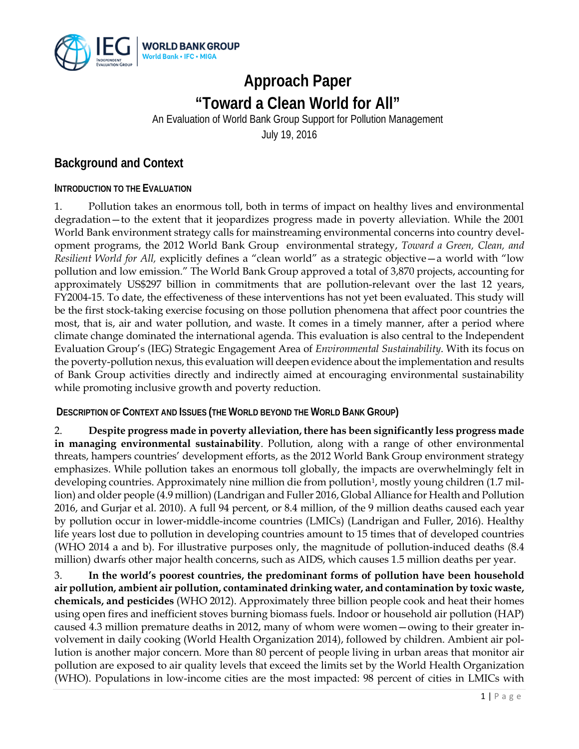

# **Approach Paper "Toward a Clean World for All"**

An Evaluation of World Bank Group Support for Pollution Management

July 19, 2016

## **Background and Context**

#### **INTRODUCTION TO THE EVALUATION**

1. Pollution takes an enormous toll, both in terms of impact on healthy lives and environmental degradation—to the extent that it jeopardizes progress made in poverty alleviation. While the 2001 World Bank environment strategy calls for mainstreaming environmental concerns into country development programs, the 2012 World Bank Group environmental strategy, *Toward a Green, Clean, and Resilient World for All,* explicitly defines a "clean world" as a strategic objective—a world with "low pollution and low emission." The World Bank Group approved a total of 3,870 projects, accounting for approximately US\$297 billion in commitments that are pollution-relevant over the last 12 years, FY2004-15. To date, the effectiveness of these interventions has not yet been evaluated. This study will be the first stock-taking exercise focusing on those pollution phenomena that affect poor countries the most, that is, air and water pollution, and waste. It comes in a timely manner, after a period where climate change dominated the international agenda. This evaluation is also central to the Independent Evaluation Group's (IEG) Strategic Engagement Area of *Environmental Sustainability*. With its focus on the poverty-pollution nexus, this evaluation will deepen evidence about the implementation and results of Bank Group activities directly and indirectly aimed at encouraging environmental sustainability while promoting inclusive growth and poverty reduction.

**DESCRIPTION OF CONTEXT AND ISSUES (THE WORLD BEYOND THE WORLD BANK GROUP)**

2. **Despite progress made in poverty alleviation, there has been significantly less progress made in managing environmental sustainability**. Pollution, along with a range of other environmental threats, hampers countries' development efforts, as the 2012 World Bank Group environment strategy emphasizes. While pollution takes an enormous toll globally, the impacts are overwhelmingly felt in developing countries. Approximately nine million die from pollution<sup>1</sup>, mostly young children (1.7 million) and older people (4.9 million) (Landrigan and Fuller 2016, Global Alliance for Health and Pollution 2016, and Gurjar et al. 2010). A full 94 percent, or 8.4 million, of the 9 million deaths caused each year by pollution occur in lower-middle-income countries (LMICs) (Landrigan and Fuller, 2016). Healthy life years lost due to pollution in developing countries amount to 15 times that of developed countries (WHO 2014 a and b). For illustrative purposes only, the magnitude of pollution-induced deaths (8.4 million) dwarfs other major health concerns, such as AIDS, which causes 1.5 million deaths per year.

3. **In the world's poorest countries, the predominant forms of pollution have been household air pollution, ambient air pollution, contaminated drinking water, and contamination by toxic waste, chemicals, and pesticides** (WHO 2012). Approximately three billion people cook and heat their homes using open fires and inefficient stoves burning biomass fuels. Indoor or household air pollution (HAP) caused 4.3 million premature deaths in 2012, many of whom were women—owing to their greater involvement in daily cooking (World Health Organization 2014), followed by children. Ambient air pollution is another major concern. More than 80 percent of people living in urban areas that monitor air pollution are exposed to air quality levels that exceed the limits set by the World Health Organization (WHO). Populations in low-income cities are the most impacted: 98 percent of cities in LMICs with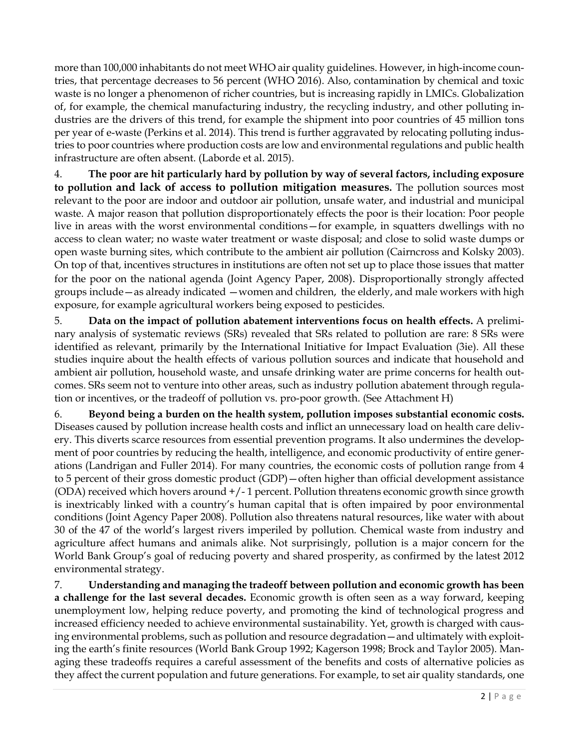more than 100,000 inhabitants do not meet WHO air quality guidelines. However, in high-income countries, that percentage decreases to 56 percent (WHO 2016). Also, contamination by chemical and toxic waste is no longer a phenomenon of richer countries, but is increasing rapidly in LMICs. Globalization of, for example, the chemical manufacturing industry, the recycling industry, and other polluting industries are the drivers of this trend, for example the shipment into poor countries of 45 million tons per year of e-waste (Perkins et al. 2014). This trend is further aggravated by relocating polluting industries to poor countries where production costs are low and environmental regulations and public health infrastructure are often absent. (Laborde et al. 2015).

4. **The poor are hit particularly hard by pollution by way of several factors, including exposure to pollution and lack of access to pollution mitigation measures.** The pollution sources most relevant to the poor are indoor and outdoor air pollution, unsafe water, and industrial and municipal waste. A major reason that pollution disproportionately effects the poor is their location: Poor people live in areas with the worst environmental conditions—for example, in squatters dwellings with no access to clean water; no waste water treatment or waste disposal; and close to solid waste dumps or open waste burning sites, which contribute to the ambient air pollution (Cairncross and Kolsky 2003). On top of that, incentives structures in institutions are often not set up to place those issues that matter for the poor on the national agenda (Joint Agency Paper, 2008). Disproportionally strongly affected groups include—as already indicated —women and children, the elderly, and male workers with high exposure, for example agricultural workers being exposed to pesticides.

5. **Data on the impact of pollution abatement interventions focus on health effects.** A preliminary analysis of systematic reviews (SRs) revealed that SRs related to pollution are rare: 8 SRs were identified as relevant, primarily by the International Initiative for Impact Evaluation (3ie). All these studies inquire about the health effects of various pollution sources and indicate that household and ambient air pollution, household waste, and unsafe drinking water are prime concerns for health outcomes. SRs seem not to venture into other areas, such as industry pollution abatement through regulation or incentives, or the tradeoff of pollution vs. pro-poor growth. (See Attachment H)

6. **Beyond being a burden on the health system, pollution imposes substantial economic costs.**  Diseases caused by pollution increase health costs and inflict an unnecessary load on health care delivery. This diverts scarce resources from essential prevention programs. It also undermines the development of poor countries by reducing the health, intelligence, and economic productivity of entire generations (Landrigan and Fuller 2014). For many countries, the economic costs of pollution range from 4 to 5 percent of their gross domestic product (GDP)—often higher than official development assistance (ODA) received which hovers around +/- 1 percent. Pollution threatens economic growth since growth is inextricably linked with a country's human capital that is often impaired by poor environmental conditions (Joint Agency Paper 2008). Pollution also threatens natural resources, like water with about 30 of the 47 of the world's largest rivers imperiled by pollution. Chemical waste from industry and agriculture affect humans and animals alike. Not surprisingly, pollution is a major concern for the World Bank Group's goal of reducing poverty and shared prosperity, as confirmed by the latest 2012 environmental strategy.

7. **Understanding and managing the tradeoff between pollution and economic growth has been a challenge for the last several decades.** Economic growth is often seen as a way forward, keeping unemployment low, helping reduce poverty, and promoting the kind of technological progress and increased efficiency needed to achieve environmental sustainability. Yet, growth is charged with causing environmental problems, such as pollution and resource degradation—and ultimately with exploiting the earth's finite resources (World Bank Group 1992; Kagerson 1998; Brock and Taylor 2005). Managing these tradeoffs requires a careful assessment of the benefits and costs of alternative policies as they affect the current population and future generations. For example, to set air quality standards, one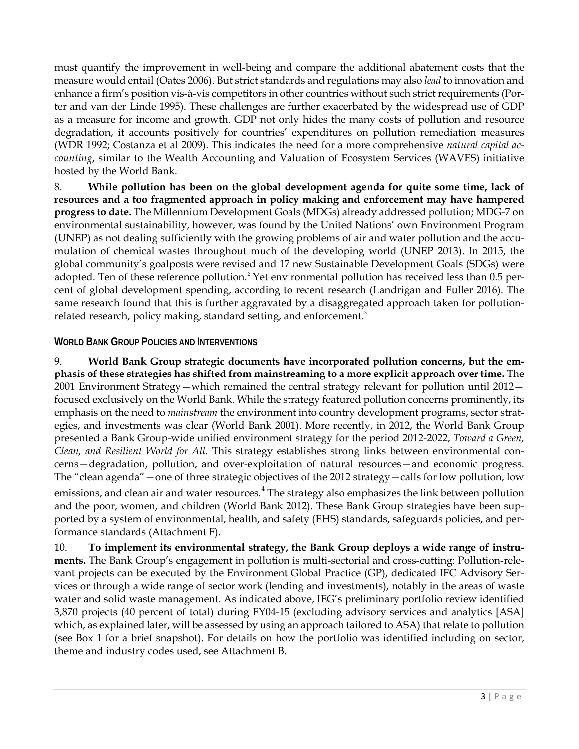must quantify the improvement in well-being and compare the additional abatement costs that the measure would entail (Oates 2006). But strict standards and regulations may also *lead* to innovation and enhance a firm's position vis-à-vis competitors in other countries without such strict requirements (Porter and van der Linde 1995). These challenges are further exacerbated by the widespread use of GDP as a measure for income and growth. GDP not only hides the many costs of pollution and resource degradation, it accounts positively for countries' expenditures on pollution remediation measures (WDR 1992; Costanza et al 2009). This indicates the need for a more comprehensive *natural capital accounting*, similar to the Wealth Accounting and Valuation of Ecosystem Services (WAVES) initiative hosted by the World Bank.

8. **While pollution has been on the global development agenda for quite some time, lack of resources and a too fragmented approach in policy making and enforcement may have hampered progress to date.** The Millennium Development Goals (MDGs) already addressed pollution; MDG-7 on environmental sustainability, however, was found by the United Nations' own Environment Program (UNEP) as not dealing sufficiently with the growing problems of air and water pollution and the accumulation of chemical wastes throughout much of the developing world (UNEP 2013). In 2015, the global community's goalposts were revised and 17 new Sustainable Development Goals (SDGs) were adopted. Ten of these reference pollution.<sup>[2](#page-19-1)</sup> Yet environmental pollution has received less than 0.5 percent of global development spending, according to recent research (Landrigan and Fuller 2016). The same research found that this is further aggravated by a disaggregated approach taken for pollution-related research, policy making, standard setting, and enforcement.<sup>[3](#page-19-2)</sup>

#### **WORLD BANK GROUP POLICIES AND INTERVENTIONS**

9. **World Bank Group strategic documents have incorporated pollution concerns, but the emphasis of these strategies has shifted from mainstreaming to a more explicit approach over time.** The 2001 Environment Strategy—which remained the central strategy relevant for pollution until 2012 focused exclusively on the World Bank. While the strategy featured pollution concerns prominently, its emphasis on the need to *mainstream* the environment into country development programs, sector strategies, and investments was clear (World Bank 2001). More recently, in 2012, the World Bank Group presented a Bank Group-wide unified environment strategy for the period 2012-2022, *Toward a Green, Clean, and Resilient World for All*. This strategy establishes strong links between environmental concerns—degradation, pollution, and over-exploitation of natural resources—and economic progress. The "clean agenda"—one of three strategic objectives of the 2012 strategy—calls for low pollution, low emissions, and clean air and water resources.<sup>[4](#page-19-3)</sup> The strategy also emphasizes the link between pollution and the poor, women, and children (World Bank 2012). These Bank Group strategies have been supported by a system of environmental, health, and safety (EHS) standards, safeguards policies, and performance standards (Attachment F).

10. **To implement its environmental strategy, the Bank Group deploys a wide range of instruments.** The Bank Group's engagement in pollution is multi-sectorial and cross-cutting: Pollution-relevant projects can be executed by the Environment Global Practice (GP), dedicated IFC Advisory Services or through a wide range of sector work (lending and investments), notably in the areas of waste water and solid waste management. As indicated above, IEG's preliminary portfolio review identified 3,870 projects (40 percent of total) during FY04-15 (excluding advisory services and analytics [ASA] which, as explained later, will be assessed by using an approach tailored to ASA) that relate to pollution (see Box 1 for a brief snapshot). For details on how the portfolio was identified including on sector, theme and industry codes used, see Attachment B.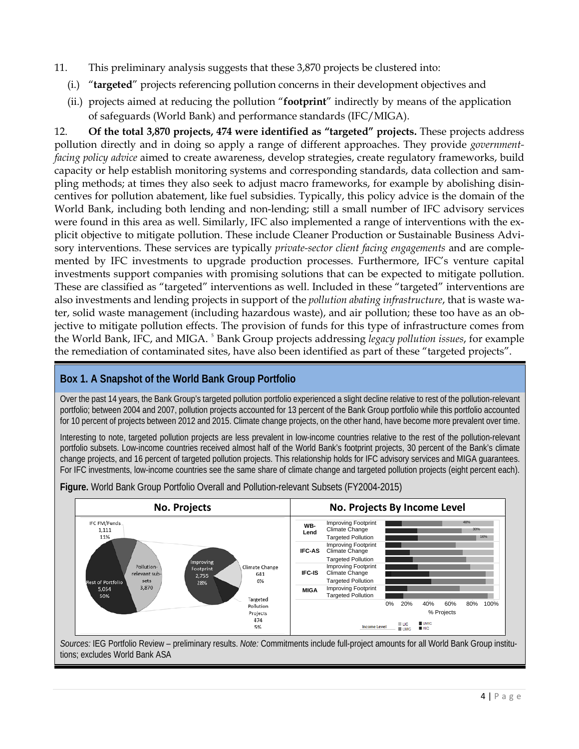- 11. This preliminary analysis suggests that these 3,870 projects be clustered into:
	- (i.) "**targeted**" projects referencing pollution concerns in their development objectives and
	- (ii.) projects aimed at reducing the pollution "**footprint**" indirectly by means of the application of safeguards (World Bank) and performance standards (IFC/MIGA).

12. **Of the total 3,870 projects, 474 were identified as "targeted" projects.** These projects address pollution directly and in doing so apply a range of different approaches. They provide *governmentfacing policy advice* aimed to create awareness, develop strategies, create regulatory frameworks, build capacity or help establish monitoring systems and corresponding standards, data collection and sampling methods; at times they also seek to adjust macro frameworks, for example by abolishing disincentives for pollution abatement, like fuel subsidies. Typically, this policy advice is the domain of the World Bank, including both lending and non-lending; still a small number of IFC advisory services were found in this area as well. Similarly, IFC also implemented a range of interventions with the explicit objective to mitigate pollution. These include Cleaner Production or Sustainable Business Advisory interventions. These services are typically *private-sector client facing engagements* and are complemented by IFC investments to upgrade production processes. Furthermore, IFC's venture capital investments support companies with promising solutions that can be expected to mitigate pollution. These are classified as "targeted" interventions as well. Included in these "targeted" interventions are also investments and lending projects in support of the *pollution abating infrastructure*, that is waste water, solid waste management (including hazardous waste), and air pollution; these too have as an objective to mitigate pollution effects. The provision of funds for this type of infrastructure comes from the World Bank, IFC, and MIGA. <sup>[5](#page-19-4)</sup> Bank Group projects addressing *legacy pollution issues*, for example the remediation of contaminated sites, have also been identified as part of these "targeted projects".

#### **Box 1. A Snapshot of the World Bank Group Portfolio**

Over the past 14 years, the Bank Group's targeted pollution portfolio experienced a slight decline relative to rest of the pollution-relevant portfolio; between 2004 and 2007, pollution projects accounted for 13 percent of the Bank Group portfolio while this portfolio accounted for 10 percent of projects between 2012 and 2015. Climate change projects, on the other hand, have become more prevalent over time.

Interesting to note, targeted pollution projects are less prevalent in low-income countries relative to the rest of the pollution-relevant portfolio subsets. Low-income countries received almost half of the World Bank's footprint projects, 30 percent of the Bank's climate change projects, and 16 percent of targeted pollution projects. This relationship holds for IFC advisory services and MIGA guarantees. For IFC investments, low-income countries see the same share of climate change and targeted pollution projects (eight percent each).



**Figure.** World Bank Group Portfolio Overall and Pollution-relevant Subsets (FY2004-2015)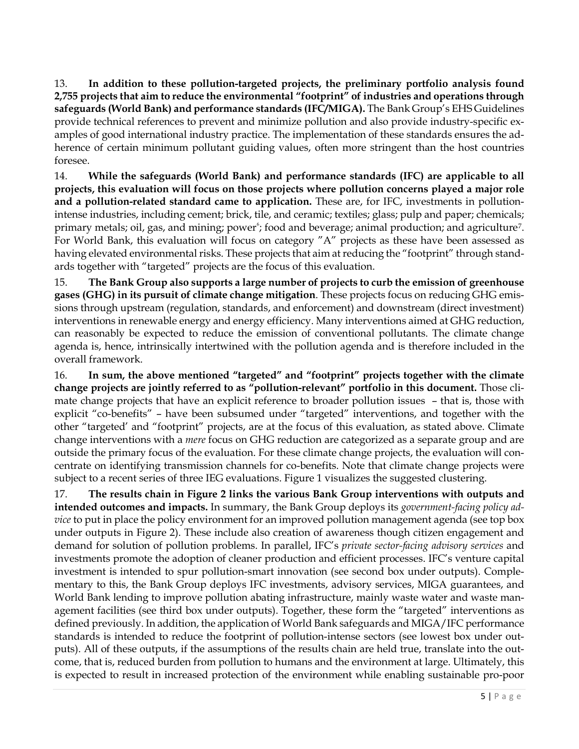13. **In addition to these pollution-targeted projects, the preliminary portfolio analysis found 2,755 projects that aim to reduce the environmental "footprint" of industries and operations through safeguards (World Bank) and performance standards (IFC/MIGA).** The Bank Group's EHS Guidelines provide technical references to prevent and minimize pollution and also provide industry-specific examples of good international industry practice. The implementation of these standards ensures the adherence of certain minimum pollutant guiding values, often more stringent than the host countries foresee.

14. **While the safeguards (World Bank) and performance standards (IFC) are applicable to all projects, this evaluation will focus on those projects where pollution concerns played a major role and a pollution-related standard came to application.** These are, for IFC, investments in pollutionintense industries, including cement; brick, tile, and ceramic; textiles; glass; pulp and paper; chemicals; primary metals; oil, gas, and mining; power<sup>[6](#page-19-5)</sup>; food and beverage; animal production; and agriculture<sup>7</sup>. For World Bank, this evaluation will focus on category "A" projects as these have been assessed as having elevated environmental risks. These projects that aim at reducing the "footprint" through standards together with "targeted" projects are the focus of this evaluation.

15. **The Bank Group also supports a large number of projects to curb the emission of greenhouse gases (GHG) in its pursuit of climate change mitigation**. These projects focus on reducing GHG emissions through upstream (regulation, standards, and enforcement) and downstream (direct investment) interventions in renewable energy and energy efficiency. Many interventions aimed at GHG reduction, can reasonably be expected to reduce the emission of conventional pollutants. The climate change agenda is, hence, intrinsically intertwined with the pollution agenda and is therefore included in the overall framework.

16. **In sum, the above mentioned "targeted" and "footprint" projects together with the climate change projects are jointly referred to as "pollution-relevant" portfolio in this document.** Those climate change projects that have an explicit reference to broader pollution issues – that is, those with explicit "co-benefits" – have been subsumed under "targeted" interventions, and together with the other "targeted' and "footprint" projects, are at the focus of this evaluation, as stated above. Climate change interventions with a *mere* focus on GHG reduction are categorized as a separate group and are outside the primary focus of the evaluation. For these climate change projects, the evaluation will concentrate on identifying transmission channels for co-benefits. Note that climate change projects were subject to a recent series of three IEG evaluations. Figure 1 visualizes the suggested clustering.

17. **The results chain in Figure 2 links the various Bank Group interventions with outputs and intended outcomes and impacts.** In summary, the Bank Group deploys its *government-facing policy advice* to put in place the policy environment for an improved pollution management agenda (see top box under outputs in Figure 2). These include also creation of awareness though citizen engagement and demand for solution of pollution problems. In parallel, IFC's *private sector-facing advisory services* and investments promote the adoption of cleaner production and efficient processes. IFC's venture capital investment is intended to spur pollution-smart innovation (see second box under outputs). Complementary to this, the Bank Group deploys IFC investments, advisory services, MIGA guarantees, and World Bank lending to improve pollution abating infrastructure, mainly waste water and waste management facilities (see third box under outputs). Together, these form the "targeted" interventions as defined previously. In addition, the application of World Bank safeguards and MIGA/IFC performance standards is intended to reduce the footprint of pollution-intense sectors (see lowest box under outputs). All of these outputs, if the assumptions of the results chain are held true, translate into the outcome, that is, reduced burden from pollution to humans and the environment at large. Ultimately, this is expected to result in increased protection of the environment while enabling sustainable pro-poor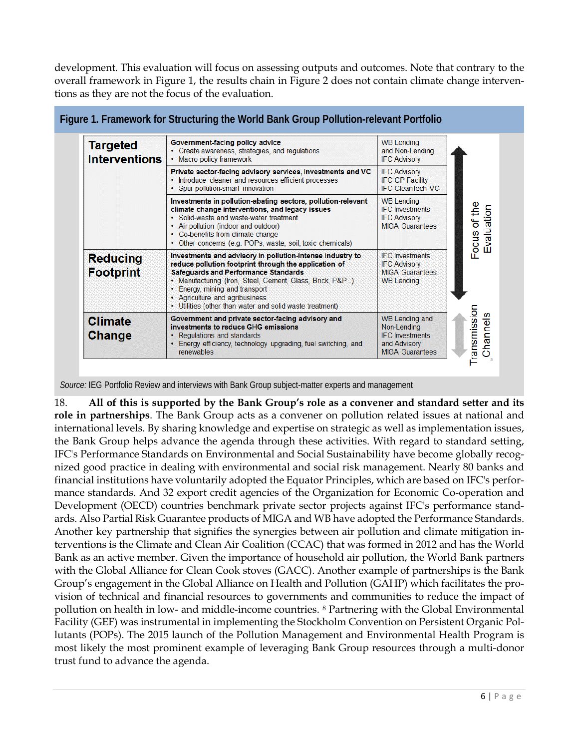development. This evaluation will focus on assessing outputs and outcomes. Note that contrary to the overall framework in Figure 1, the results chain in Figure 2 does not contain climate change interventions as they are not the focus of the evaluation.

| <b>Targeted</b><br><b>Interventions</b> | Government-facing policy advice<br>• Create awareness, strategies, and regulations<br>• Macro policy framework                                                                                                                                                                                                                                                | <b>WB Lending</b><br>and Non-Lending<br><b>IFC Advisory</b>                                              |                            |
|-----------------------------------------|---------------------------------------------------------------------------------------------------------------------------------------------------------------------------------------------------------------------------------------------------------------------------------------------------------------------------------------------------------------|----------------------------------------------------------------------------------------------------------|----------------------------|
|                                         | Private sector-facing advisory services, investments and VC<br>• Introduce cleaner and resources efficient processes<br>• Spur pollution-smart innovation                                                                                                                                                                                                     | <b>IFC Advisory</b><br><b>IFC CP Facility</b><br><b>IFC CleanTech VC</b>                                 |                            |
|                                         | Investments in pollution-abating sectors, pollution-relevant<br>climate change interventions, and legacy issues<br>• Solid-waste and waste-water treatment<br>• Air pollution (indoor and outdoor)<br>• Co-benefits from climate change<br>• Other concerns (e.g. POPs, waste, soil, toxic chemicals)                                                         | <b>WB Lending</b><br><b>IFC Investments</b><br><b>IFC Advisory</b><br><b>MIGA Guarantees</b>             | Focus of the<br>Evaluation |
| <b>Reducing</b><br><b>Footprint</b>     | Investments and advisory in pollution-intense industry to<br>reduce pollution footprint through the application of<br><b>Safequards and Performance Standards</b><br>• Manufacturing (Iron, Steel, Cement, Glass, Brick, P&P)<br>• Energy, mining and transport<br>• Agriculture and agribusiness<br>• Utilities (other than water and solid waste treatment) | <b>IFC Investments</b><br><b>IFC Advisory</b><br><b>MIGA Guarantees</b><br><b>WB Lending</b>             |                            |
| <b>Climate</b><br><b>Change</b>         | Government and private sector-facing advisory and<br>investments to reduce GHG emissions<br>• Regulations and standards<br>• Energy efficiency, technology upgrading, fuel switching, and<br><b>renewables</b>                                                                                                                                                | <b>WB Lending and</b><br>Non-Lending<br><b>IFC</b> Investments<br>and Advisory<br><b>MIGA Guarantees</b> | ransmission<br>Channels    |

*Source:* IEG Portfolio Review and interviews with Bank Group subject-matter experts and management

18. **All of this is supported by the Bank Group's role as a convener and standard setter and its role in partnerships**. The Bank Group acts as a convener on pollution related issues at national and international levels. By sharing knowledge and expertise on strategic as well as implementation issues, the Bank Group helps advance the agenda through these activities. With regard to standard setting, IFC's Performance Standards on Environmental and Social Sustainability have become globally recognized good practice in dealing with environmental and social risk management. Nearly 80 banks and financial institutions have voluntarily adopted the [Equator Principles,](http://www.equator-principles.com/) which are based on IFC's performance standards. And [32 export credit agencies of the Organization](http://www.oecd.org/tad/xcred/eca.htm) for Economic Co-operation and [Development \(OECD\)](http://www.oecd.org/tad/xcred/eca.htm) countries benchmark private sector projects against IFC's performance standards. Also Partial Risk Guarantee products of MIGA and WB have adopted the Performance Standards. Another key partnership that signifies the synergies between air pollution and climate mitigation interventions is the Climate and Clean Air Coalition (CCAC) that was formed in 2012 and has the World Bank as an active member. Given the importance of household air pollution, the World Bank partners with the Global Alliance for Clean Cook stoves (GACC). Another example of partnerships is the Bank Group's engagement in the Global Alliance on Health and Pollution (GAHP) which facilitates the provision of technical and financial resources to governments and communities to reduce the impact of pollution on health in low- and middle-income countries. [8](#page-19-7) Partnering with the Global Environmental Facility (GEF) was instrumental in implementing the Stockholm Convention on Persistent Organic Pollutants (POPs). The 2015 launch of the Pollution Management and Environmental Health Program is most likely the most prominent example of leveraging Bank Group resources through a multi-donor trust fund to advance the agenda.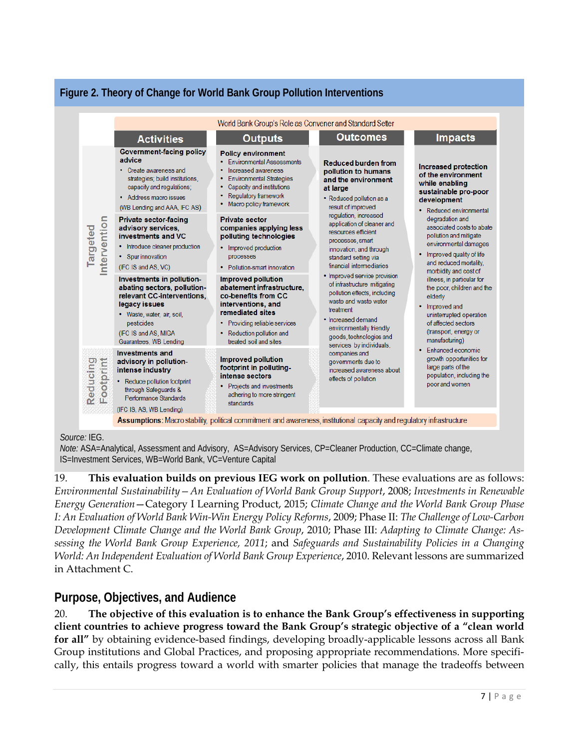

### **Figure 2. Theory of Change for World Bank Group Pollution Interventions**

#### *Source:* IEG.

*Note:* ASA=Analytical, Assessment and Advisory, AS=Advisory Services, CP=Cleaner Production, CC=Climate change, IS=Investment Services, WB=World Bank, VC=Venture Capital

19. **This evaluation builds on previous IEG work on pollution**. These evaluations are as follows: *Environmental Sustainability—An Evaluation of World Bank Group Support*, 2008; *Investments in Renewable Energy Generation*—Category I Learning Product, 2015; *Climate Change and the World Bank Group Phase I: An Evaluation of World Bank Win-Win Energy Policy Reforms*, 2009; Phase II: *The Challenge of Low-Carbon Development Climate Change and the World Bank Group*, 2010; Phase III: *Adapting to Climate Change: Assessing the World Bank Group Experience, 2011*; and *Safeguards and Sustainability Policies in a Changing World: An Independent Evaluation of World Bank Group Experience*, 2010. Relevant lessons are summarized in Attachment C.

### **Purpose, Objectives, and Audience**

20. **The objective of this evaluation is to enhance the Bank Group's effectiveness in supporting client countries to achieve progress toward the Bank Group's strategic objective of a "clean world for all"** by obtaining evidence-based findings, developing broadly-applicable lessons across all Bank Group institutions and Global Practices, and proposing appropriate recommendations. More specifically, this entails progress toward a world with smarter policies that manage the tradeoffs between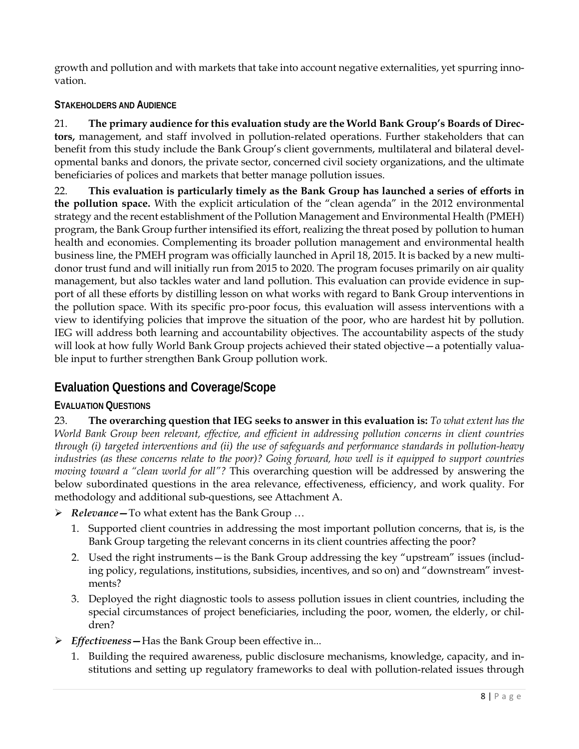growth and pollution and with markets that take into account negative externalities, yet spurring innovation.

### **STAKEHOLDERS AND AUDIENCE**

21. **The primary audience for this evaluation study are the World Bank Group's Boards of Directors,** management, and staff involved in pollution-related operations. Further stakeholders that can benefit from this study include the Bank Group's client governments, multilateral and bilateral developmental banks and donors, the private sector, concerned civil society organizations, and the ultimate beneficiaries of polices and markets that better manage pollution issues.

22. **This evaluation is particularly timely as the Bank Group has launched a series of efforts in the pollution space.** With the explicit articulation of the "clean agenda" in the 2012 environmental strategy and the recent establishment of the Pollution Management and Environmental Health (PMEH) program, the Bank Group further intensified its effort, realizing the threat posed by pollution to human health and economies. Complementing its broader pollution management and environmental health business line, the PMEH program was [officially launched](http://www.worldbank.org/en/news/press-release/2015/04/20/countries-pledge-to-curb-deadly-pollution-at-historic-washington-dc-event) in April 18, 2015. It is backed by a new multidonor trust fund and will initially run from 2015 to 2020. The program focuses primarily on air quality management, but also tackles water and land pollution. This evaluation can provide evidence in support of all these efforts by distilling lesson on what works with regard to Bank Group interventions in the pollution space. With its specific pro-poor focus, this evaluation will assess interventions with a view to identifying policies that improve the situation of the poor, who are hardest hit by pollution. IEG will address both learning and accountability objectives. The accountability aspects of the study will look at how fully World Bank Group projects achieved their stated objective—a potentially valuable input to further strengthen Bank Group pollution work.

## **Evaluation Questions and Coverage/Scope**

### **EVALUATION QUESTIONS**

23. **The overarching question that IEG seeks to answer in this evaluation is:** *To what extent has the World Bank Group been relevant, effective, and efficient in addressing pollution concerns in client countries through (i) targeted interventions and (ii) the use of safeguards and performance standards in pollution-heavy industries (as these concerns relate to the poor)? Going forward, how well is it equipped to support countries moving toward a "clean world for all"?* This overarching question will be addressed by answering the below subordinated questions in the area relevance, effectiveness, efficiency, and work quality. For methodology and additional sub-questions, see Attachment A.

- *Relevance—*To what extent has the Bank Group …
	- 1. Supported client countries in addressing the most important pollution concerns, that is, is the Bank Group targeting the relevant concerns in its client countries affecting the poor?
	- 2. Used the right instruments—is the Bank Group addressing the key "upstream" issues (including policy, regulations, institutions, subsidies, incentives, and so on) and "downstream" investments?
	- 3. Deployed the right diagnostic tools to assess pollution issues in client countries, including the special circumstances of project beneficiaries, including the poor, women, the elderly, or children?
- *Effectiveness—*Has the Bank Group been effective in...
	- 1. Building the required awareness, public disclosure mechanisms, knowledge, capacity, and institutions and setting up regulatory frameworks to deal with pollution-related issues through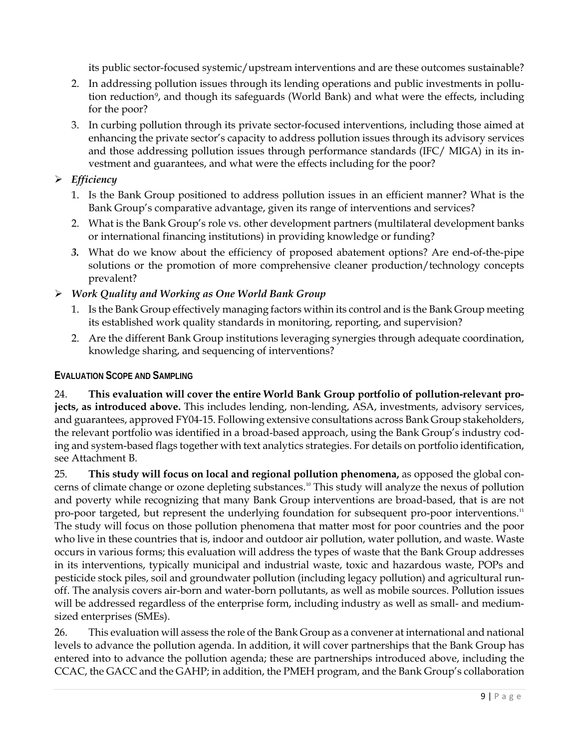its public sector-focused systemic/upstream interventions and are these outcomes sustainable?

- 2. In addressing pollution issues through its lending operations and public investments in pollution reduction[9](#page-19-8), and though its safeguards (World Bank) and what were the effects, including for the poor?
- 3. In curbing pollution through its private sector-focused interventions, including those aimed at enhancing the private sector's capacity to address pollution issues through its advisory services and those addressing pollution issues through performance standards (IFC/ MIGA) in its investment and guarantees, and what were the effects including for the poor?

### *Efficiency*

- 1. Is the Bank Group positioned to address pollution issues in an efficient manner? What is the Bank Group's comparative advantage, given its range of interventions and services?
- 2. What is the Bank Group's role vs. other development partners (multilateral development banks or international financing institutions) in providing knowledge or funding?
- *3.* What do we know about the efficiency of proposed abatement options? Are end-of-the-pipe solutions or the promotion of more comprehensive cleaner production/technology concepts prevalent?

#### *Work Quality and Working as One World Bank Group*

- 1. Is the Bank Group effectively managing factors within its control and is the Bank Group meeting its established work quality standards in monitoring, reporting, and supervision?
- 2. Are the different Bank Group institutions leveraging synergies through adequate coordination, knowledge sharing, and sequencing of interventions?

#### **EVALUATION SCOPE AND SAMPLING**

24. **This evaluation will cover the entire World Bank Group portfolio of pollution-relevant projects, as introduced above.** This includes lending, non-lending, ASA, investments, advisory services, and guarantees, approved FY04-15. Following extensive consultations across Bank Group stakeholders, the relevant portfolio was identified in a broad-based approach, using the Bank Group's industry coding and system-based flags together with text analytics strategies. For details on portfolio identification, see Attachment B.

25. **This study will focus on local and regional pollution phenomena,** as opposed the global con-cerns of climate change or ozone depleting substances.<sup>[10](#page-19-9)</sup> This study will analyze the nexus of pollution and poverty while recognizing that many Bank Group interventions are broad-based, that is are not pro-poor targeted, but represent the underlying foundation for subsequent pro-poor interventions.<sup>[11](#page-19-10)</sup> The study will focus on those pollution phenomena that matter most for poor countries and the poor who live in these countries that is, indoor and outdoor air pollution, water pollution, and waste. Waste occurs in various forms; this evaluation will address the types of waste that the Bank Group addresses in its interventions, typically municipal and industrial waste, toxic and hazardous waste, POPs and pesticide stock piles, soil and groundwater pollution (including legacy pollution) and agricultural runoff. The analysis covers air-born and water-born pollutants, as well as mobile sources. Pollution issues will be addressed regardless of the enterprise form, including industry as well as small- and mediumsized enterprises (SMEs).

26. This evaluation will assess the role of the Bank Group as a convener at international and national levels to advance the pollution agenda. In addition, it will cover partnerships that the Bank Group has entered into to advance the pollution agenda; these are partnerships introduced above, including the CCAC, the GACC and the GAHP; in addition, the PMEH program, and the Bank Group's collaboration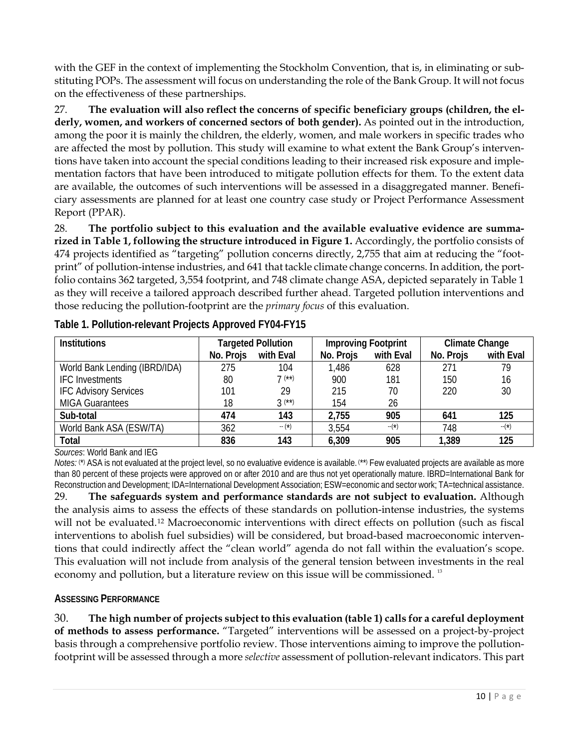with the GEF in the context of implementing the Stockholm Convention, that is, in eliminating or substituting POPs. The assessment will focus on understanding the role of the Bank Group. It will not focus on the effectiveness of these partnerships.

27. **The evaluation will also reflect the concerns of specific beneficiary groups (children, the elderly, women, and workers of concerned sectors of both gender).** As pointed out in the introduction, among the poor it is mainly the children, the elderly, women, and male workers in specific trades who are affected the most by pollution. This study will examine to what extent the Bank Group's interventions have taken into account the special conditions leading to their increased risk exposure and implementation factors that have been introduced to mitigate pollution effects for them. To the extent data are available, the outcomes of such interventions will be assessed in a disaggregated manner. Beneficiary assessments are planned for at least one country case study or Project Performance Assessment Report (PPAR).

28. **The portfolio subject to this evaluation and the available evaluative evidence are summarized in Table 1, following the structure introduced in Figure 1.** Accordingly, the portfolio consists of 474 projects identified as "targeting" pollution concerns directly, 2,755 that aim at reducing the "footprint" of pollution-intense industries, and 641 that tackle climate change concerns. In addition, the portfolio contains 362 targeted, 3,554 footprint, and 748 climate change ASA, depicted separately in Table 1 as they will receive a tailored approach described further ahead. Targeted pollution interventions and those reducing the pollution-footprint are the *primary focus* of this evaluation.

| <b>Institutions</b>           |                        | <b>Targeted Pollution</b> |           | <b>Improving Footprint</b> | <b>Climate Change</b> |           |
|-------------------------------|------------------------|---------------------------|-----------|----------------------------|-----------------------|-----------|
|                               | No. Projs<br>with Eval |                           | No. Projs | with Eval                  | No. Projs             | with Eval |
| World Bank Lending (IBRD/IDA) | 275                    | 104                       | 1,486     | 628                        | 271                   | 79        |
| <b>IFC</b> Investments        | 80                     | $7^{(*)}$                 | 900       | 181                        | 150                   | 16        |
| <b>IFC Advisory Services</b>  | 101                    | 29                        | 215       | 70                         | 220                   | 30        |
| <b>MIGA Guarantees</b>        | 18                     | $3^{(*)}$                 | 154       | 26                         |                       |           |
| Sub-total                     | 474                    | 143                       | 2,755     | 905                        | 641                   | 125       |
| World Bank ASA (ESW/TA)       | 362                    | $-(*)$                    | 3,554     | $-(*)$                     | 748                   | $-$ (*)   |
| Total                         | 836                    | 143                       | 6,309     | 905                        | 1.389                 | 125       |

**Table 1. Pollution-relevant Projects Approved FY04-FY15**

*Sources*: World Bank and IEG

*Notes:* (\*) ASA is not evaluated at the project level, so no evaluative evidence is available. (\*\*) Few evaluated projects are available as more than 80 percent of these projects were approved on or after 2010 and are thus not yet operationally mature. IBRD=International Bank for Reconstruction and Development; IDA=International Development Association; ESW=economic and sector work; TA=technical assistance.

29. **The safeguards system and performance standards are not subject to evaluation.** Although the analysis aims to assess the effects of these standards on pollution-intense industries, the systems will not be evaluated.[12](#page-19-11) Macroeconomic interventions with direct effects on pollution (such as fiscal interventions to abolish fuel subsidies) will be considered, but broad-based macroeconomic interventions that could indirectly affect the "clean world" agenda do not fall within the evaluation's scope. This evaluation will not include from analysis of the general tension between investments in the real economy and pollution, but a literature review on this issue will be commissioned. [13](#page-19-12)

### **ASSESSING PERFORMANCE**

30. **The high number of projects subject to this evaluation (table 1) calls for a careful deployment of methods to assess performance.** "Targeted" interventions will be assessed on a project-by-project basis through a comprehensive portfolio review. Those interventions aiming to improve the pollutionfootprint will be assessed through a more *selective* assessment of pollution-relevant indicators. This part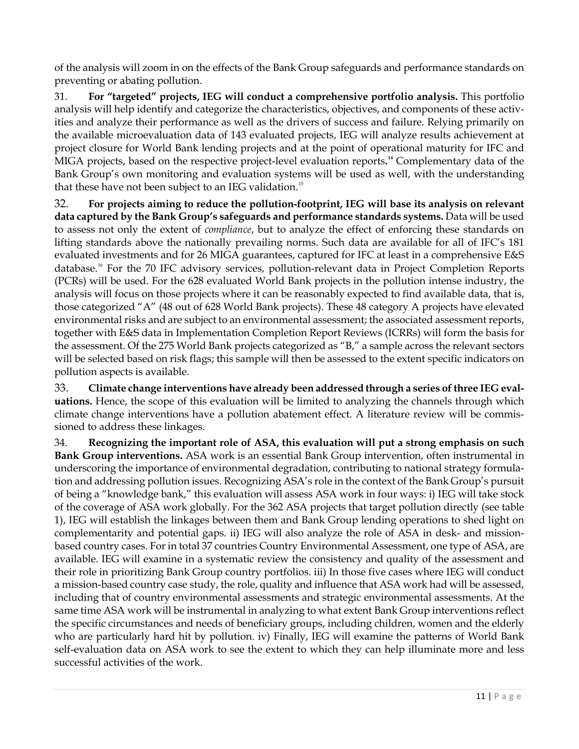of the analysis will zoom in on the effects of the Bank Group safeguards and performance standards on preventing or abating pollution.

31. **For "targeted" projects, IEG will conduct a comprehensive portfolio analysis.** This portfolio analysis will help identify and categorize the characteristics, objectives, and components of these activities and analyze their performance as well as the drivers of success and failure. Relying primarily on the available microevaluation data of 143 evaluated projects, IEG will analyze results achievement at project closure for World Bank lending projects and at the point of operational maturity for IFC and MIGA projects, based on the respective project-level evaluation reports**. [14](#page-19-13)** Complementary data of the Bank Group's own monitoring and evaluation systems will be used as well, with the understanding that these have not been subject to an IEG validation.<sup>[15](#page-19-14)</sup>

32. **For projects aiming to reduce the pollution-footprint, IEG will base its analysis on relevant data captured by the Bank Group's safeguards and performance standards systems.** Data will be used to assess not only the extent of *compliance*, but to analyze the effect of enforcing these standards on lifting standards above the nationally prevailing norms. Such data are available for all of IFC's 181 evaluated investments and for 26 MIGA guarantees, captured for IFC at least in a comprehensive E&S database. [16](#page-19-15) For the 70 IFC advisory services, pollution-relevant data in Project Completion Reports (PCRs) will be used. For the 628 evaluated World Bank projects in the pollution intense industry, the analysis will focus on those projects where it can be reasonably expected to find available data, that is, those categorized "A" (48 out of 628 World Bank projects). These 48 category A projects have elevated environmental risks and are subject to an environmental assessment; the associated assessment reports, together with E&S data in Implementation Completion Report Reviews (ICRRs) will form the basis for the assessment. Of the 275 World Bank projects categorized as "B," a sample across the relevant sectors will be selected based on risk flags; this sample will then be assessed to the extent specific indicators on pollution aspects is available.

33. **Climate change interventions have already been addressed through a series of three IEG evaluations.** Hence, the scope of this evaluation will be limited to analyzing the channels through which climate change interventions have a pollution abatement effect. A literature review will be commissioned to address these linkages.

34. **Recognizing the important role of ASA, this evaluation will put a strong emphasis on such Bank Group interventions.** ASA work is an essential Bank Group intervention, often instrumental in underscoring the importance of environmental degradation, contributing to national strategy formulation and addressing pollution issues. Recognizing ASA's role in the context of the Bank Group's pursuit of being a "knowledge bank," this evaluation will assess ASA work in four ways: i) IEG will take stock of the coverage of ASA work globally. For the 362 ASA projects that target pollution directly (see table 1), IEG will establish the linkages between them and Bank Group lending operations to shed light on complementarity and potential gaps. ii) IEG will also analyze the role of ASA in desk- and missionbased country cases. For in total 37 countries Country Environmental Assessment, one type of ASA, are available. IEG will examine in a systematic review the consistency and quality of the assessment and their role in prioritizing Bank Group country portfolios. iii) In those five cases where IEG will conduct a mission-based country case study, the role, quality and influence that ASA work had will be assessed, including that of country environmental assessments and strategic environmental assessments. At the same time ASA work will be instrumental in analyzing to what extent Bank Group interventions reflect the specific circumstances and needs of beneficiary groups, including children, women and the elderly who are particularly hard hit by pollution. iv) Finally, IEG will examine the patterns of World Bank self-evaluation data on ASA work to see the extent to which they can help illuminate more and less successful activities of the work.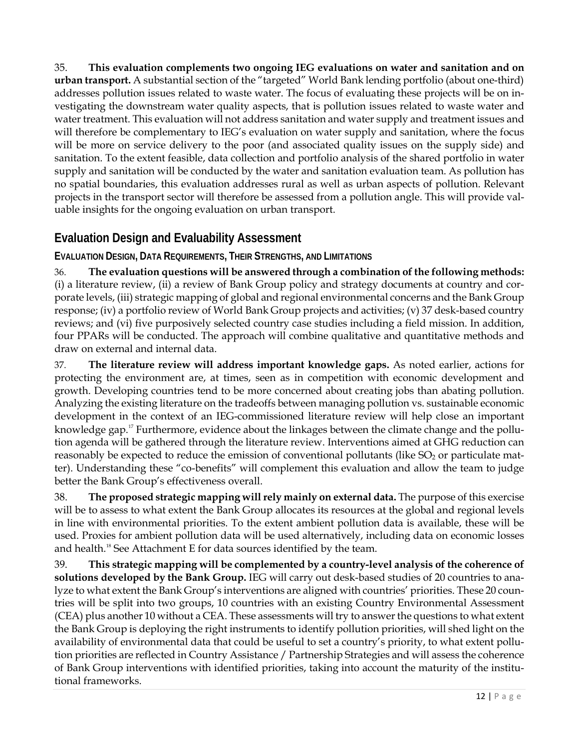35. **This evaluation complements two ongoing IEG evaluations on water and sanitation and on urban transport.** A substantial section of the "targeted" World Bank lending portfolio (about one-third) addresses pollution issues related to waste water. The focus of evaluating these projects will be on investigating the downstream water quality aspects, that is pollution issues related to waste water and water treatment. This evaluation will not address sanitation and water supply and treatment issues and will therefore be complementary to IEG's evaluation on water supply and sanitation, where the focus will be more on service delivery to the poor (and associated quality issues on the supply side) and sanitation. To the extent feasible, data collection and portfolio analysis of the shared portfolio in water supply and sanitation will be conducted by the water and sanitation evaluation team. As pollution has no spatial boundaries, this evaluation addresses rural as well as urban aspects of pollution. Relevant projects in the transport sector will therefore be assessed from a pollution angle. This will provide valuable insights for the ongoing evaluation on urban transport.

## **Evaluation Design and Evaluability Assessment**

### **EVALUATION DESIGN, DATA REQUIREMENTS, THEIR STRENGTHS, AND LIMITATIONS**

36. **The evaluation questions will be answered through a combination of the following methods:**  (i) a literature review, (ii) a review of Bank Group policy and strategy documents at country and corporate levels, (iii) strategic mapping of global and regional environmental concerns and the Bank Group response; (iv) a portfolio review of World Bank Group projects and activities; (v) 37 desk-based country reviews; and (vi) five purposively selected country case studies including a field mission. In addition, four PPARs will be conducted. The approach will combine qualitative and quantitative methods and draw on external and internal data.

37. **The literature review will address important knowledge gaps.** As noted earlier, actions for protecting the environment are, at times, seen as in competition with economic development and growth. Developing countries tend to be more concerned about creating jobs than abating pollution. Analyzing the existing literature on the tradeoffs between managing pollution vs. sustainable economic development in the context of an IEG-commissioned literature review will help close an important knowledge gap." Furthermore, evidence about the linkages between the climate change and the pollution agenda will be gathered through the literature review. Interventions aimed at GHG reduction can reasonably be expected to reduce the emission of conventional pollutants (like  $SO<sub>2</sub>$  or particulate matter). Understanding these "co-benefits" will complement this evaluation and allow the team to judge better the Bank Group's effectiveness overall.

38. **The proposed strategic mapping will rely mainly on external data.** The purpose of this exercise will be to assess to what extent the Bank Group allocates its resources at the global and regional levels in line with environmental priorities. To the extent ambient pollution data is available, these will be used. Proxies for ambient pollution data will be used alternatively, including data on economic losses and health.<sup>[18](#page-19-17)</sup> See Attachment E for data sources identified by the team.

39. **This strategic mapping will be complemented by a country-level analysis of the coherence of solutions developed by the Bank Group.** IEG will carry out desk-based studies of 20 countries to analyze to what extent the Bank Group's interventions are aligned with countries' priorities. These 20 countries will be split into two groups, 10 countries with an existing Country Environmental Assessment (CEA) plus another 10 without a CEA. These assessments will try to answer the questions to what extent the Bank Group is deploying the right instruments to identify pollution priorities, will shed light on the availability of environmental data that could be useful to set a country's priority, to what extent pollution priorities are reflected in Country Assistance / Partnership Strategies and will assess the coherence of Bank Group interventions with identified priorities, taking into account the maturity of the institutional frameworks.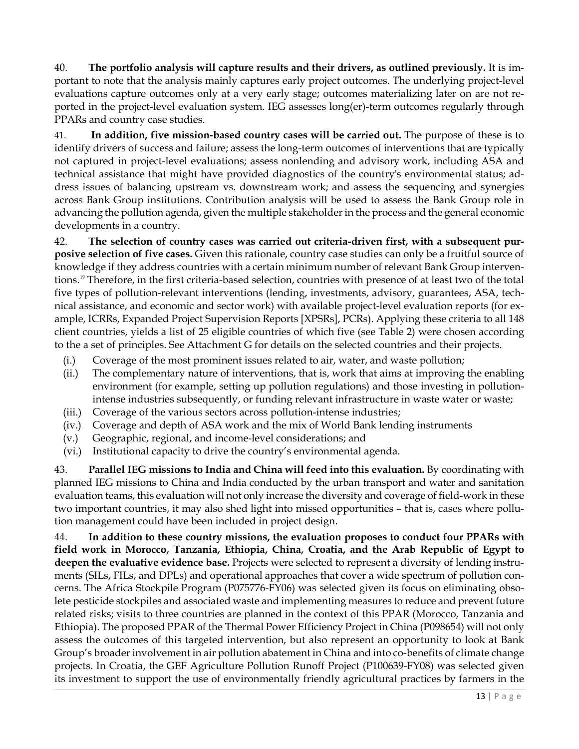40. **The portfolio analysis will capture results and their drivers, as outlined previously.** It is important to note that the analysis mainly captures early project outcomes. The underlying project-level evaluations capture outcomes only at a very early stage; outcomes materializing later on are not reported in the project-level evaluation system. IEG assesses long(er)-term outcomes regularly through PPARs and country case studies.

41. **In addition, five mission-based country cases will be carried out.** The purpose of these is to identify drivers of success and failure; assess the long-term outcomes of interventions that are typically not captured in project-level evaluations; assess nonlending and advisory work, including ASA and technical assistance that might have provided diagnostics of the country's environmental status; address issues of balancing upstream vs. downstream work; and assess the sequencing and synergies across Bank Group institutions. Contribution analysis will be used to assess the Bank Group role in advancing the pollution agenda, given the multiple stakeholder in the process and the general economic developments in a country.

42. **The selection of country cases was carried out criteria-driven first, with a subsequent purposive selection of five cases.** Given this rationale, country case studies can only be a fruitful source of knowledge if they address countries with a certain minimum number of relevant Bank Group interventions.[19](#page-19-18) Therefore, in the first criteria-based selection, countries with presence of at least two of the total five types of pollution-relevant interventions (lending, investments, advisory, guarantees, ASA, technical assistance, and economic and sector work) with available project-level evaluation reports (for example, ICRRs, Expanded Project Supervision Reports [XPSRs], PCRs). Applying these criteria to all 148 client countries, yields a list of 25 eligible countries of which five (see Table 2) were chosen according to the a set of principles. See Attachment G for details on the selected countries and their projects.

- (i.) Coverage of the most prominent issues related to air, water, and waste pollution;
- (ii.) The complementary nature of interventions, that is, work that aims at improving the enabling environment (for example, setting up pollution regulations) and those investing in pollutionintense industries subsequently, or funding relevant infrastructure in waste water or waste;
- (iii.) Coverage of the various sectors across pollution-intense industries;
- (iv.) Coverage and depth of ASA work and the mix of World Bank lending instruments
- (v.) Geographic, regional, and income-level considerations; and
- (vi.) Institutional capacity to drive the country's environmental agenda.

43. **Parallel IEG missions to India and China will feed into this evaluation.** By coordinating with planned IEG missions to China and India conducted by the urban transport and water and sanitation evaluation teams, this evaluation will not only increase the diversity and coverage of field-work in these two important countries, it may also shed light into missed opportunities – that is, cases where pollution management could have been included in project design.

44. **In addition to these country missions, the evaluation proposes to conduct four PPARs with field work in Morocco, Tanzania, Ethiopia, China, Croatia, and the Arab Republic of Egypt to deepen the evaluative evidence base.** Projects were selected to represent a diversity of lending instruments (SILs, FILs, and DPLs) and operational approaches that cover a wide spectrum of pollution concerns. The Africa Stockpile Program (P075776-FY06) was selected given its focus on eliminating obsolete pesticide stockpiles and associated waste and implementing measures to reduce and prevent future related risks; visits to three countries are planned in the context of this PPAR (Morocco, Tanzania and Ethiopia). The proposed PPAR of the Thermal Power Efficiency Project in China (P098654) will not only assess the outcomes of this targeted intervention, but also represent an opportunity to look at Bank Group's broader involvement in air pollution abatement in China and into co-benefits of climate change projects. In Croatia, the GEF Agriculture Pollution Runoff Project (P100639-FY08) was selected given its investment to support the use of environmentally friendly agricultural practices by farmers in the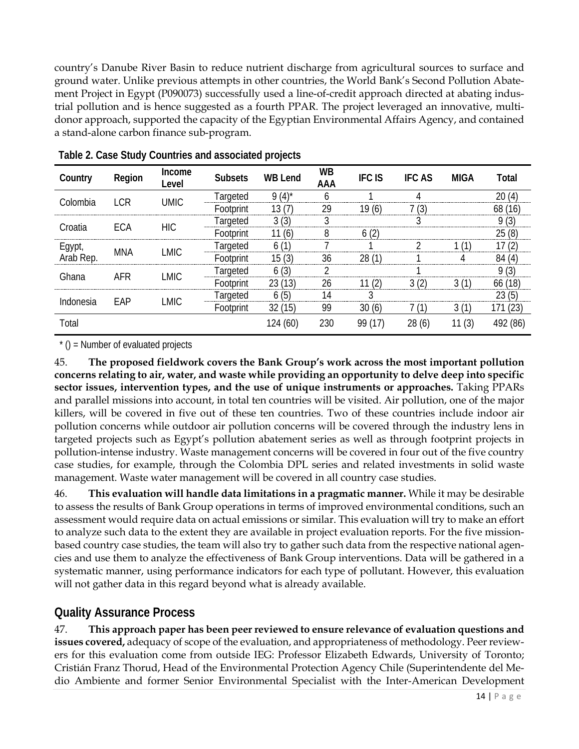country's Danube River Basin to reduce nutrient discharge from agricultural sources to surface and ground water. Unlike previous attempts in other countries, the World Bank's Second Pollution Abatement Project in Egypt (P090073) successfully used a line-of-credit approach directed at abating industrial pollution and is hence suggested as a fourth PPAR. The project leveraged an innovative, multidonor approach, supported the capacity of the Egyptian Environmental Affairs Agency, and contained a stand-alone carbon finance sub-program.

| Country   | Region | Income<br>Level | <b>Subsets</b> | <b>WB Lend</b>      | WB<br>AAA | <b>IFC IS</b> | <b>IFC AS</b> | MIGA | Total      |
|-----------|--------|-----------------|----------------|---------------------|-----------|---------------|---------------|------|------------|
| Colombia  | I CR   | UMIC            | Targeted       | $(4)^{*}$           |           |               |               |      |            |
|           |        |                 | ⊦∩∩tnrint      |                     | 29        | 10<br>(6)     | 3             |      | 68<br>(16) |
| Croatia   | ECA    | <b>HIC</b>      | argeted        | 3(3)                |           |               |               |      | (3)        |
|           |        |                 | Footprint      | 1 (6)               | 8         | 2<br>O.       |               |      | 25(8)      |
| Egypt,    | MNA    | LMIC            | I argeted<br>  |                     |           |               |               |      |            |
| Arab Rep. |        |                 | -ootnrint      | 15 (3)              | 36        |               |               |      |            |
| Ghana     | AFR    | LMIC            | l argeted      | (3)<br><sub>0</sub> |           |               |               |      | (3)        |
|           |        |                 | Footprint      | 13)<br>23.          | 26        |               |               |      | 66 (18)    |
| Indonesia | EAP    | LMIC            | I argeted      | 6(5)                | 14        |               |               |      | (5)        |
|           |        |                 | Footprint      | (15)                | 99        | 30(6)         |               |      | (23)       |
| Total     |        |                 |                | 124 (60)            | 230       | 17)<br>99.    | 28 (6)        | (3)  |            |

**Table 2. Case Study Countries and associated projects**

 $*$  () = Number of evaluated projects

45. **The proposed fieldwork covers the Bank Group's work across the most important pollution concerns relating to air, water, and waste while providing an opportunity to delve deep into specific sector issues, intervention types, and the use of unique instruments or approaches.** Taking PPARs and parallel missions into account, in total ten countries will be visited. Air pollution, one of the major killers, will be covered in five out of these ten countries. Two of these countries include indoor air pollution concerns while outdoor air pollution concerns will be covered through the industry lens in targeted projects such as Egypt's pollution abatement series as well as through footprint projects in pollution-intense industry. Waste management concerns will be covered in four out of the five country case studies, for example, through the Colombia DPL series and related investments in solid waste management. Waste water management will be covered in all country case studies.

46. **This evaluation will handle data limitations in a pragmatic manner.** While it may be desirable to assess the results of Bank Group operations in terms of improved environmental conditions, such an assessment would require data on actual emissions or similar. This evaluation will try to make an effort to analyze such data to the extent they are available in project evaluation reports. For the five missionbased country case studies, the team will also try to gather such data from the respective national agencies and use them to analyze the effectiveness of Bank Group interventions. Data will be gathered in a systematic manner, using performance indicators for each type of pollutant. However, this evaluation will not gather data in this regard beyond what is already available.

## **Quality Assurance Process**

47. **This approach paper has been peer reviewed to ensure relevance of evaluation questions and issues covered,** adequacy of scope of the evaluation, and appropriateness of methodology. Peer reviewers for this evaluation come from outside IEG: Professor Elizabeth Edwards, University of Toronto; Cristián Franz Thorud, Head of the Environmental Protection Agency Chile (Superintendente del Medio Ambiente and former Senior Environmental Specialist with the Inter-American Development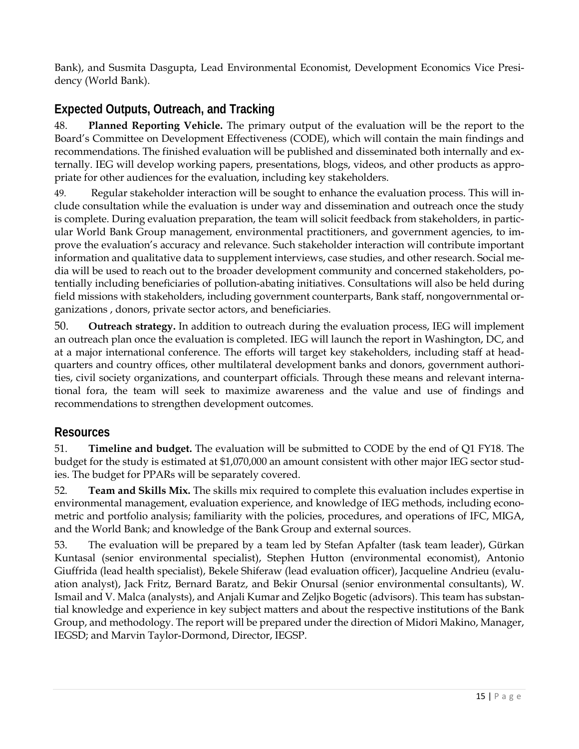Bank), and Susmita Dasgupta, Lead Environmental Economist, Development Economics Vice Presidency (World Bank).

## **Expected Outputs, Outreach, and Tracking**

48. **Planned Reporting Vehicle.** The primary output of the evaluation will be the report to the Board's Committee on Development Effectiveness (CODE), which will contain the main findings and recommendations. The finished evaluation will be published and disseminated both internally and externally. IEG will develop working papers, presentations, blogs, videos, and other products as appropriate for other audiences for the evaluation, including key stakeholders.

49. Regular stakeholder interaction will be sought to enhance the evaluation process. This will include consultation while the evaluation is under way and dissemination and outreach once the study is complete. During evaluation preparation, the team will solicit feedback from stakeholders, in particular World Bank Group management, environmental practitioners, and government agencies, to improve the evaluation's accuracy and relevance. Such stakeholder interaction will contribute important information and qualitative data to supplement interviews, case studies, and other research. Social media will be used to reach out to the broader development community and concerned stakeholders, potentially including beneficiaries of pollution-abating initiatives. Consultations will also be held during field missions with stakeholders, including government counterparts, Bank staff, nongovernmental organizations , donors, private sector actors, and beneficiaries.

50. **Outreach strategy.** In addition to outreach during the evaluation process, IEG will implement an outreach plan once the evaluation is completed. IEG will launch the report in Washington, DC, and at a major international conference. The efforts will target key stakeholders, including staff at headquarters and country offices, other multilateral development banks and donors, government authorities, civil society organizations, and counterpart officials. Through these means and relevant international fora, the team will seek to maximize awareness and the value and use of findings and recommendations to strengthen development outcomes.

## **Resources**

51. **Timeline and budget.** The evaluation will be submitted to CODE by the end of Q1 FY18. The budget for the study is estimated at \$1,070,000 an amount consistent with other major IEG sector studies. The budget for PPARs will be separately covered.

52. **Team and Skills Mix.** The skills mix required to complete this evaluation includes expertise in environmental management, evaluation experience, and knowledge of IEG methods, including econometric and portfolio analysis; familiarity with the policies, procedures, and operations of IFC, MIGA, and the World Bank; and knowledge of the Bank Group and external sources.

53. The evaluation will be prepared by a team led by Stefan Apfalter (task team leader), Gürkan Kuntasal (senior environmental specialist), Stephen Hutton (environmental economist), Antonio Giuffrida (lead health specialist), Bekele Shiferaw (lead evaluation officer), Jacqueline Andrieu (evaluation analyst), Jack Fritz, Bernard Baratz, and Bekir Onursal (senior environmental consultants), W. Ismail and V. Malca (analysts), and Anjali Kumar and Zeljko Bogetic (advisors). This team has substantial knowledge and experience in key subject matters and about the respective institutions of the Bank Group, and methodology. The report will be prepared under the direction of Midori Makino, Manager, IEGSD; and Marvin Taylor-Dormond, Director, IEGSP.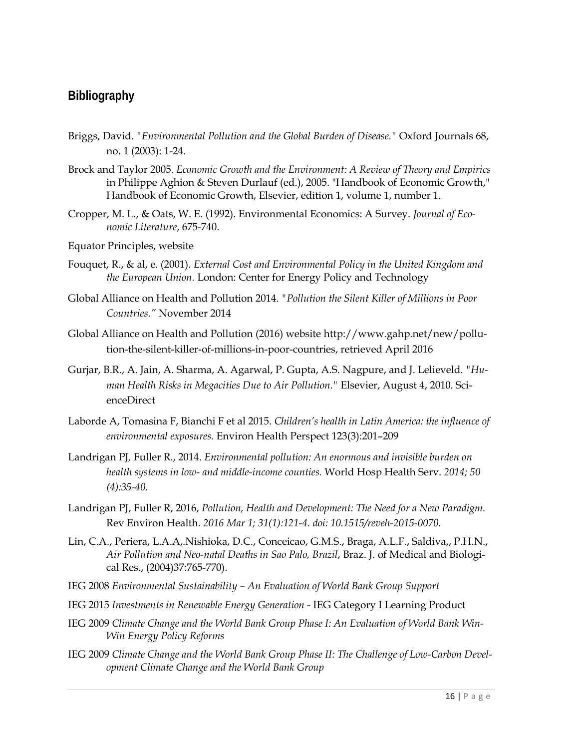### **Bibliography**

- Briggs, David. *"Environmental Pollution and the Global Burden of Disease."* Oxford Journals 68, no. 1 (2003): 1-24.
- Brock and Taylor 2005. *Economic Growth and the Environment: A Review of Theory and Empirics* in Philippe Aghion & Steven Durlauf (ed.), 2005. ["Handbook of Economic Growth,](https://ideas.repec.org/b/eee/growth/1.html)" [Handbook of Economic Growth,](https://ideas.repec.org/s/eee/growth.html) Elsevier, edition 1, volume 1, number 1.
- Cropper, M. L., & Oats, W. E. (1992). Environmental Economics: A Survey. *Journal of Economic Literature*, 675-740.
- Equator Principles, website
- Fouquet, R., & al, e. (2001). *External Cost and Environmental Policy in the United Kingdom and the European Union.* London: Center for Energy Policy and Technology
- Global Alliance on Health and Pollution 2014. *"Pollution the Silent Killer of Millions in Poor Countries."* November 2014
- Global Alliance on Health and Pollution (2016) website http://www.gahp.net/new/pollution-the-silent-killer-of-millions-in-poor-countries, retrieved April 2016
- Gurjar, B.R., A. Jain, A. Sharma, A. Agarwal, P. Gupta, A.S. Nagpure, and J. Lelieveld. *"Human Health Risks in Megacities Due to Air Pollution."* Elsevier, August 4, 2010. ScienceDirect
- Laborde A, Tomasina F, Bianchi F et al 2015. *Children's health in Latin America: the influence of environmental exposures.* Environ Health Perspect 123(3):201–209
- [Landrigan PJ](http://www.ncbi.nlm.nih.gov/pubmed/?term=Landrigan%20PJ%5BAuthor%5D&cauthor=true&cauthor_uid=25985560)*,* [Fuller R.](http://www.ncbi.nlm.nih.gov/pubmed/?term=Fuller%20R%5BAuthor%5D&cauthor=true&cauthor_uid=25985560), 2014. *Environmental pollution: An enormous and invisible burden on health systems in low- and middle-income counties.* [World Hosp Health Serv.](http://www.ncbi.nlm.nih.gov/pubmed/25985560) *2014; 50 (4):35-40.*
- [Landrigan PJ,](http://www.ncbi.nlm.nih.gov/pubmed/?term=Landrigan%20PJ%5BAuthor%5D&cauthor=true&cauthor_uid=26943599) [Fuller R,](http://www.ncbi.nlm.nih.gov/pubmed/?term=Fuller%20R%5BAuthor%5D&cauthor=true&cauthor_uid=26943599) 2016, *Pollution, Health and Development: The Need for a New Paradigm.*  [Rev Environ Health.](http://www.ncbi.nlm.nih.gov/pubmed/26943599) *2016 Mar 1; 31(1):121-4. doi: 10.1515/reveh-2015-0070.*
- Lin, C.A., Periera, L.A.A,.Nishioka, D.C., Conceicao, G.M.S., Braga, A.L.F., Saldiva,, P.H.N., *Air Pollution and Neo-natal Deaths in Sao Palo, Brazil*, Braz. J. of Medical and Biological Res., (2004)37:765-770).
- IEG 2008 *Environmental Sustainability – An Evaluation of World Bank Group Support*
- IEG 2015 *Investments in Renewable Energy Generation* IEG Category I Learning Product
- IEG 2009 *Climate Change and the World Bank Group Phase I: An Evaluation of World Bank Win-Win Energy Policy Reforms*
- IEG 2009 *Climate Change and the World Bank Group Phase II: The Challenge of Low-Carbon Development Climate Change and the World Bank Group*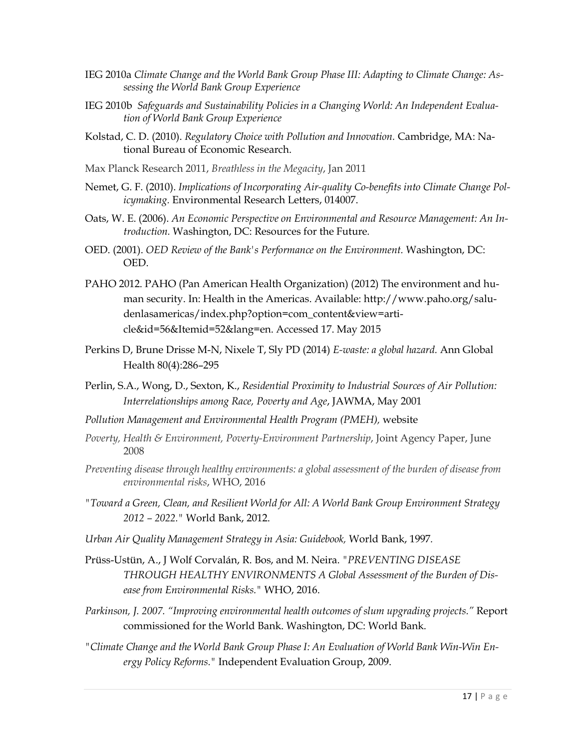- IEG 2010a *Climate Change and the World Bank Group Phase III: Adapting to Climate Change: Assessing the World Bank Group Experience*
- IEG 2010b *Safeguards and Sustainability Policies in a Changing World: An Independent Evaluation of World Bank Group Experience*
- Kolstad, C. D. (2010). *Regulatory Choice with Pollution and Innovation.* Cambridge, MA: National Bureau of Economic Research.
- Max Planck Research 2011, *Breathless in the Megacity*, Jan 2011
- Nemet, G. F. (2010). *Implications of Incorporating Air-quality Co-benefits into Climate Change Policymaking.* Environmental Research Letters, 014007.
- Oats, W. E. (2006). *An Economic Perspective on Environmental and Resource Management: An Introduction.* Washington, DC: Resources for the Future*.*
- OED. (2001). *OED Review of the Bank's Performance on the Environment.* Washington, DC: OED.
- PAHO 2012. PAHO (Pan American Health Organization) (2012) The environment and human security. In: Health in the Americas. Available: http://www.paho.org/saludenlasamericas/index.php?option=com\_content&view=article&id=56&Itemid=52&lang=en. Accessed 17. May 2015
- Perkins D, Brune Drisse M-N, Nixele T, Sly PD (2014) *E-waste: a global hazard.* Ann Global Health 80(4):286–295
- Perlin, S.A., Wong, D., Sexton, K., *Residential Proximity to Industrial Sources of Air Pollution: Interrelationships among Race, Poverty and Age*, JAWMA, May 2001
- *Pollution Management and Environmental Health Program (PMEH),* website
- *Poverty, Health & Environment, Poverty-Environment Partnership*, Joint Agency Paper, June 2008
- *Preventing disease through healthy environments: a global assessment of the burden of disease from environmental risks*, WHO, 2016
- *"Toward a Green, Clean, and Resilient World for All: A World Bank Group Environment Strategy 2012 – 2022."* World Bank, 2012.
- *Urban Air Quality Management Strategy in Asia: Guidebook,* World Bank, 1997*.*
- Prüss-Ustün, A., J Wolf Corvalán, R. Bos, and M. Neira. *"PREVENTING DISEASE THROUGH HEALTHY ENVIRONMENTS A Global Assessment of the Burden of Disease from Environmental Risks."* WHO, 2016.
- *Parkinson, J. 2007. "Improving environmental health outcomes of slum upgrading projects."* Report commissioned for the World Bank. Washington, DC: World Bank.
- *"Climate Change and the World Bank Group Phase I: An Evaluation of World Bank Win-Win Energy Policy Reforms."* Independent Evaluation Group, 2009.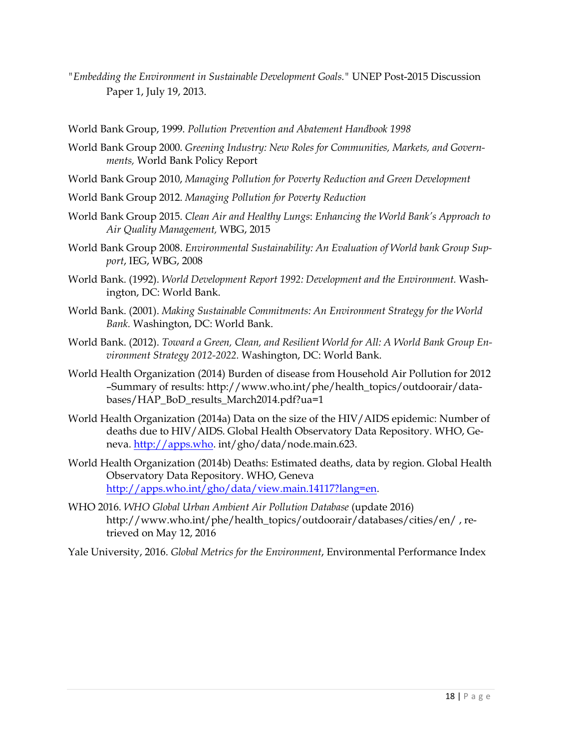- *"Embedding the Environment in Sustainable Development Goals."* UNEP Post-2015 Discussion Paper 1, July 19, 2013.
- World Bank Group, 1999. *Pollution Prevention and Abatement Handbook 1998*
- World Bank Group 2000. *Greening Industry: New Roles for Communities, Markets, and Governments,* World Bank Policy Report
- World Bank Group 2010, *Managing Pollution for Poverty Reduction and Green Development*
- World Bank Group 2012. *Managing Pollution for Poverty Reduction*
- World Bank Group 2015. *Clean Air and Healthy Lungs*: *Enhancing the World Bank's Approach to Air Quality Management,* WBG, 2015
- World Bank Group 2008. *Environmental Sustainability: An Evaluation of World bank Group Support*, IEG, WBG, 2008
- World Bank. (1992). *World Development Report 1992: Development and the Environment.* Washington, DC: World Bank.
- World Bank. (2001). *Making Sustainable Commitments: An Environment Strategy for the World Bank.* Washington, DC: World Bank.
- World Bank. (2012). *Toward a Green, Clean, and Resilient World for All: A World Bank Group Environment Strategy 2012-2022.* Washington, DC: World Bank.
- World Health Organization (2014) Burden of disease from Household Air Pollution for 2012 –Summary of results: http://www.who.int/phe/health\_topics/outdoorair/databases/HAP\_BoD\_results\_March2014.pdf?ua=1
- World Health Organization (2014a) Data on the size of the HIV/AIDS epidemic: Number of deaths due to HIV/AIDS. Global Health Observatory Data Repository. WHO, Geneva. [http://apps.who.](http://apps.who/) int/gho/data/node.main.623.
- World Health Organization (2014b) Deaths: Estimated deaths, data by region. Global Health Observatory Data Repository. WHO, Geneva [http://apps.who.int/gho/data/view.main.14117?lang=en.](http://apps.who.int/gho/data/view.main.14117?lang=en)
- WHO 2016. *WHO Global Urban Ambient Air Pollution Database* (update 2016) http://www.who.int/phe/health\_topics/outdoorair/databases/cities/en/ , retrieved on May 12, 2016
- Yale University, 2016. *Global Metrics for the Environment*, Environmental Performance Index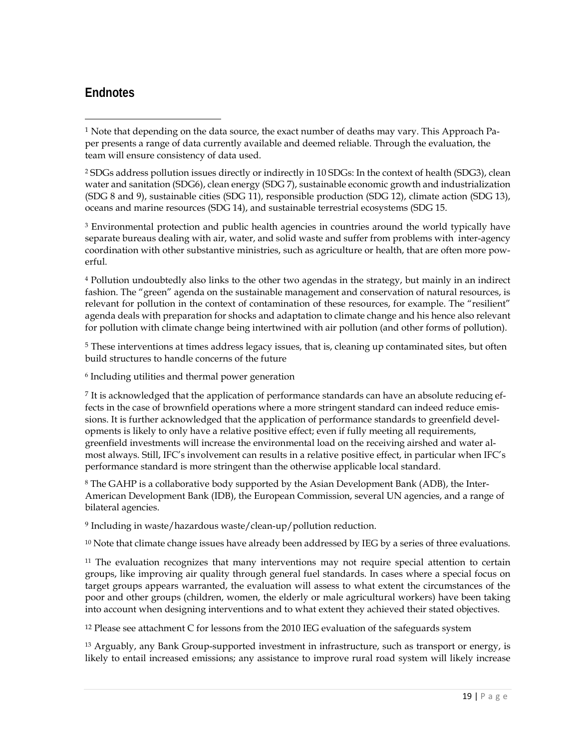## **Endnotes**

 $\overline{a}$ 

<sup>1</sup> Note that depending on the data source, the exact number of deaths may vary. This Approach Paper presents a range of data currently available and deemed reliable. Through the evaluation, the team will ensure consistency of data used.

<sup>2</sup> SDGs address pollution issues directly or indirectly in 10 SDGs: In the context of health (SDG3), clean water and sanitation (SDG6), clean energy (SDG 7), sustainable economic growth and industrialization (SDG 8 and 9), sustainable cities (SDG 11), responsible production (SDG 12), climate action (SDG 13), oceans and marine resources (SDG 14), and sustainable terrestrial ecosystems (SDG 15.

<sup>3</sup> Environmental protection and public health agencies in countries around the world typically have separate bureaus dealing with air, water, and solid waste and suffer from problems with inter-agency coordination with other substantive ministries, such as agriculture or health, that are often more powerful.

<sup>4</sup> Pollution undoubtedly also links to the other two agendas in the strategy, but mainly in an indirect fashion. The "green" agenda on the sustainable management and conservation of natural resources, is relevant for pollution in the context of contamination of these resources, for example. The "resilient" agenda deals with preparation for shocks and adaptation to climate change and his hence also relevant for pollution with climate change being intertwined with air pollution (and other forms of pollution).

<sup>5</sup> These interventions at times address legacy issues, that is, cleaning up contaminated sites, but often build structures to handle concerns of the future

<sup>6</sup> Including utilities and thermal power generation

<sup>7</sup> It is acknowledged that the application of performance standards can have an absolute reducing effects in the case of brownfield operations where a more stringent standard can indeed reduce emissions. It is further acknowledged that the application of performance standards to greenfield developments is likely to only have a relative positive effect; even if fully meeting all requirements, greenfield investments will increase the environmental load on the receiving airshed and water almost always. Still, IFC's involvement can results in a relative positive effect, in particular when IFC's performance standard is more stringent than the otherwise applicable local standard.

<sup>8</sup> The GAHP is a collaborative body supported by the Asian Development Bank (ADB), the Inter-American Development Bank (IDB), the European Commission, several UN agencies, and a range of bilateral agencies.

<sup>9</sup> Including in waste/hazardous waste/clean-up/pollution reduction.

 $10$  Note that climate change issues have already been addressed by IEG by a series of three evaluations.

<sup>11</sup> The evaluation recognizes that many interventions may not require special attention to certain groups, like improving air quality through general fuel standards. In cases where a special focus on target groups appears warranted, the evaluation will assess to what extent the circumstances of the poor and other groups (children, women, the elderly or male agricultural workers) have been taking into account when designing interventions and to what extent they achieved their stated objectives.

<sup>12</sup> Please see attachment C for lessons from the 2010 IEG evaluation of the safeguards system

<sup>13</sup> Arguably, any Bank Group-supported investment in infrastructure, such as transport or energy, is likely to entail increased emissions; any assistance to improve rural road system will likely increase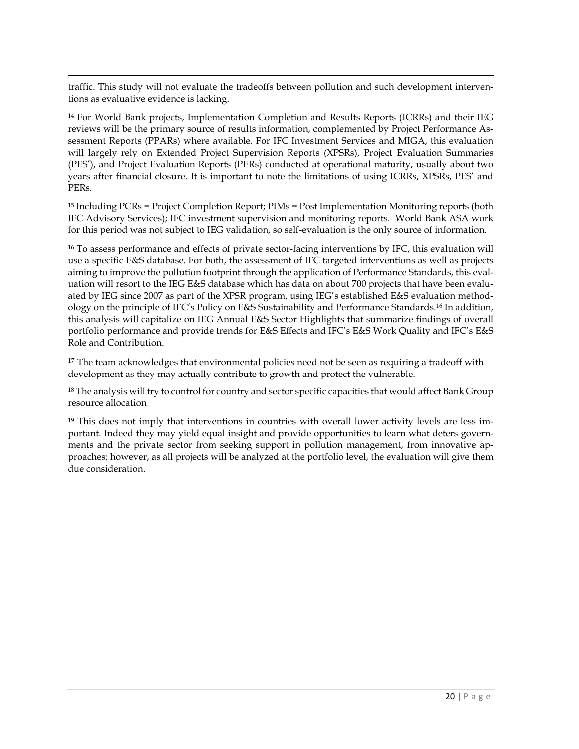$\overline{a}$ traffic. This study will not evaluate the tradeoffs between pollution and such development interventions as evaluative evidence is lacking.

<span id="page-19-13"></span><span id="page-19-0"></span><sup>14</sup> For World Bank projects, Implementation Completion and Results Reports (ICRRs) and their IEG reviews will be the primary source of results information, complemented by Project Performance Assessment Reports (PPARs) where available. For IFC Investment Services and MIGA, this evaluation will largely rely on Extended Project Supervision Reports (XPSRs), Project Evaluation Summaries (PES'), and Project Evaluation Reports (PERs) conducted at operational maturity, usually about two years after financial closure. It is important to note the limitations of using ICRRs, XPSRs, PES' and PERs.

<span id="page-19-14"></span><span id="page-19-2"></span><span id="page-19-1"></span><sup>15</sup> Including PCRs = Project Completion Report; PIMs = Post Implementation Monitoring reports (both IFC Advisory Services); IFC investment supervision and monitoring reports. World Bank ASA work for this period was not subject to IEG validation, so self-evaluation is the only source of information.

<span id="page-19-15"></span><span id="page-19-3"></span><sup>16</sup> To assess performance and effects of private sector-facing interventions by IFC, this evaluation will use a specific E&S database. For both, the assessment of IFC targeted interventions as well as projects aiming to improve the pollution footprint through the application of Performance Standards, this evaluation will resort to the IEG E&S database which has data on about 700 projects that have been evaluated by IEG since 2007 as part of the XPSR program, using IEG's established E&S evaluation methodology on the principle of IFC's Policy on E&S Sustainability and Performance Standards.16 In addition, this analysis will capitalize on IEG Annual E&S Sector Highlights that summarize findings of overall portfolio performance and provide trends for E&S Effects and IFC's E&S Work Quality and IFC's E&S Role and Contribution.

<span id="page-19-16"></span><span id="page-19-5"></span><span id="page-19-4"></span><sup>17</sup> The team acknowledges that environmental policies need not be seen as requiring a tradeoff with development as they may actually contribute to growth and protect the vulnerable.

<span id="page-19-17"></span><span id="page-19-6"></span><sup>18</sup> The analysis will try to control for country and sector specific capacities that would affect Bank Group resource allocation

<span id="page-19-18"></span><span id="page-19-12"></span><span id="page-19-11"></span><span id="page-19-10"></span><span id="page-19-9"></span><span id="page-19-8"></span><span id="page-19-7"></span><sup>19</sup> This does not imply that interventions in countries with overall lower activity levels are less important. Indeed they may yield equal insight and provide opportunities to learn what deters governments and the private sector from seeking support in pollution management, from innovative approaches; however, as all projects will be analyzed at the portfolio level, the evaluation will give them due consideration.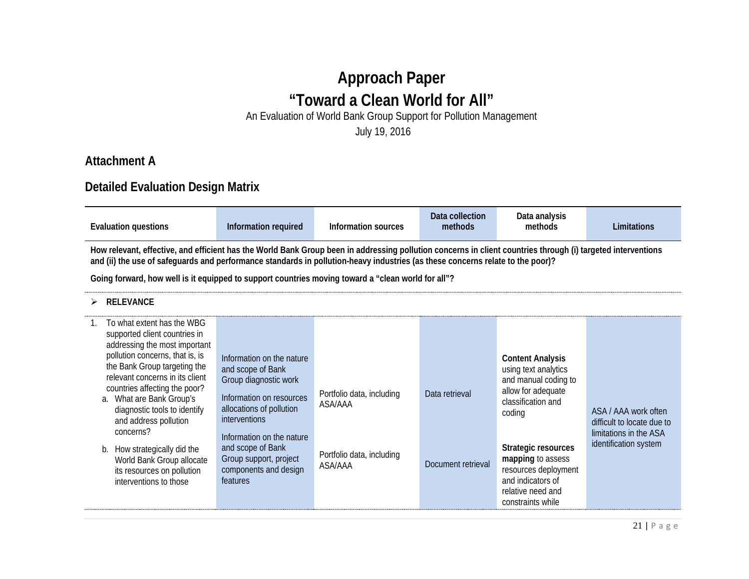# **Approach Paper "Toward a Clean World for All"** An Evaluation of World Bank Group Support for Pollution Management

July 19, 2016

## **Attachment A**

## **Detailed Evaluation Design Matrix**

| Evaluation questions                                                                                                                                       | Information required | Information sources | Data collection<br>methods | Data analvsis<br>methods | Limitations |
|------------------------------------------------------------------------------------------------------------------------------------------------------------|----------------------|---------------------|----------------------------|--------------------------|-------------|
| How relevant effective and efficient has the World Rank Croup been in addressing pollution concerns in client countries through (i) targeted interventions |                      |                     |                            |                          |             |

**How relevant, effective, and efficient has the World Bank Group been in addressing pollution concerns in client countries through (i) targeted interventions and (ii) the use of safeguards and performance standards in pollution-heavy industries (as these concerns relate to the poor)?**

**Going forward, how well is it equipped to support countries moving toward a "clean world for all"?**

#### **RELEVANCE**

| To what extent has the WBG<br>supported client countries in<br>addressing the most important<br>pollution concerns, that is, is<br>the Bank Group targeting the<br>relevant concerns in its client<br>countries affecting the poor?<br>a. What are Bank Group's<br>diagnostic tools to identify<br>and address pollution<br>concerns?<br>How strategically did the<br>b.<br>World Bank Group allocate<br>its resources on pollution<br>interventions to those | Information on the nature<br>and scope of Bank<br>Group diagnostic work<br>Information on resources<br>allocations of pollution<br><i>interventions</i><br>Information on the nature<br>and scope of Bank<br>Group support, project<br>components and design<br>features | Portfolio data, including<br>ASA/AAA<br>Portfolio data, including<br>ASA/AAA | Data retrieval<br>Document retrieval | <b>Content Analysis</b><br>using text analytics<br>and manual coding to<br>allow for adequate<br>classification and<br>coding<br>Strategic resources<br>mapping to assess<br>resources deployment<br>and indicators of<br>relative need and<br>constraints while | ASA / AAA work often<br>difficult to locate due to<br>limitations in the ASA<br>identification system |
|---------------------------------------------------------------------------------------------------------------------------------------------------------------------------------------------------------------------------------------------------------------------------------------------------------------------------------------------------------------------------------------------------------------------------------------------------------------|--------------------------------------------------------------------------------------------------------------------------------------------------------------------------------------------------------------------------------------------------------------------------|------------------------------------------------------------------------------|--------------------------------------|------------------------------------------------------------------------------------------------------------------------------------------------------------------------------------------------------------------------------------------------------------------|-------------------------------------------------------------------------------------------------------|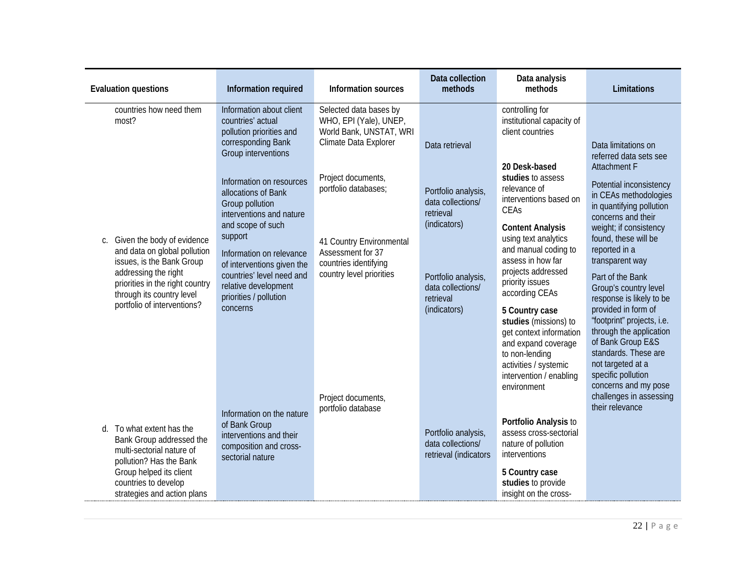| <b>Evaluation questions</b>                                                                                                                                                      | Information required                                                                                                                              | <b>Information sources</b>                                                                           | Data collection<br>methods                                            | Data analysis<br>methods                                                                                                                                                                          | Limitations                                                                                                                                                                                                    |
|----------------------------------------------------------------------------------------------------------------------------------------------------------------------------------|---------------------------------------------------------------------------------------------------------------------------------------------------|------------------------------------------------------------------------------------------------------|-----------------------------------------------------------------------|---------------------------------------------------------------------------------------------------------------------------------------------------------------------------------------------------|----------------------------------------------------------------------------------------------------------------------------------------------------------------------------------------------------------------|
| countries how need them<br>most?                                                                                                                                                 | Information about client<br>countries' actual<br>pollution priorities and<br>corresponding Bank<br>Group interventions                            | Selected data bases by<br>WHO, EPI (Yale), UNEP,<br>World Bank, UNSTAT, WRI<br>Climate Data Explorer | Data retrieval                                                        | controlling for<br>institutional capacity of<br>client countries                                                                                                                                  | Data limitations on                                                                                                                                                                                            |
| Given the body of evidence<br>C.                                                                                                                                                 | Information on resources<br>allocations of Bank<br>Group pollution<br>interventions and nature<br>and scope of such<br>support                    | Project documents,<br>portfolio databases;<br>41 Country Environmental                               | Portfolio analysis,<br>data collections/<br>retrieval<br>(indicators) | 20 Desk-based<br>studies to assess<br>relevance of<br>interventions based on<br>CEAs<br><b>Content Analysis</b><br>using text analytics                                                           | referred data sets see<br><b>Attachment F</b><br>Potential inconsistency<br>in CEAs methodologies<br>in quantifying pollution<br>concerns and their<br>weight; if consistency<br>found, these will be          |
| and data on global pollution<br>issues, is the Bank Group<br>addressing the right<br>priorities in the right country<br>through its country level<br>portfolio of interventions? | Information on relevance<br>of interventions given the<br>countries' level need and<br>relative development<br>priorities / pollution<br>concerns | Assessment for 37<br>countries identifying<br>country level priorities                               | Portfolio analysis,<br>data collections/<br>retrieval<br>(indicators) | and manual coding to<br>assess in how far<br>projects addressed<br>priority issues<br>according CEAs<br>5 Country case<br>studies (missions) to<br>get context information<br>and expand coverage | reported in a<br>transparent way<br>Part of the Bank<br>Group's country level<br>response is likely to be<br>provided in form of<br>"footprint" projects, i.e.<br>through the application<br>of Bank Group E&S |
|                                                                                                                                                                                  | Information on the nature                                                                                                                         | Project documents,<br>portfolio database                                                             |                                                                       | to non-lending<br>activities / systemic<br>intervention / enabling<br>environment                                                                                                                 | standards. These are<br>not targeted at a<br>specific pollution<br>concerns and my pose<br>challenges in assessing<br>their relevance                                                                          |
| d. To what extent has the<br>Bank Group addressed the<br>multi-sectorial nature of<br>pollution? Has the Bank<br>Group helped its client                                         | of Bank Group<br>interventions and their<br>composition and cross-<br>sectorial nature                                                            |                                                                                                      | Portfolio analysis,<br>data collections/<br>retrieval (indicators     | Portfolio Analysis to<br>assess cross-sectorial<br>nature of pollution<br>interventions<br>5 Country case                                                                                         |                                                                                                                                                                                                                |
| countries to develop<br>strategies and action plans                                                                                                                              |                                                                                                                                                   |                                                                                                      |                                                                       | studies to provide<br>insight on the cross-                                                                                                                                                       |                                                                                                                                                                                                                |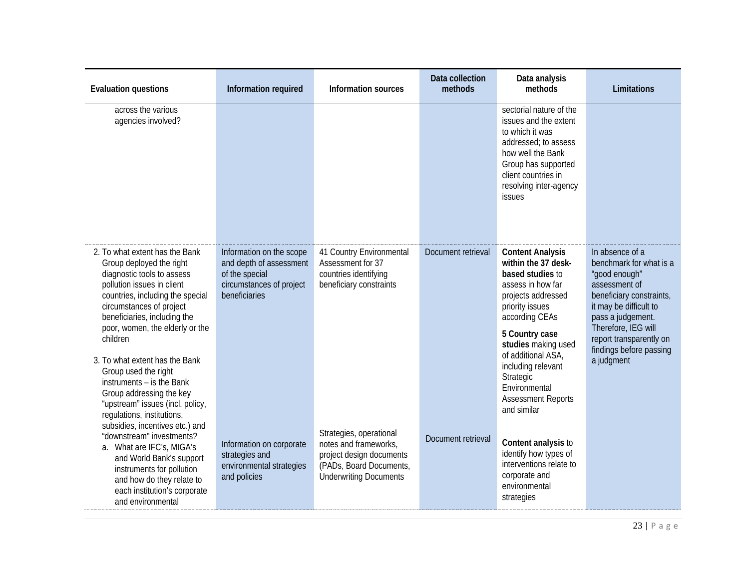| <b>Evaluation questions</b>                                                                                                                                                                                                                                                                                                                                                                                                                                | Information required                                                                                               | Information sources                                                                                                                      | Data collection<br>methods | Data analysis<br>methods                                                                                                                                                                                                                                                                                          | Limitations                                                                                                                                                                                                                                        |
|------------------------------------------------------------------------------------------------------------------------------------------------------------------------------------------------------------------------------------------------------------------------------------------------------------------------------------------------------------------------------------------------------------------------------------------------------------|--------------------------------------------------------------------------------------------------------------------|------------------------------------------------------------------------------------------------------------------------------------------|----------------------------|-------------------------------------------------------------------------------------------------------------------------------------------------------------------------------------------------------------------------------------------------------------------------------------------------------------------|----------------------------------------------------------------------------------------------------------------------------------------------------------------------------------------------------------------------------------------------------|
| across the various<br>agencies involved?                                                                                                                                                                                                                                                                                                                                                                                                                   |                                                                                                                    |                                                                                                                                          |                            | sectorial nature of the<br>issues and the extent<br>to which it was<br>addressed; to assess<br>how well the Bank<br>Group has supported<br>client countries in<br>resolving inter-agency<br>issues                                                                                                                |                                                                                                                                                                                                                                                    |
| 2. To what extent has the Bank<br>Group deployed the right<br>diagnostic tools to assess<br>pollution issues in client<br>countries, including the special<br>circumstances of project<br>beneficiaries, including the<br>poor, women, the elderly or the<br>children<br>3. To what extent has the Bank<br>Group used the right<br>instruments - is the Bank<br>Group addressing the key<br>"upstream" issues (incl. policy,<br>regulations, institutions, | Information on the scope<br>and depth of assessment<br>of the special<br>circumstances of project<br>beneficiaries | 41 Country Environmental<br>Assessment for 37<br>countries identifying<br>beneficiary constraints                                        | Document retrieval         | <b>Content Analysis</b><br>within the 37 desk-<br>based studies to<br>assess in how far<br>projects addressed<br>priority issues<br>according CEAs<br>5 Country case<br>studies making used<br>of additional ASA,<br>including relevant<br>Strategic<br>Environmental<br><b>Assessment Reports</b><br>and similar | In absence of a<br>benchmark for what is a<br>"good enough"<br>assessment of<br>beneficiary constraints,<br>it may be difficult to<br>pass a judgement.<br>Therefore, IEG will<br>report transparently on<br>findings before passing<br>a judgment |
| subsidies, incentives etc.) and<br>"downstream" investments?<br>a. What are IFC's, MIGA's<br>and World Bank's support<br>instruments for pollution<br>and how do they relate to<br>each institution's corporate<br>and environmental                                                                                                                                                                                                                       | Information on corporate<br>strategies and<br>environmental strategies<br>and policies                             | Strategies, operational<br>notes and frameworks,<br>project design documents<br>(PADs, Board Documents,<br><b>Underwriting Documents</b> | Document retrieval         | Content analysis to<br>identify how types of<br>interventions relate to<br>corporate and<br>environmental<br>strategies                                                                                                                                                                                           |                                                                                                                                                                                                                                                    |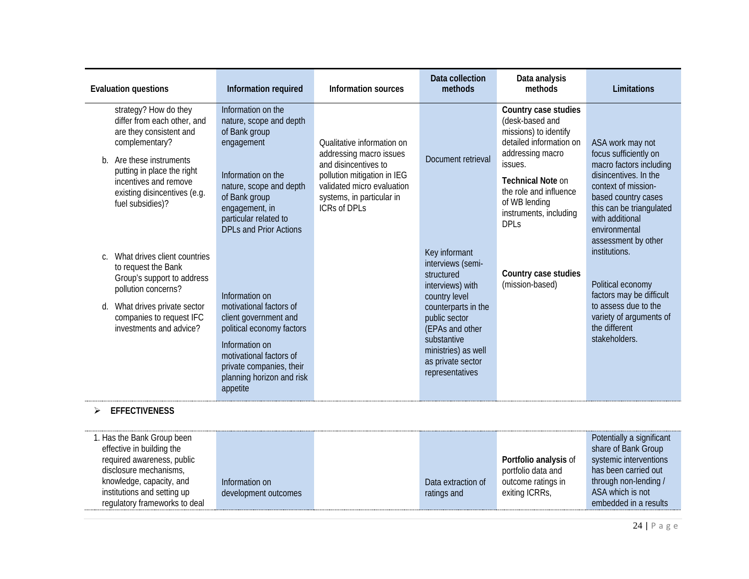| <b>Evaluation questions</b>                                                                                                                                                                                                                 | Information required                                                                                                                                                                                                       | <b>Information sources</b>                                                                                                                                                              | Data collection<br>methods                                                                                                                                                                                                     | Data analysis<br>methods                                                                                                                                                                                                                   | Limitations                                                                                                                                                                                                 |
|---------------------------------------------------------------------------------------------------------------------------------------------------------------------------------------------------------------------------------------------|----------------------------------------------------------------------------------------------------------------------------------------------------------------------------------------------------------------------------|-----------------------------------------------------------------------------------------------------------------------------------------------------------------------------------------|--------------------------------------------------------------------------------------------------------------------------------------------------------------------------------------------------------------------------------|--------------------------------------------------------------------------------------------------------------------------------------------------------------------------------------------------------------------------------------------|-------------------------------------------------------------------------------------------------------------------------------------------------------------------------------------------------------------|
| strategy? How do they<br>differ from each other, and<br>are they consistent and<br>complementary?<br>Are these instruments<br>b.<br>putting in place the right<br>incentives and remove<br>existing disincentives (e.g.<br>fuel subsidies)? | Information on the<br>nature, scope and depth<br>of Bank group<br>engagement<br>Information on the<br>nature, scope and depth<br>of Bank group<br>engagement, in<br>particular related to<br><b>DPLs and Prior Actions</b> | Oualitative information on<br>addressing macro issues<br>and disincentives to<br>pollution mitigation in IEG<br>validated micro evaluation<br>systems, in particular in<br>ICRs of DPLs | Document retrieval                                                                                                                                                                                                             | Country case studies<br>(desk-based and<br>missions) to identify<br>detailed information on<br>addressing macro<br>issues.<br><b>Technical Note on</b><br>the role and influence<br>of WB lending<br>instruments, including<br><b>DPLs</b> | ASA work may not<br>focus sufficiently on<br>macro factors including<br>disincentives. In the<br>context of mission-<br>based country cases<br>this can be triangulated<br>with additional<br>environmental |
| What drives client countries<br>C.<br>to request the Bank<br>Group's support to address<br>pollution concerns?<br>What drives private sector<br>d.<br>companies to request IFC<br>investments and advice?<br><b>EFFECTIVENESS</b>           | Information on<br>motivational factors of<br>client government and<br>political economy factors<br>Information on<br>motivational factors of<br>private companies, their<br>planning horizon and risk<br>appetite          |                                                                                                                                                                                         | Key informant<br>interviews (semi-<br>structured<br>interviews) with<br>country level<br>counterparts in the<br>public sector<br>(EPAs and other<br>substantive<br>ministries) as well<br>as private sector<br>representatives | Country case studies<br>(mission-based)                                                                                                                                                                                                    | assessment by other<br>institutions.<br>Political economy<br>factors may be difficult<br>to assess due to the<br>variety of arguments of<br>the different<br>stakeholders.                                  |

| 1. Has the Bank Group been<br>effective in building the |                      |                    |                       | Potentially a significant<br>share of Bank Group |
|---------------------------------------------------------|----------------------|--------------------|-----------------------|--------------------------------------------------|
| required awareness, public                              |                      |                    | Portfolio analysis of | systemic interventions                           |
| disclosure mechanisms,                                  |                      |                    | portfolio data and    | has been carried out                             |
| knowledge, capacity, and                                | Information on       | Data extraction of | outcome ratings in    | through non-lending /                            |
| institutions and setting up                             | development outcomes | ratings and        | exiting ICRRs,        | ASA which is not                                 |
| regulatory frameworks to deal                           |                      |                    |                       | embedded in a results                            |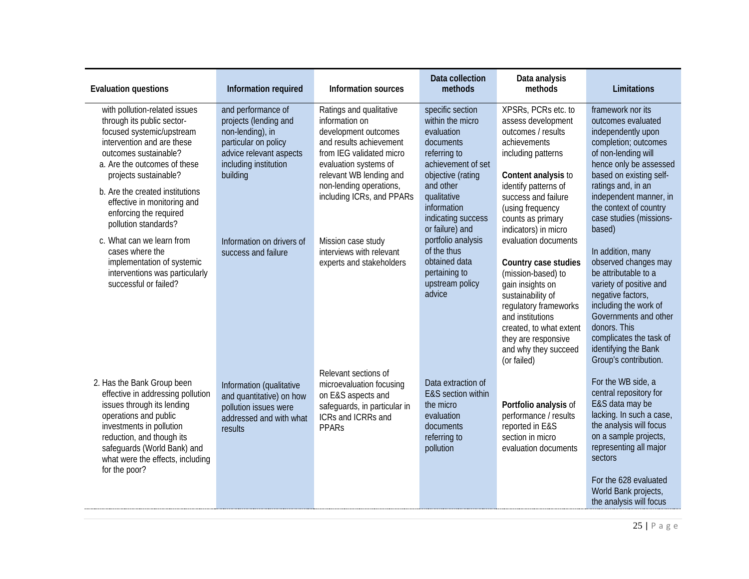| <b>Evaluation questions</b>                                                                                                                                                                                                                                                                                                  | Information required                                                                                                                                    | <b>Information sources</b>                                                                                                                                                                                                           | Data collection<br>methods                                                                                                                                                                  | Data analysis<br>methods                                                                                                                                                                                                                                                  | Limitations                                                                                                                                                                                                                                                               |
|------------------------------------------------------------------------------------------------------------------------------------------------------------------------------------------------------------------------------------------------------------------------------------------------------------------------------|---------------------------------------------------------------------------------------------------------------------------------------------------------|--------------------------------------------------------------------------------------------------------------------------------------------------------------------------------------------------------------------------------------|---------------------------------------------------------------------------------------------------------------------------------------------------------------------------------------------|---------------------------------------------------------------------------------------------------------------------------------------------------------------------------------------------------------------------------------------------------------------------------|---------------------------------------------------------------------------------------------------------------------------------------------------------------------------------------------------------------------------------------------------------------------------|
| with pollution-related issues<br>through its public sector-<br>focused systemic/upstream<br>intervention and are these<br>outcomes sustainable?<br>a. Are the outcomes of these<br>projects sustainable?<br>b. Are the created institutions<br>effective in monitoring and<br>enforcing the required<br>pollution standards? | and performance of<br>projects (lending and<br>non-lending), in<br>particular on policy<br>advice relevant aspects<br>including institution<br>building | Ratings and qualitative<br>information on<br>development outcomes<br>and results achievement<br>from IEG validated micro<br>evaluation systems of<br>relevant WB lending and<br>non-lending operations,<br>including ICRs, and PPARs | specific section<br>within the micro<br>evaluation<br>documents<br>referring to<br>achievement of set<br>objective (rating<br>and other<br>qualitative<br>information<br>indicating success | XPSRs, PCRs etc. to<br>assess development<br>outcomes / results<br>achievements<br>including patterns<br>Content analysis to<br>identify patterns of<br>success and failure<br>(using frequency<br>counts as primary                                                      | framework nor its<br>outcomes evaluated<br>independently upon<br>completion; outcomes<br>of non-lending will<br>hence only be assessed<br>based on existing self-<br>ratings and, in an<br>independent manner, in<br>the context of country<br>case studies (missions-    |
| c. What can we learn from<br>cases where the<br>implementation of systemic<br>interventions was particularly<br>successful or failed?                                                                                                                                                                                        | Information on drivers of<br>success and failure                                                                                                        | Mission case study<br>interviews with relevant<br>experts and stakeholders                                                                                                                                                           | or failure) and<br>portfolio analysis<br>of the thus<br>obtained data<br>pertaining to<br>upstream policy<br>advice                                                                         | indicators) in micro<br>evaluation documents<br>Country case studies<br>(mission-based) to<br>gain insights on<br>sustainability of<br>regulatory frameworks<br>and institutions<br>created, to what extent<br>they are responsive<br>and why they succeed<br>(or failed) | based)<br>In addition, many<br>observed changes may<br>be attributable to a<br>variety of positive and<br>negative factors,<br>including the work of<br>Governments and other<br>donors. This<br>complicates the task of<br>identifying the Bank<br>Group's contribution. |
| 2. Has the Bank Group been<br>effective in addressing pollution<br>issues through its lending<br>operations and public<br>investments in pollution<br>reduction, and though its<br>safeguards (World Bank) and<br>what were the effects, including<br>for the poor?                                                          | Information (qualitative<br>and quantitative) on how<br>pollution issues were<br>addressed and with what<br>results                                     | Relevant sections of<br>microevaluation focusing<br>on E&S aspects and<br>safeguards, in particular in<br>ICRs and ICRRs and<br><b>PPARS</b>                                                                                         | Data extraction of<br>E&S section within<br>the micro<br>evaluation<br>documents<br>referring to<br>pollution                                                                               | Portfolio analysis of<br>performance / results<br>reported in E&S<br>section in micro<br>evaluation documents                                                                                                                                                             | For the WB side, a<br>central repository for<br>E&S data may be<br>lacking. In such a case,<br>the analysis will focus<br>on a sample projects,<br>representing all major<br>sectors<br>For the 628 evaluated<br>World Bank projects,<br>the analysis will focus          |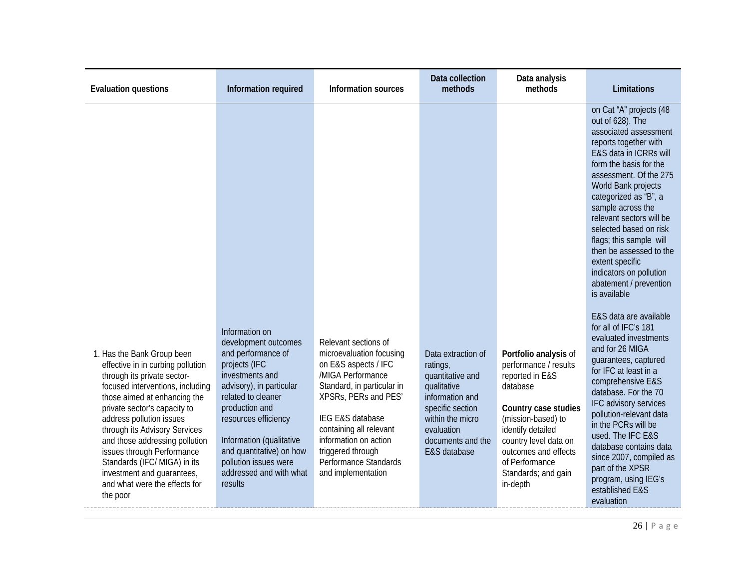| <b>Evaluation questions</b>                                                                                                                                                                                                                                                                                                                                                                                                                | Information required                                                                                                                                                                                                                                                                              | <b>Information sources</b>                                                                                                                                                                                                                                                                      | Data collection<br>methods                                                                                                                                                      | Data analysis<br>methods                                                                                                                                                                                                                               | Limitations                                                                                                                                                                                                                                                                                                                                                                                                                                                                                            |
|--------------------------------------------------------------------------------------------------------------------------------------------------------------------------------------------------------------------------------------------------------------------------------------------------------------------------------------------------------------------------------------------------------------------------------------------|---------------------------------------------------------------------------------------------------------------------------------------------------------------------------------------------------------------------------------------------------------------------------------------------------|-------------------------------------------------------------------------------------------------------------------------------------------------------------------------------------------------------------------------------------------------------------------------------------------------|---------------------------------------------------------------------------------------------------------------------------------------------------------------------------------|--------------------------------------------------------------------------------------------------------------------------------------------------------------------------------------------------------------------------------------------------------|--------------------------------------------------------------------------------------------------------------------------------------------------------------------------------------------------------------------------------------------------------------------------------------------------------------------------------------------------------------------------------------------------------------------------------------------------------------------------------------------------------|
|                                                                                                                                                                                                                                                                                                                                                                                                                                            | Information on                                                                                                                                                                                                                                                                                    |                                                                                                                                                                                                                                                                                                 |                                                                                                                                                                                 |                                                                                                                                                                                                                                                        | on Cat "A" projects (48<br>out of 628). The<br>associated assessment<br>reports together with<br>E&S data in ICRRs will<br>form the basis for the<br>assessment. Of the 275<br>World Bank projects<br>categorized as "B", a<br>sample across the<br>relevant sectors will be<br>selected based on risk<br>flags; this sample will<br>then be assessed to the<br>extent specific<br>indicators on pollution<br>abatement / prevention<br>is available<br>E&S data are available<br>for all of IFC's 181 |
| 1. Has the Bank Group been<br>effective in in curbing pollution<br>through its private sector-<br>focused interventions, including<br>those aimed at enhancing the<br>private sector's capacity to<br>address pollution issues<br>through its Advisory Services<br>and those addressing pollution<br>issues through Performance<br>Standards (IFC/ MIGA) in its<br>investment and guarantees,<br>and what were the effects for<br>the poor | development outcomes<br>and performance of<br>projects (IFC<br>investments and<br>advisory), in particular<br>related to cleaner<br>production and<br>resources efficiency<br>Information (qualitative<br>and quantitative) on how<br>pollution issues were<br>addressed and with what<br>results | Relevant sections of<br>microevaluation focusing<br>on E&S aspects / IFC<br>/MIGA Performance<br>Standard, in particular in<br>XPSRs, PERs and PES'<br>IEG E&S database<br>containing all relevant<br>information on action<br>triggered through<br>Performance Standards<br>and implementation | Data extraction of<br>ratings,<br>quantitative and<br>qualitative<br>information and<br>specific section<br>within the micro<br>evaluation<br>documents and the<br>E&S database | Portfolio analysis of<br>performance / results<br>reported in E&S<br>database<br>Country case studies<br>(mission-based) to<br>identify detailed<br>country level data on<br>outcomes and effects<br>of Performance<br>Standards; and gain<br>in-depth | evaluated investments<br>and for 26 MIGA<br>guarantees, captured<br>for IFC at least in a<br>comprehensive E&S<br>database. For the 70<br>IFC advisory services<br>pollution-relevant data<br>in the PCRs will be<br>used. The IFC E&S<br>database contains data<br>since 2007, compiled as<br>part of the XPSR<br>program, using IEG's<br>established E&S<br>evaluation                                                                                                                               |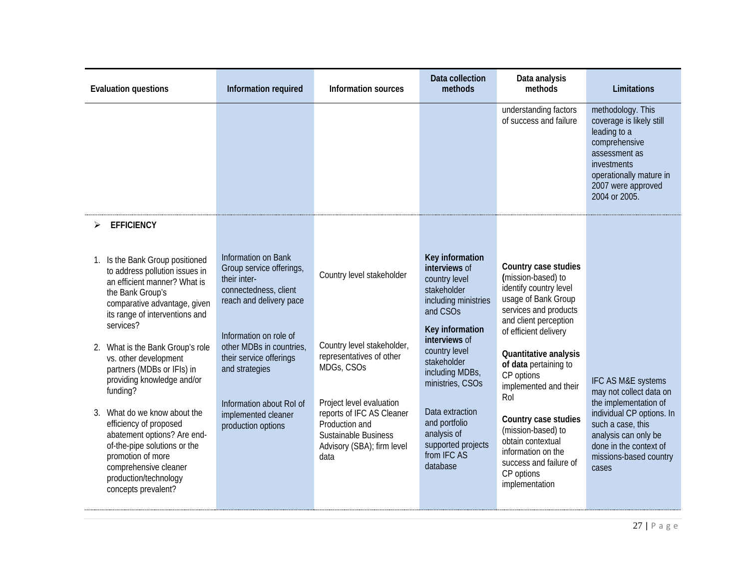| understanding factors<br>methodology. This<br>of success and failure<br>coverage is likely still<br>leading to a<br>comprehensive<br>assessment as<br>investments<br>2007 were approved<br>2004 or 2005.<br><b>EFFICIENCY</b><br>Information on Bank<br>Key information<br>Is the Bank Group positioned<br>1.<br>Country case studies<br>interviews of<br>Group service offerings,<br>to address pollution issues in<br>Country level stakeholder<br>(mission-based) to<br>their inter-<br>country level<br>an efficient manner? What is<br>identify country level<br>connectedness, client<br>stakeholder<br>the Bank Group's<br>usage of Bank Group<br>including ministries<br>reach and delivery pace<br>comparative advantage, given<br>services and products<br>and CSO <sub>S</sub><br>its range of interventions and<br>and client perception<br>services?<br>Key information<br>of efficient delivery<br>Information on role of<br>interviews of<br>Country level stakeholder,<br>other MDBs in countries,<br>2. What is the Bank Group's role<br>country level<br>Quantitative analysis<br>representatives of other<br>their service offerings<br>vs. other development<br>stakeholder<br>of data pertaining to<br>MDGs, CSOs<br>and strategies<br>partners (MDBs or IFIs) in<br>including MDBs,<br>CP options<br>providing knowledge and/or<br>ministries, CSOs<br>implemented and their<br>funding?<br>Rol<br>Project level evaluation<br>Information about Rol of<br>Data extraction<br>What do we know about the<br>reports of IFC AS Cleaner<br>3.<br>implemented cleaner<br>Country case studies<br>and portfolio<br>Production and<br>efficiency of proposed<br>such a case, this<br>production options<br>(mission-based) to<br>analysis of<br>analysis can only be<br>abatement options? Are end-<br>Sustainable Business<br>obtain contextual<br>supported projects<br>of-the-pipe solutions or the<br>Advisory (SBA); firm level<br>information on the<br>from IFC AS<br>promotion of more<br>data<br>success and failure of | <b>Evaluation questions</b> | Information required | Information sources | Data collection<br>methods | Data analysis<br>methods | Limitations                                                                                                                                                      |
|--------------------------------------------------------------------------------------------------------------------------------------------------------------------------------------------------------------------------------------------------------------------------------------------------------------------------------------------------------------------------------------------------------------------------------------------------------------------------------------------------------------------------------------------------------------------------------------------------------------------------------------------------------------------------------------------------------------------------------------------------------------------------------------------------------------------------------------------------------------------------------------------------------------------------------------------------------------------------------------------------------------------------------------------------------------------------------------------------------------------------------------------------------------------------------------------------------------------------------------------------------------------------------------------------------------------------------------------------------------------------------------------------------------------------------------------------------------------------------------------------------------------------------------------------------------------------------------------------------------------------------------------------------------------------------------------------------------------------------------------------------------------------------------------------------------------------------------------------------------------------------------------------------------------------------------------------------------------------------------------------------------------------------------------------|-----------------------------|----------------------|---------------------|----------------------------|--------------------------|------------------------------------------------------------------------------------------------------------------------------------------------------------------|
|                                                                                                                                                                                                                                                                                                                                                                                                                                                                                                                                                                                                                                                                                                                                                                                                                                                                                                                                                                                                                                                                                                                                                                                                                                                                                                                                                                                                                                                                                                                                                                                                                                                                                                                                                                                                                                                                                                                                                                                                                                                  |                             |                      |                     |                            |                          | operationally mature in                                                                                                                                          |
|                                                                                                                                                                                                                                                                                                                                                                                                                                                                                                                                                                                                                                                                                                                                                                                                                                                                                                                                                                                                                                                                                                                                                                                                                                                                                                                                                                                                                                                                                                                                                                                                                                                                                                                                                                                                                                                                                                                                                                                                                                                  |                             |                      |                     |                            |                          |                                                                                                                                                                  |
| CP options                                                                                                                                                                                                                                                                                                                                                                                                                                                                                                                                                                                                                                                                                                                                                                                                                                                                                                                                                                                                                                                                                                                                                                                                                                                                                                                                                                                                                                                                                                                                                                                                                                                                                                                                                                                                                                                                                                                                                                                                                                       | comprehensive cleaner       |                      |                     | database                   |                          | IFC AS M&E systems<br>may not collect data on<br>the implementation of<br>individual CP options. In<br>done in the context of<br>missions-based country<br>cases |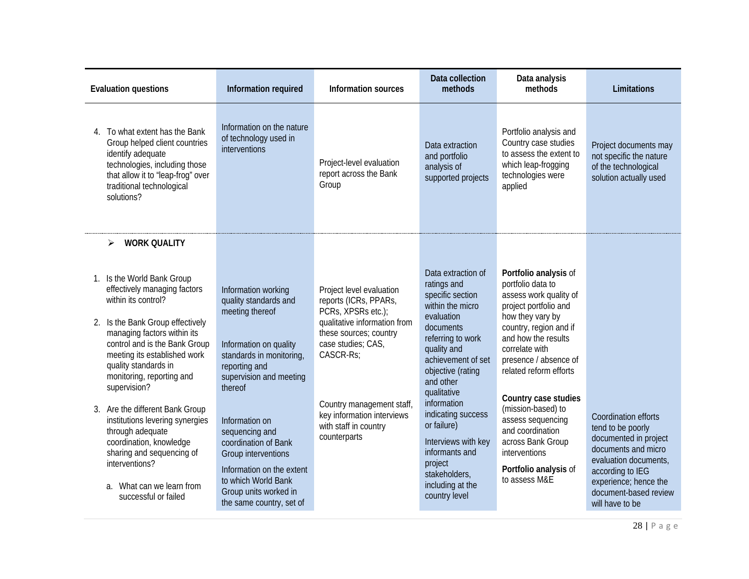| <b>Evaluation questions</b>                                                                                                                                                                                                                                                                | Information required                                                                                                                                                                     | Information sources                                                                                                                                                                               | Data collection<br>methods                                                                                                                                                                                                     | Data analysis<br>methods                                                                                                                                                                                                                                        | Limitations                                                                                                                                                                                                 |
|--------------------------------------------------------------------------------------------------------------------------------------------------------------------------------------------------------------------------------------------------------------------------------------------|------------------------------------------------------------------------------------------------------------------------------------------------------------------------------------------|---------------------------------------------------------------------------------------------------------------------------------------------------------------------------------------------------|--------------------------------------------------------------------------------------------------------------------------------------------------------------------------------------------------------------------------------|-----------------------------------------------------------------------------------------------------------------------------------------------------------------------------------------------------------------------------------------------------------------|-------------------------------------------------------------------------------------------------------------------------------------------------------------------------------------------------------------|
| 4. To what extent has the Bank<br>Group helped client countries<br>identify adequate<br>technologies, including those<br>that allow it to "leap-frog" over<br>traditional technological<br>solutions?                                                                                      | Information on the nature<br>of technology used in<br>interventions                                                                                                                      | Project-level evaluation<br>report across the Bank<br>Group                                                                                                                                       | Data extraction<br>and portfolio<br>analysis of<br>supported projects                                                                                                                                                          | Portfolio analysis and<br>Country case studies<br>to assess the extent to<br>which leap-frogging<br>technologies were<br>applied                                                                                                                                | Project documents may<br>not specific the nature<br>of the technological<br>solution actually used                                                                                                          |
| <b>WORK QUALITY</b><br>➤                                                                                                                                                                                                                                                                   |                                                                                                                                                                                          |                                                                                                                                                                                                   |                                                                                                                                                                                                                                |                                                                                                                                                                                                                                                                 |                                                                                                                                                                                                             |
| 1. Is the World Bank Group<br>effectively managing factors<br>within its control?<br>2. Is the Bank Group effectively<br>managing factors within its<br>control and is the Bank Group<br>meeting its established work<br>quality standards in<br>monitoring, reporting and<br>supervision? | Information working<br>quality standards and<br>meeting thereof<br>Information on quality<br>standards in monitoring,<br>reporting and<br>supervision and meeting<br>thereof             | Project level evaluation<br>reports (ICRs, PPARs,<br>PCRs, XPSRs etc.);<br>qualitative information from<br>these sources; country<br>case studies; CAS,<br>CASCR-Rs;<br>Country management staff, | Data extraction of<br>ratings and<br>specific section<br>within the micro<br>evaluation<br>documents<br>referring to work<br>quality and<br>achievement of set<br>objective (rating<br>and other<br>qualitative<br>information | Portfolio analysis of<br>portfolio data to<br>assess work quality of<br>project portfolio and<br>how they vary by<br>country, region and if<br>and how the results<br>correlate with<br>presence / absence of<br>related reform efforts<br>Country case studies |                                                                                                                                                                                                             |
| 3. Are the different Bank Group<br>institutions levering synergies<br>through adequate<br>coordination, knowledge<br>sharing and sequencing of<br>interventions?<br>a. What can we learn from<br>successful or failed                                                                      | Information on<br>sequencing and<br>coordination of Bank<br>Group interventions<br>Information on the extent<br>to which World Bank<br>Group units worked in<br>the same country, set of | key information interviews<br>with staff in country<br>counterparts                                                                                                                               | indicating success<br>or failure)<br>Interviews with key<br>informants and<br>project<br>stakeholders,<br>including at the<br>country level                                                                                    | (mission-based) to<br>assess sequencing<br>and coordination<br>across Bank Group<br>interventions<br>Portfolio analysis of<br>to assess M&F                                                                                                                     | Coordination efforts<br>tend to be poorly<br>documented in project<br>documents and micro<br>evaluation documents,<br>according to IEG<br>experience; hence the<br>document-based review<br>will have to be |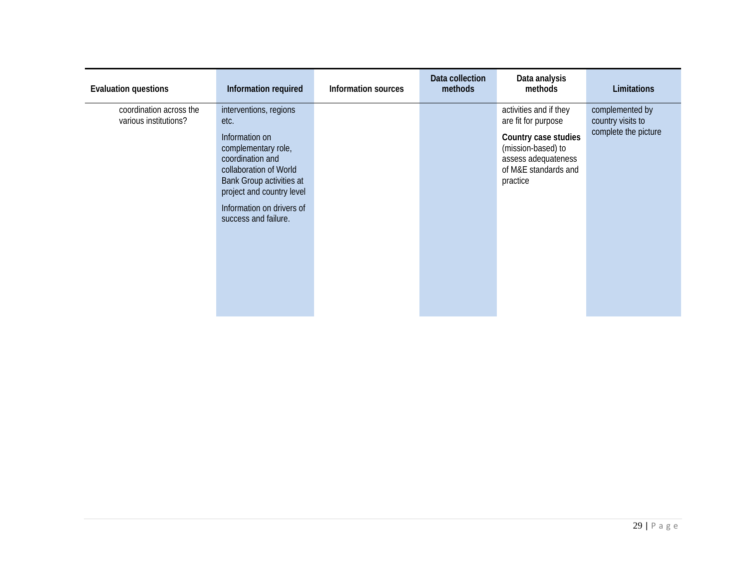| <b>Evaluation questions</b>                      | Information required                                                                                                                                                                                                                | Information sources | Data collection<br>methods | Data analysis<br>methods                                                                                                                               | Limitations                                                  |
|--------------------------------------------------|-------------------------------------------------------------------------------------------------------------------------------------------------------------------------------------------------------------------------------------|---------------------|----------------------------|--------------------------------------------------------------------------------------------------------------------------------------------------------|--------------------------------------------------------------|
| coordination across the<br>various institutions? | interventions, regions<br>etc.<br>Information on<br>complementary role,<br>coordination and<br>collaboration of World<br>Bank Group activities at<br>project and country level<br>Information on drivers of<br>success and failure. |                     |                            | activities and if they<br>are fit for purpose<br>Country case studies<br>(mission-based) to<br>assess adequateness<br>of M&E standards and<br>practice | complemented by<br>country visits to<br>complete the picture |
|                                                  |                                                                                                                                                                                                                                     |                     |                            |                                                                                                                                                        |                                                              |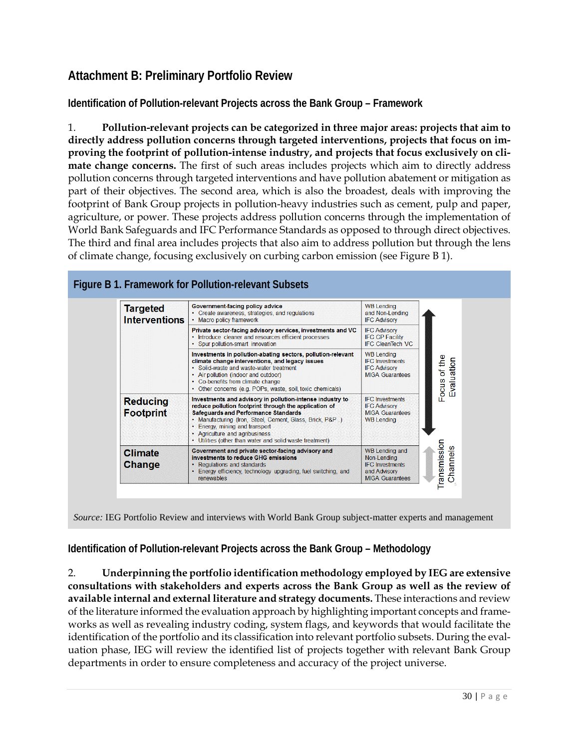## **Attachment B: Preliminary Portfolio Review**

**Identification of Pollution-relevant Projects across the Bank Group – Framework**

1. **Pollution-relevant projects can be categorized in three major areas: projects that aim to directly address pollution concerns through targeted interventions, projects that focus on improving the footprint of pollution-intense industry, and projects that focus exclusively on climate change concerns.** The first of such areas includes projects which aim to directly address pollution concerns through targeted interventions and have pollution abatement or mitigation as part of their objectives. The second area, which is also the broadest, deals with improving the footprint of Bank Group projects in pollution-heavy industries such as cement, pulp and paper, agriculture, or power. These projects address pollution concerns through the implementation of World Bank Safeguards and IFC Performance Standards as opposed to through direct objectives. The third and final area includes projects that also aim to address pollution but through the lens of climate change, focusing exclusively on curbing carbon emission (see Figure B 1).



*Source:* IEG Portfolio Review and interviews with World Bank Group subject-matter experts and management

**Identification of Pollution-relevant Projects across the Bank Group – Methodology**

2. **Underpinning the portfolio identification methodology employed by IEG are extensive consultations with stakeholders and experts across the Bank Group as well as the review of available internal and external literature and strategy documents.** These interactions and review of the literature informed the evaluation approach by highlighting important concepts and frameworks as well as revealing industry coding, system flags, and keywords that would facilitate the identification of the portfolio and its classification into relevant portfolio subsets. During the evaluation phase, IEG will review the identified list of projects together with relevant Bank Group departments in order to ensure completeness and accuracy of the project universe.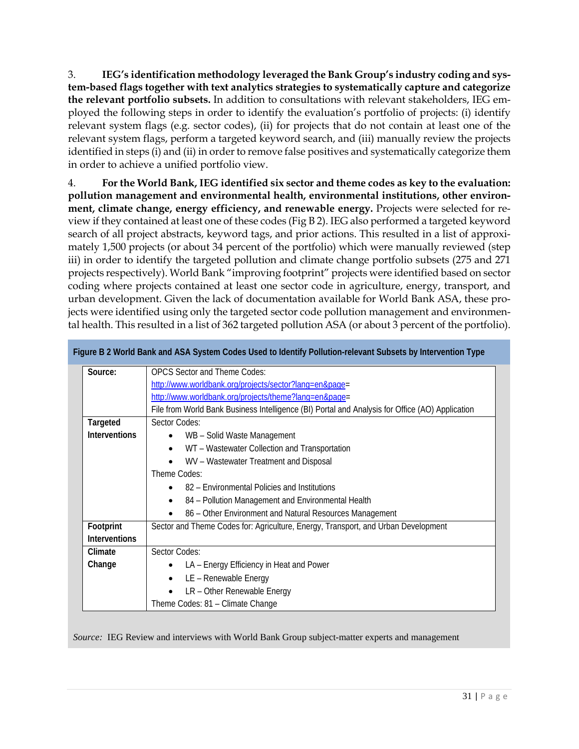3. **IEG's identification methodology leveraged the Bank Group's industry coding and system-based flags together with text analytics strategies to systematically capture and categorize the relevant portfolio subsets.** In addition to consultations with relevant stakeholders, IEG employed the following steps in order to identify the evaluation's portfolio of projects: (i) identify relevant system flags (e.g. sector codes), (ii) for projects that do not contain at least one of the relevant system flags, perform a targeted keyword search, and (iii) manually review the projects identified in steps (i) and (ii) in order to remove false positives and systematically categorize them in order to achieve a unified portfolio view.

4. **For the World Bank, IEG identified six sector and theme codes as key to the evaluation: pollution management and environmental health, environmental institutions, other environment, climate change, energy efficiency, and renewable energy.** Projects were selected for review if they contained at least one of these codes (Fig B 2). IEG also performed a targeted keyword search of all project abstracts, keyword tags, and prior actions. This resulted in a list of approximately 1,500 projects (or about 34 percent of the portfolio) which were manually reviewed (step iii) in order to identify the targeted pollution and climate change portfolio subsets (275 and 271 projects respectively). World Bank "improving footprint" projects were identified based on sector coding where projects contained at least one sector code in agriculture, energy, transport, and urban development. Given the lack of documentation available for World Bank ASA, these projects were identified using only the targeted sector code pollution management and environmental health. This resulted in a list of 362 targeted pollution ASA (or about 3 percent of the portfolio).

|                      | Figure B 2 World Bank and ASA System Codes Used to Identify Pollution-relevant Subsets by Intervention Type |  |  |  |  |
|----------------------|-------------------------------------------------------------------------------------------------------------|--|--|--|--|
| Source:              | <b>OPCS</b> Sector and Theme Codes:                                                                         |  |  |  |  |
|                      | http://www.worldbank.org/projects/sector?lang=en&page=                                                      |  |  |  |  |
|                      | http://www.worldbank.org/projects/theme?lang=en&page=                                                       |  |  |  |  |
|                      | File from World Bank Business Intelligence (BI) Portal and Analysis for Office (AO) Application             |  |  |  |  |
| <b>Targeted</b>      | Sector Codes:                                                                                               |  |  |  |  |
| <b>Interventions</b> | WB - Solid Waste Management                                                                                 |  |  |  |  |
|                      | WT - Wastewater Collection and Transportation                                                               |  |  |  |  |
|                      | WV - Wastewater Treatment and Disposal                                                                      |  |  |  |  |
|                      | Theme Codes:                                                                                                |  |  |  |  |
|                      | 82 – Environmental Policies and Institutions                                                                |  |  |  |  |
|                      | 84 - Pollution Management and Environmental Health                                                          |  |  |  |  |
|                      | 86 - Other Environment and Natural Resources Management                                                     |  |  |  |  |
| Footprint            | Sector and Theme Codes for: Agriculture, Energy, Transport, and Urban Development                           |  |  |  |  |
| <b>Interventions</b> |                                                                                                             |  |  |  |  |
| Climate              | Sector Codes:                                                                                               |  |  |  |  |
| Change               | LA - Energy Efficiency in Heat and Power                                                                    |  |  |  |  |
|                      | LE - Renewable Energy<br>$\bullet$                                                                          |  |  |  |  |
|                      | LR - Other Renewable Energy                                                                                 |  |  |  |  |
|                      | Theme Codes: 81 - Climate Change                                                                            |  |  |  |  |

*Source:* IEG Review and interviews with World Bank Group subject-matter experts and management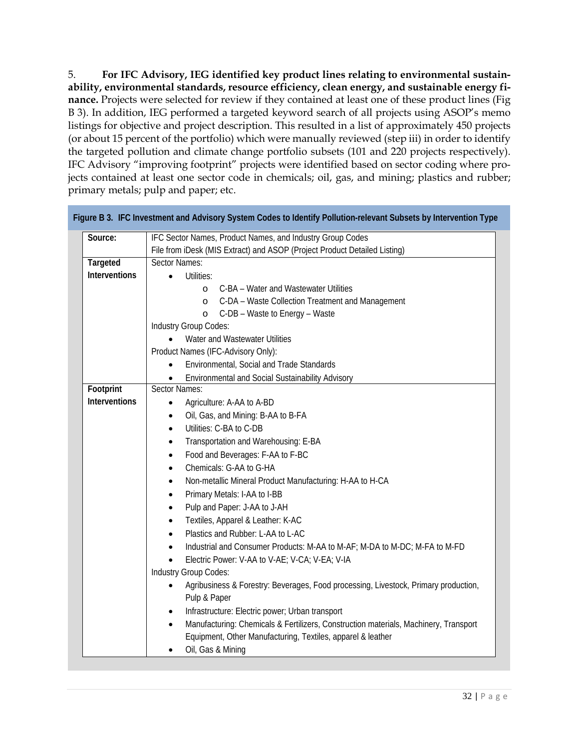5. **For IFC Advisory, IEG identified key product lines relating to environmental sustainability, environmental standards, resource efficiency, clean energy, and sustainable energy finance.** Projects were selected for review if they contained at least one of these product lines (Fig B 3). In addition, IEG performed a targeted keyword search of all projects using ASOP's memo listings for objective and project description. This resulted in a list of approximately 450 projects (or about 15 percent of the portfolio) which were manually reviewed (step iii) in order to identify the targeted pollution and climate change portfolio subsets (101 and 220 projects respectively). IFC Advisory "improving footprint" projects were identified based on sector coding where projects contained at least one sector code in chemicals; oil, gas, and mining; plastics and rubber; primary metals; pulp and paper; etc.

| Source:              | IFC Sector Names, Product Names, and Industry Group Codes                                         |  |  |  |  |  |
|----------------------|---------------------------------------------------------------------------------------------------|--|--|--|--|--|
|                      | File from iDesk (MIS Extract) and ASOP (Project Product Detailed Listing)                         |  |  |  |  |  |
| Targeted             | Sector Names:                                                                                     |  |  |  |  |  |
| Interventions        | <b>Utilities:</b>                                                                                 |  |  |  |  |  |
|                      | C-BA - Water and Wastewater Utilities<br>$\Omega$                                                 |  |  |  |  |  |
|                      | C-DA - Waste Collection Treatment and Management<br>$\circ$                                       |  |  |  |  |  |
|                      | C-DB - Waste to Energy - Waste<br>$\circ$                                                         |  |  |  |  |  |
|                      | Industry Group Codes:                                                                             |  |  |  |  |  |
|                      | Water and Wastewater Utilities                                                                    |  |  |  |  |  |
|                      | Product Names (IFC-Advisory Only):                                                                |  |  |  |  |  |
|                      | Environmental, Social and Trade Standards                                                         |  |  |  |  |  |
|                      | Environmental and Social Sustainability Advisory                                                  |  |  |  |  |  |
| Footprint            | Sector Names:                                                                                     |  |  |  |  |  |
| <b>Interventions</b> | Agriculture: A-AA to A-BD<br>$\bullet$                                                            |  |  |  |  |  |
|                      | Oil, Gas, and Mining: B-AA to B-FA<br>$\bullet$                                                   |  |  |  |  |  |
|                      | Utilities: C-BA to C-DB<br>$\bullet$                                                              |  |  |  |  |  |
|                      | Transportation and Warehousing: E-BA<br>$\bullet$<br>Food and Beverages: F-AA to F-BC             |  |  |  |  |  |
|                      | $\bullet$<br>Chemicals: G-AA to G-HA<br>$\bullet$                                                 |  |  |  |  |  |
|                      | Non-metallic Mineral Product Manufacturing: H-AA to H-CA<br>$\bullet$                             |  |  |  |  |  |
|                      |                                                                                                   |  |  |  |  |  |
|                      | Primary Metals: I-AA to I-BB<br>$\bullet$                                                         |  |  |  |  |  |
|                      | Pulp and Paper: J-AA to J-AH<br>$\bullet$                                                         |  |  |  |  |  |
|                      | Textiles, Apparel & Leather: K-AC<br>$\bullet$                                                    |  |  |  |  |  |
|                      | Plastics and Rubber: L-AA to L-AC<br>$\bullet$                                                    |  |  |  |  |  |
|                      | Industrial and Consumer Products: M-AA to M-AF; M-DA to M-DC; M-FA to M-FD                        |  |  |  |  |  |
|                      | Electric Power: V-AA to V-AE; V-CA; V-EA; V-IA<br>Industry Group Codes:                           |  |  |  |  |  |
|                      | Agribusiness & Forestry: Beverages, Food processing, Livestock, Primary production,<br>$\bullet$  |  |  |  |  |  |
|                      | Pulp & Paper                                                                                      |  |  |  |  |  |
|                      | Infrastructure: Electric power; Urban transport<br>٠                                              |  |  |  |  |  |
|                      | Manufacturing: Chemicals & Fertilizers, Construction materials, Machinery, Transport<br>$\bullet$ |  |  |  |  |  |
|                      | Equipment, Other Manufacturing, Textiles, apparel & leather                                       |  |  |  |  |  |
|                      | Oil, Gas & Mining                                                                                 |  |  |  |  |  |
|                      |                                                                                                   |  |  |  |  |  |

**Figure B 3. IFC Investment and Advisory System Codes to Identify Pollution-relevant Subsets by Intervention Type**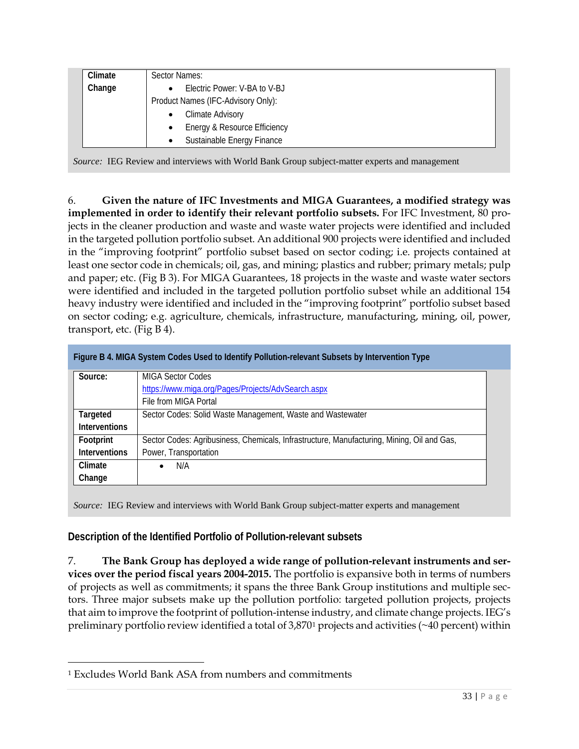| Climate | Sector Names:                      |  |  |
|---------|------------------------------------|--|--|
| Change  | Electric Power: V-BA to V-BJ       |  |  |
|         | Product Names (IFC-Advisory Only): |  |  |
|         | <b>Climate Advisory</b>            |  |  |
|         | Energy & Resource Efficiency       |  |  |
|         | Sustainable Energy Finance         |  |  |

*Source:* IEG Review and interviews with World Bank Group subject-matter experts and management

6. **Given the nature of IFC Investments and MIGA Guarantees, a modified strategy was implemented in order to identify their relevant portfolio subsets.** For IFC Investment, 80 projects in the cleaner production and waste and waste water projects were identified and included in the targeted pollution portfolio subset. An additional 900 projects were identified and included in the "improving footprint" portfolio subset based on sector coding; i.e. projects contained at least one sector code in chemicals; oil, gas, and mining; plastics and rubber; primary metals; pulp and paper; etc. (Fig B 3). For MIGA Guarantees, 18 projects in the waste and waste water sectors were identified and included in the targeted pollution portfolio subset while an additional 154 heavy industry were identified and included in the "improving footprint" portfolio subset based on sector coding; e.g. agriculture, chemicals, infrastructure, manufacturing, mining, oil, power, transport, etc. (Fig B 4).

|                      | Figure B 4. MIGA System Codes Used to Identify Pollution-relevant Subsets by Intervention Type |
|----------------------|------------------------------------------------------------------------------------------------|
| Source:              | <b>MIGA Sector Codes</b>                                                                       |
|                      | https://www.miga.org/Pages/Projects/AdvSearch.aspx                                             |
|                      | File from MIGA Portal                                                                          |
| Targeted             | Sector Codes: Solid Waste Management, Waste and Wastewater                                     |
| <b>Interventions</b> |                                                                                                |
| Footprint            | Sector Codes: Agribusiness, Chemicals, Infrastructure, Manufacturing, Mining, Oil and Gas,     |
| <b>Interventions</b> | Power, Transportation                                                                          |
| Climate              | N/A                                                                                            |
| Change               |                                                                                                |

*Source:* IEG Review and interviews with World Bank Group subject-matter experts and management

**Description of the Identified Portfolio of Pollution-relevant subsets**

7. **The Bank Group has deployed a wide range of pollution-relevant instruments and services over the period fiscal years 2004-2015.** The portfolio is expansive both in terms of numbers of projects as well as commitments; it spans the three Bank Group institutions and multiple sectors. Three major subsets make up the pollution portfolio: targeted pollution projects, projects that aim to improve the footprint of pollution-intense industry, and climate change projects. IEG's preliminary portfolio review identified a total of 3,870[1](#page-32-0) projects and activities (~40 percent) within

 $\overline{a}$ 

<span id="page-32-0"></span><sup>1</sup> Excludes World Bank ASA from numbers and commitments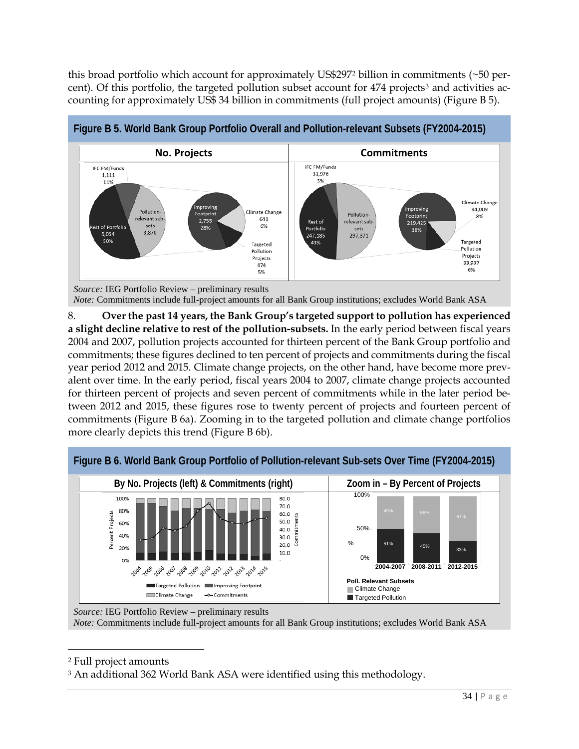this broad portfolio which account for approximately US\$297[2](#page-33-0) billion in commitments (~50 per-cent). Of this portfolio, the targeted pollution subset account for 474 projects<sup>[3](#page-33-1)</sup> and activities accounting for approximately US\$ 34 billion in commitments (full project amounts) (Figure B 5).



**Figure B 5. World Bank Group Portfolio Overall and Pollution-relevant Subsets (FY2004-2015)**

*Note:* Commitments include full-project amounts for all Bank Group institutions; excludes World Bank ASA

8. **Over the past 14 years, the Bank Group's targeted support to pollution has experienced a slight decline relative to rest of the pollution-subsets.** In the early period between fiscal years 2004 and 2007, pollution projects accounted for thirteen percent of the Bank Group portfolio and commitments; these figures declined to ten percent of projects and commitments during the fiscal year period 2012 and 2015. Climate change projects, on the other hand, have become more prevalent over time. In the early period, fiscal years 2004 to 2007, climate change projects accounted for thirteen percent of projects and seven percent of commitments while in the later period between 2012 and 2015, these figures rose to twenty percent of projects and fourteen percent of commitments (Figure B 6a). Zooming in to the targeted pollution and climate change portfolios more clearly depicts this trend (Figure B 6b).



*Source:* IEG Portfolio Review – preliminary results *Note:* Commitments include full-project amounts for all Bank Group institutions; excludes World Bank ASA

<span id="page-33-0"></span><sup>2</sup> Full project amounts

 $\overline{a}$ 

<span id="page-33-1"></span><sup>3</sup> An additional 362 World Bank ASA were identified using this methodology.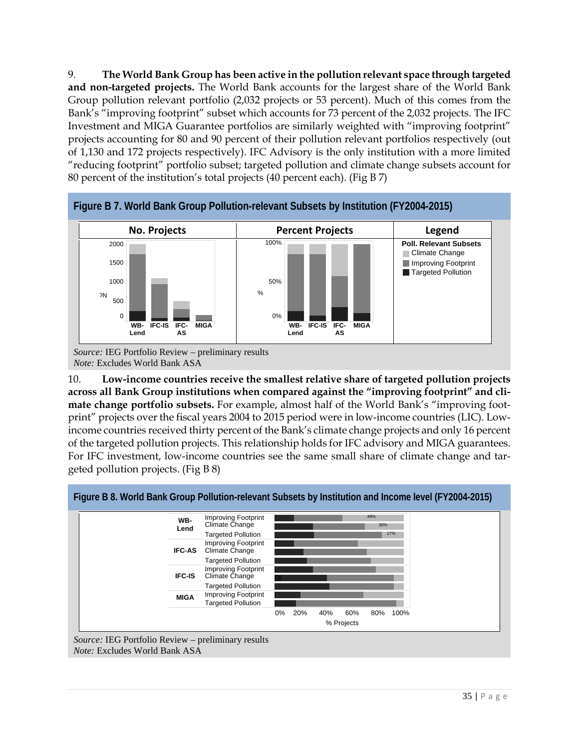9. **The World Bank Group has been active in the pollution relevant space through targeted and non-targeted projects.** The World Bank accounts for the largest share of the World Bank Group pollution relevant portfolio (2,032 projects or 53 percent). Much of this comes from the Bank's "improving footprint" subset which accounts for 73 percent of the 2,032 projects. The IFC Investment and MIGA Guarantee portfolios are similarly weighted with "improving footprint" projects accounting for 80 and 90 percent of their pollution relevant portfolios respectively (out of 1,130 and 172 projects respectively). IFC Advisory is the only institution with a more limited "reducing footprint" portfolio subset; targeted pollution and climate change subsets account for 80 percent of the institution's total projects (40 percent each). (Fig B 7)



*Note:* Excludes World Bank ASA

10. **Low-income countries receive the smallest relative share of targeted pollution projects across all Bank Group institutions when compared against the "improving footprint" and climate change portfolio subsets.** For example, almost half of the World Bank's "improving footprint" projects over the fiscal years 2004 to 2015 period were in low-income countries (LIC). Lowincome countries received thirty percent of the Bank's climate change projects and only 16 percent of the targeted pollution projects. This relationship holds for IFC advisory and MIGA guarantees. For IFC investment, low-income countries see the same small share of climate change and targeted pollution projects. (Fig B 8)

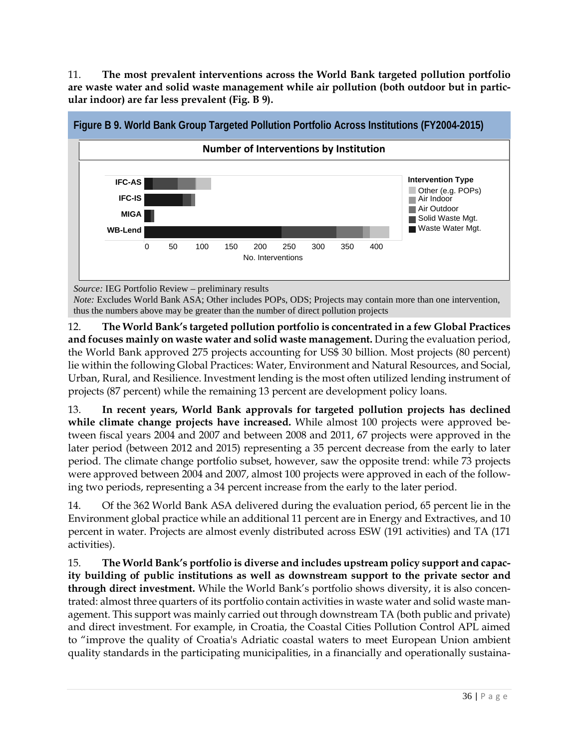11. **The most prevalent interventions across the World Bank targeted pollution portfolio are waste water and solid waste management while air pollution (both outdoor but in particular indoor) are far less prevalent (Fig. B 9).**



*Source:* IEG Portfolio Review – preliminary results

*Note:* Excludes World Bank ASA; Other includes POPs, ODS; Projects may contain more than one intervention, thus the numbers above may be greater than the number of direct pollution projects

12. **The World Bank's targeted pollution portfolio is concentrated in a few Global Practices and focuses mainly on waste water and solid waste management.** During the evaluation period, the World Bank approved 275 projects accounting for US\$ 30 billion. Most projects (80 percent) lie within the following Global Practices: Water, Environment and Natural Resources, and Social, Urban, Rural, and Resilience. Investment lending is the most often utilized lending instrument of projects (87 percent) while the remaining 13 percent are development policy loans.

13. **In recent years, World Bank approvals for targeted pollution projects has declined while climate change projects have increased.** While almost 100 projects were approved between fiscal years 2004 and 2007 and between 2008 and 2011, 67 projects were approved in the later period (between 2012 and 2015) representing a 35 percent decrease from the early to later period. The climate change portfolio subset, however, saw the opposite trend: while 73 projects were approved between 2004 and 2007, almost 100 projects were approved in each of the following two periods, representing a 34 percent increase from the early to the later period.

14. Of the 362 World Bank ASA delivered during the evaluation period, 65 percent lie in the Environment global practice while an additional 11 percent are in Energy and Extractives, and 10 percent in water. Projects are almost evenly distributed across ESW (191 activities) and TA (171 activities).

15. **The World Bank's portfolio is diverse and includes upstream policy support and capacity building of public institutions as well as downstream support to the private sector and through direct investment.** While the World Bank's portfolio shows diversity, it is also concentrated: almost three quarters of its portfolio contain activities in waste water and solid waste management. This support was mainly carried out through downstream TA (both public and private) and direct investment. For example, in Croatia, the Coastal Cities Pollution Control APL aimed to "improve the quality of Croatia's Adriatic coastal waters to meet European Union ambient quality standards in the participating municipalities, in a financially and operationally sustaina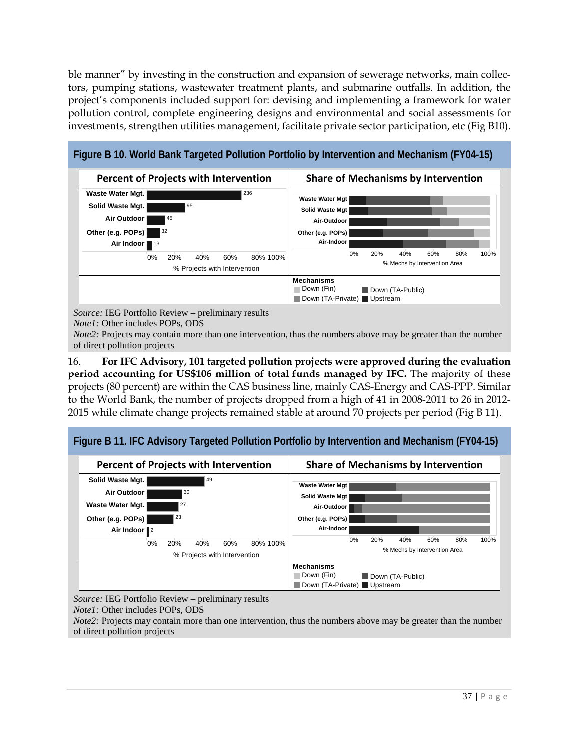ble manner" by investing in the construction and expansion of sewerage networks, main collectors, pumping stations, wastewater treatment plants, and submarine outfalls. In addition, the project's components included support for: devising and implementing a framework for water pollution control, complete engineering designs and environmental and social assessments for investments, strengthen utilities management, facilitate private sector participation, etc (Fig B10).



*Source:* IEG Portfolio Review – preliminary results

*Note1:* Other includes POPs, ODS

*Note2:* Projects may contain more than one intervention, thus the numbers above may be greater than the number of direct pollution projects

16. **For IFC Advisory, 101 targeted pollution projects were approved during the evaluation period accounting for US\$106 million of total funds managed by IFC.** The majority of these projects (80 percent) are within the CAS business line, mainly CAS-Energy and CAS-PPP. Similar to the World Bank, the number of projects dropped from a high of 41 in 2008-2011 to 26 in 2012- 2015 while climate change projects remained stable at around 70 projects per period (Fig B 11).





*Source:* IEG Portfolio Review – preliminary results

*Note1:* Other includes POPs, ODS

*Note2*: Projects may contain more than one intervention, thus the numbers above may be greater than the number of direct pollution projects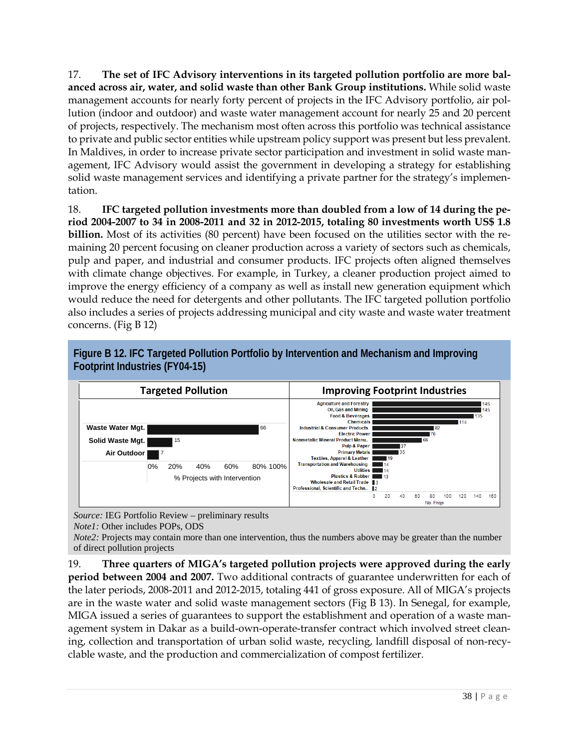17. **The set of IFC Advisory interventions in its targeted pollution portfolio are more balanced across air, water, and solid waste than other Bank Group institutions.** While solid waste management accounts for nearly forty percent of projects in the IFC Advisory portfolio, air pollution (indoor and outdoor) and waste water management account for nearly 25 and 20 percent of projects, respectively. The mechanism most often across this portfolio was technical assistance to private and public sector entities while upstream policy support was present but less prevalent. In Maldives, in order to increase private sector participation and investment in solid waste management, IFC Advisory would assist the government in developing a strategy for establishing solid waste management services and identifying a private partner for the strategy's implementation.

18. **IFC targeted pollution investments more than doubled from a low of 14 during the period 2004-2007 to 34 in 2008-2011 and 32 in 2012-2015, totaling 80 investments worth US\$ 1.8 billion.** Most of its activities (80 percent) have been focused on the utilities sector with the remaining 20 percent focusing on cleaner production across a variety of sectors such as chemicals, pulp and paper, and industrial and consumer products. IFC projects often aligned themselves with climate change objectives. For example, in Turkey, a cleaner production project aimed to improve the energy efficiency of a company as well as install new generation equipment which would reduce the need for detergents and other pollutants. The IFC targeted pollution portfolio also includes a series of projects addressing municipal and city waste and waste water treatment concerns. (Fig B 12)



**Figure B 12. IFC Targeted Pollution Portfolio by Intervention and Mechanism and Improving Footprint Industries (FY04-15)**

*Source:* IEG Portfolio Review – preliminary results *Note1:* Other includes POPs, ODS

*Note2:* Projects may contain more than one intervention, thus the numbers above may be greater than the number of direct pollution projects

19. **Three quarters of MIGA's targeted pollution projects were approved during the early period between 2004 and 2007.** Two additional contracts of guarantee underwritten for each of the later periods, 2008-2011 and 2012-2015, totaling 441 of gross exposure. All of MIGA's projects are in the waste water and solid waste management sectors (Fig B 13). In Senegal, for example, MIGA issued a series of guarantees to support the establishment and operation of a waste management system in Dakar as a build-own-operate-transfer contract which involved street cleaning, collection and transportation of urban solid waste, recycling, landfill disposal of non-recyclable waste, and the production and commercialization of compost fertilizer.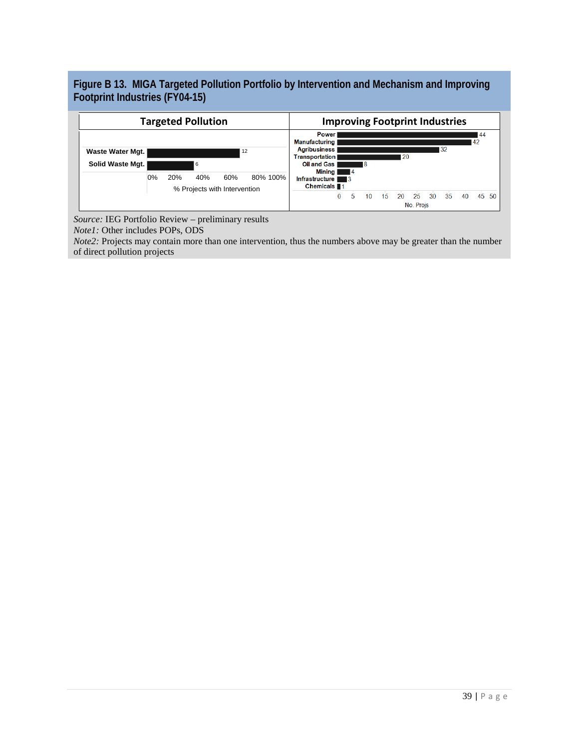**Figure B 13. MIGA Targeted Pollution Portfolio by Intervention and Mechanism and Improving Footprint Industries (FY04-15)**



*Source:* IEG Portfolio Review – preliminary results *Note1:* Other includes POPs, ODS

*Note2:* Projects may contain more than one intervention, thus the numbers above may be greater than the number of direct pollution projects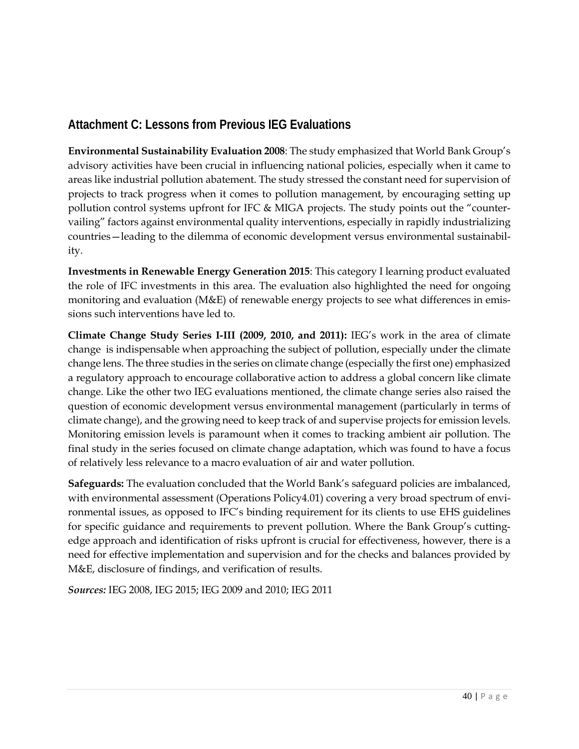## **Attachment C: Lessons from Previous IEG Evaluations**

**Environmental Sustainability Evaluation 2008**: The study emphasized that World Bank Group's advisory activities have been crucial in influencing national policies, especially when it came to areas like industrial pollution abatement. The study stressed the constant need for supervision of projects to track progress when it comes to pollution management, by encouraging setting up pollution control systems upfront for IFC & MIGA projects. The study points out the "countervailing" factors against environmental quality interventions, especially in rapidly industrializing countries—leading to the dilemma of economic development versus environmental sustainability.

**Investments in Renewable Energy Generation 2015**: This category I learning product evaluated the role of IFC investments in this area. The evaluation also highlighted the need for ongoing monitoring and evaluation (M&E) of renewable energy projects to see what differences in emissions such interventions have led to.

**Climate Change Study Series I-III (2009, 2010, and 2011):** IEG's work in the area of climate change is indispensable when approaching the subject of pollution, especially under the climate change lens. The three studies in the series on climate change (especially the first one) emphasized a regulatory approach to encourage collaborative action to address a global concern like climate change. Like the other two IEG evaluations mentioned, the climate change series also raised the question of economic development versus environmental management (particularly in terms of climate change), and the growing need to keep track of and supervise projects for emission levels. Monitoring emission levels is paramount when it comes to tracking ambient air pollution. The final study in the series focused on climate change adaptation, which was found to have a focus of relatively less relevance to a macro evaluation of air and water pollution.

**Safeguards:** The evaluation concluded that the World Bank's safeguard policies are imbalanced, with environmental assessment (Operations Policy4.01) covering a very broad spectrum of environmental issues, as opposed to IFC's binding requirement for its clients to use EHS guidelines for specific guidance and requirements to prevent pollution. Where the Bank Group's cuttingedge approach and identification of risks upfront is crucial for effectiveness, however, there is a need for effective implementation and supervision and for the checks and balances provided by M&E, disclosure of findings, and verification of results.

*Sources:* IEG 2008, IEG 2015; IEG 2009 and 2010; IEG 2011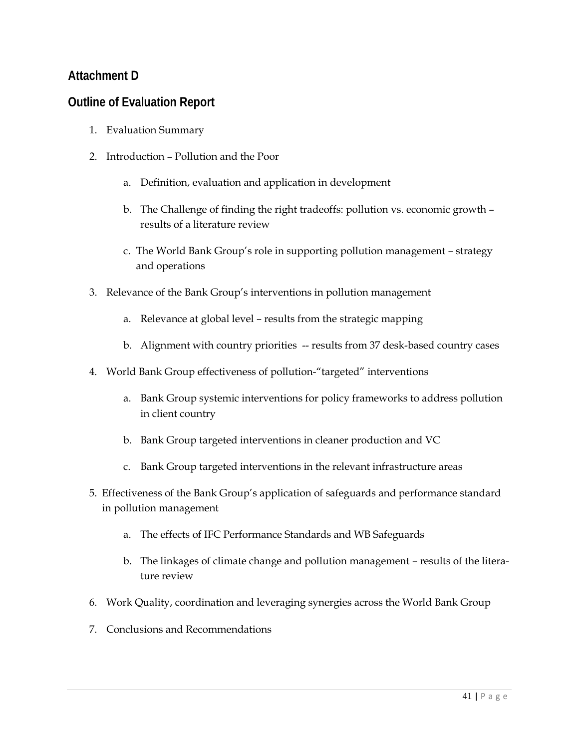### **Attachment D**

### **Outline of Evaluation Report**

- 1. Evaluation Summary
- 2. Introduction Pollution and the Poor
	- a. Definition, evaluation and application in development
	- b. The Challenge of finding the right tradeoffs: pollution vs. economic growth results of a literature review
	- c. The World Bank Group's role in supporting pollution management strategy and operations
- 3. Relevance of the Bank Group's interventions in pollution management
	- a. Relevance at global level results from the strategic mapping
	- b. Alignment with country priorities -- results from 37 desk-based country cases
- 4. World Bank Group effectiveness of pollution-"targeted" interventions
	- a. Bank Group systemic interventions for policy frameworks to address pollution in client country
	- b. Bank Group targeted interventions in cleaner production and VC
	- c. Bank Group targeted interventions in the relevant infrastructure areas
- 5. Effectiveness of the Bank Group's application of safeguards and performance standard in pollution management
	- a. The effects of IFC Performance Standards and WB Safeguards
	- b. The linkages of climate change and pollution management results of the literature review
- 6. Work Quality, coordination and leveraging synergies across the World Bank Group
- 7. Conclusions and Recommendations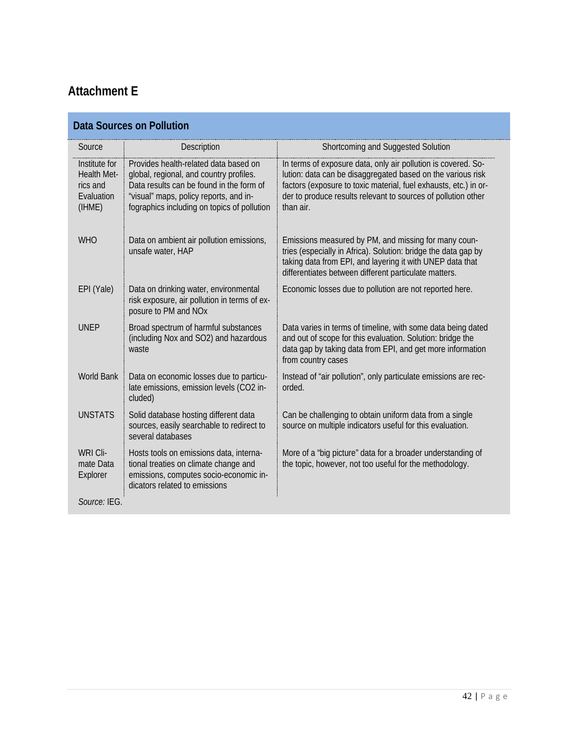## **Attachment E**

| <b>Data Sources on Pollution</b>                                 |                                                                                                                                                                                                                       |                                                                                                                                                                                                                                                                                |  |
|------------------------------------------------------------------|-----------------------------------------------------------------------------------------------------------------------------------------------------------------------------------------------------------------------|--------------------------------------------------------------------------------------------------------------------------------------------------------------------------------------------------------------------------------------------------------------------------------|--|
| Source                                                           | Description                                                                                                                                                                                                           | Shortcoming and Suggested Solution                                                                                                                                                                                                                                             |  |
| Institute for<br>Health Met-<br>rics and<br>Evaluation<br>(IHME) | Provides health-related data based on<br>global, regional, and country profiles.<br>Data results can be found in the form of<br>"visual" maps, policy reports, and in-<br>fographics including on topics of pollution | In terms of exposure data, only air pollution is covered. So-<br>lution: data can be disaggregated based on the various risk<br>factors (exposure to toxic material, fuel exhausts, etc.) in or-<br>der to produce results relevant to sources of pollution other<br>than air. |  |
| <b>WHO</b>                                                       | Data on ambient air pollution emissions,<br>unsafe water, HAP                                                                                                                                                         | Emissions measured by PM, and missing for many coun-<br>tries (especially in Africa). Solution: bridge the data gap by<br>taking data from EPI, and layering it with UNEP data that<br>differentiates between different particulate matters.                                   |  |
| EPI (Yale)                                                       | Data on drinking water, environmental<br>risk exposure, air pollution in terms of ex-<br>posure to PM and NOx                                                                                                         | Economic losses due to pollution are not reported here.                                                                                                                                                                                                                        |  |
| <b>UNEP</b>                                                      | Broad spectrum of harmful substances<br>(including Nox and SO2) and hazardous<br>waste                                                                                                                                | Data varies in terms of timeline, with some data being dated<br>and out of scope for this evaluation. Solution: bridge the<br>data gap by taking data from EPI, and get more information<br>from country cases                                                                 |  |
| <b>World Bank</b>                                                | Data on economic losses due to particu-<br>late emissions, emission levels (CO2 in-<br>cluded)                                                                                                                        | Instead of "air pollution", only particulate emissions are rec-<br>orded.                                                                                                                                                                                                      |  |
| <b>UNSTATS</b>                                                   | Solid database hosting different data<br>sources, easily searchable to redirect to<br>several databases                                                                                                               | Can be challenging to obtain uniform data from a single<br>source on multiple indicators useful for this evaluation.                                                                                                                                                           |  |
| WRI Cli-<br>mate Data<br>Explorer                                | Hosts tools on emissions data, interna-<br>tional treaties on climate change and<br>emissions, computes socio-economic in-<br>dicators related to emissions                                                           | More of a "big picture" data for a broader understanding of<br>the topic, however, not too useful for the methodology.                                                                                                                                                         |  |
| Source: IEG.                                                     |                                                                                                                                                                                                                       |                                                                                                                                                                                                                                                                                |  |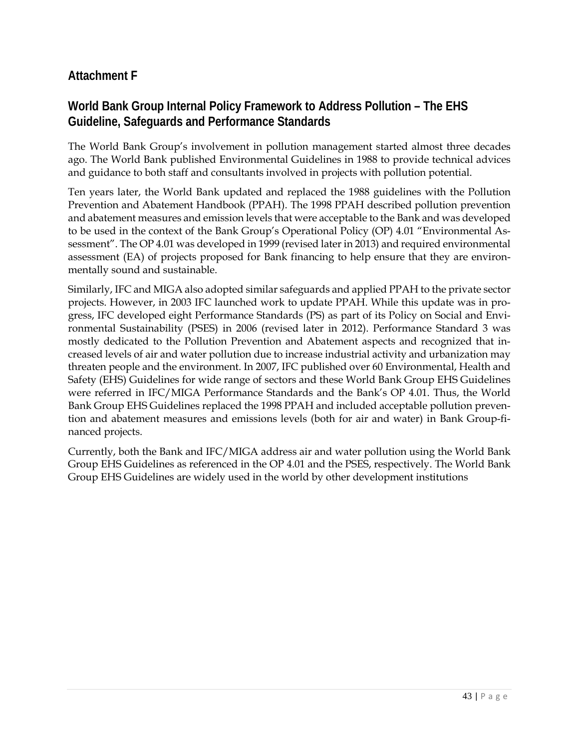### **Attachment F**

### **World Bank Group Internal Policy Framework to Address Pollution – The EHS Guideline, Safeguards and Performance Standards**

The World Bank Group's involvement in pollution management started almost three decades ago. The World Bank published Environmental Guidelines in 1988 to provide technical advices and guidance to both staff and consultants involved in projects with pollution potential.

Ten years later, the World Bank updated and replaced the 1988 guidelines with the Pollution Prevention and Abatement Handbook (PPAH). The 1998 PPAH described pollution prevention and abatement measures and emission levels that were acceptable to the Bank and was developed to be used in the context of the Bank Group's Operational Policy (OP) 4.01 "Environmental Assessment". The OP 4.01 was developed in 1999 (revised later in 2013) and required environmental assessment (EA) of projects proposed for Bank financing to help ensure that they are environmentally sound and sustainable.

Similarly, IFC and MIGA also adopted similar safeguards and applied PPAH to the private sector projects. However, in 2003 IFC launched work to update PPAH. While this update was in progress, IFC developed eight Performance Standards (PS) as part of its Policy on Social and Environmental Sustainability (PSES) in 2006 (revised later in 2012). Performance Standard 3 was mostly dedicated to the Pollution Prevention and Abatement aspects and recognized that increased levels of air and water pollution due to increase industrial activity and urbanization may threaten people and the environment. In 2007, IFC published over 60 Environmental, Health and Safety (EHS) Guidelines for wide range of sectors and these World Bank Group EHS Guidelines were referred in IFC/MIGA Performance Standards and the Bank's OP 4.01. Thus, the World Bank Group EHS Guidelines replaced the 1998 PPAH and included acceptable pollution prevention and abatement measures and emissions levels (both for air and water) in Bank Group-financed projects.

Currently, both the Bank and IFC/MIGA address air and water pollution using the World Bank Group EHS Guidelines as referenced in the OP 4.01 and the PSES, respectively. The World Bank Group EHS Guidelines are widely used in the world by other development institutions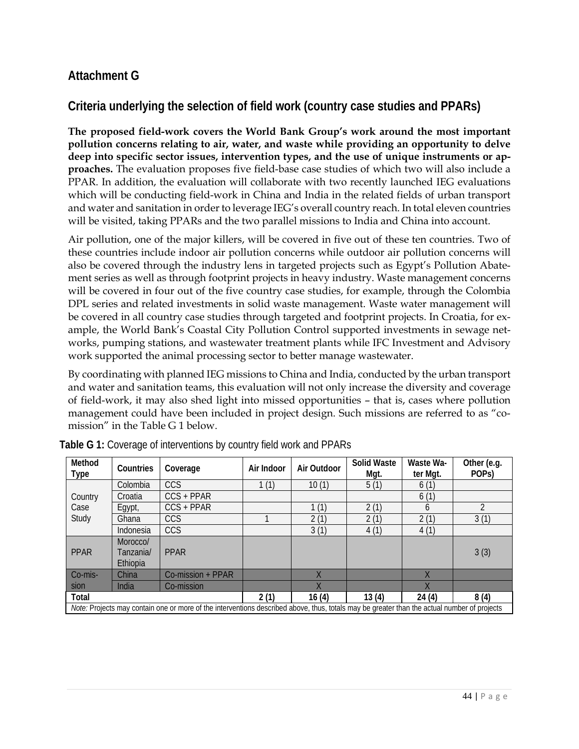### **Attachment G**

### **Criteria underlying the selection of field work (country case studies and PPARs)**

**The proposed field-work covers the World Bank Group's work around the most important pollution concerns relating to air, water, and waste while providing an opportunity to delve deep into specific sector issues, intervention types, and the use of unique instruments or approaches.** The evaluation proposes five field-base case studies of which two will also include a PPAR. In addition, the evaluation will collaborate with two recently launched IEG evaluations which will be conducting field-work in China and India in the related fields of urban transport and water and sanitation in order to leverage IEG's overall country reach. In total eleven countries will be visited, taking PPARs and the two parallel missions to India and China into account.

Air pollution, one of the major killers, will be covered in five out of these ten countries. Two of these countries include indoor air pollution concerns while outdoor air pollution concerns will also be covered through the industry lens in targeted projects such as Egypt's Pollution Abatement series as well as through footprint projects in heavy industry. Waste management concerns will be covered in four out of the five country case studies, for example, through the Colombia DPL series and related investments in solid waste management. Waste water management will be covered in all country case studies through targeted and footprint projects. In Croatia, for example, the World Bank's Coastal City Pollution Control supported investments in sewage networks, pumping stations, and wastewater treatment plants while IFC Investment and Advisory work supported the animal processing sector to better manage wastewater.

By coordinating with planned IEG missions to China and India, conducted by the urban transport and water and sanitation teams, this evaluation will not only increase the diversity and coverage of field-work, it may also shed light into missed opportunities – that is, cases where pollution management could have been included in project design. Such missions are referred to as "comission" in the Table G 1 below.

| Method<br><b>Type</b>                                                                                                                       | Countries                         | Coverage          | Air Indoor | Air Outdoor | <b>Solid Waste</b><br>Mgt. | Waste Wa-<br>ter Mgt.   | Other (e.g.<br>POP <sub>S</sub> ) |
|---------------------------------------------------------------------------------------------------------------------------------------------|-----------------------------------|-------------------|------------|-------------|----------------------------|-------------------------|-----------------------------------|
|                                                                                                                                             | Colombia                          | CCS               | 1(1)       | 10(1)       | 5(1)                       | 6(1)                    |                                   |
| Country                                                                                                                                     | Croatia                           | $CCS + PPAR$      |            |             |                            | 6(1)                    |                                   |
| Case                                                                                                                                        | Egypt,                            | $CCS + PPAR$      |            | 1(1)        | 2(1)                       | 6                       | $\overline{2}$                    |
| Study                                                                                                                                       | Ghana                             | <b>CCS</b>        |            | 2(1)        | 2(1)                       | 2(1)                    | 3(1)                              |
|                                                                                                                                             | Indonesia                         | <b>CCS</b>        |            | 3(1)        | 4(1)                       | 4(1)                    |                                   |
| <b>PPAR</b>                                                                                                                                 | Morocco/<br>Tanzania/<br>Ethiopia | <b>PPAR</b>       |            |             |                            |                         | 3(3)                              |
| Co-mis-                                                                                                                                     | China                             | Co-mission + PPAR |            |             |                            |                         |                                   |
| sion                                                                                                                                        | India                             | Co-mission        |            | Χ           |                            | $\overline{\mathsf{X}}$ |                                   |
| Total                                                                                                                                       |                                   |                   | 2(1)       | 16(4)       | 13(4)                      | 24(4)                   | 8(4)                              |
| Note: Projects may contain one or more of the interventions described above, thus, totals may be greater than the actual number of projects |                                   |                   |            |             |                            |                         |                                   |

| Table G 1: Coverage of interventions by country field work and PPARs |  |  |
|----------------------------------------------------------------------|--|--|
|                                                                      |  |  |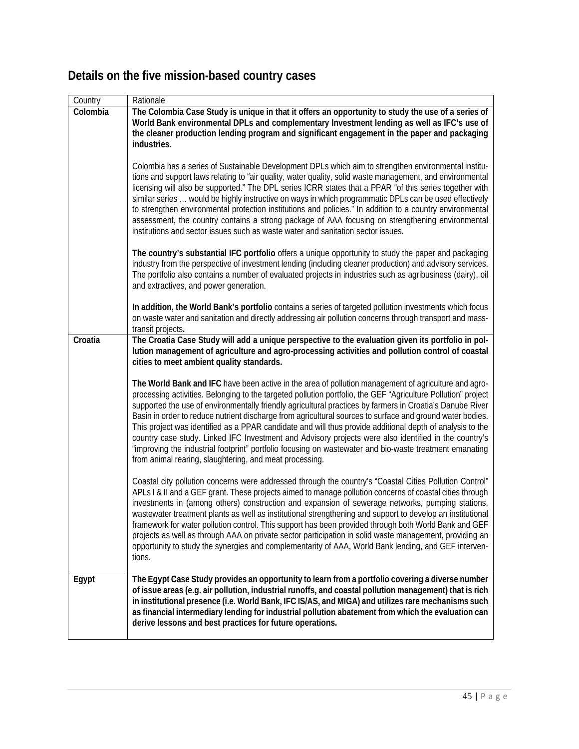|  |  | Details on the five mission-based country cases |  |
|--|--|-------------------------------------------------|--|
|--|--|-------------------------------------------------|--|

| Country  | Rationale                                                                                                                                                                                                                                                                                                                                                                                                                                                                                                                                                                                                                                                                                                                                                                                                                                   |
|----------|---------------------------------------------------------------------------------------------------------------------------------------------------------------------------------------------------------------------------------------------------------------------------------------------------------------------------------------------------------------------------------------------------------------------------------------------------------------------------------------------------------------------------------------------------------------------------------------------------------------------------------------------------------------------------------------------------------------------------------------------------------------------------------------------------------------------------------------------|
| Colombia | The Colombia Case Study is unique in that it offers an opportunity to study the use of a series of<br>World Bank environmental DPLs and complementary Investment lending as well as IFC's use of<br>the cleaner production lending program and significant engagement in the paper and packaging<br>industries.                                                                                                                                                                                                                                                                                                                                                                                                                                                                                                                             |
|          | Colombia has a series of Sustainable Development DPLs which aim to strengthen environmental institu-<br>tions and support laws relating to "air quality, water quality, solid waste management, and environmental<br>licensing will also be supported." The DPL series ICRR states that a PPAR "of this series together with<br>similar series  would be highly instructive on ways in which programmatic DPLs can be used effectively<br>to strengthen environmental protection institutions and policies." In addition to a country environmental<br>assessment, the country contains a strong package of AAA focusing on strengthening environmental<br>institutions and sector issues such as waste water and sanitation sector issues.                                                                                                 |
|          | The country's substantial IFC portfolio offers a unique opportunity to study the paper and packaging<br>industry from the perspective of investment lending (including cleaner production) and advisory services.<br>The portfolio also contains a number of evaluated projects in industries such as agribusiness (dairy), oil<br>and extractives, and power generation.                                                                                                                                                                                                                                                                                                                                                                                                                                                                   |
|          | In addition, the World Bank's portfolio contains a series of targeted pollution investments which focus<br>on waste water and sanitation and directly addressing air pollution concerns through transport and mass-<br>transit projects.                                                                                                                                                                                                                                                                                                                                                                                                                                                                                                                                                                                                    |
| Croatia  | The Croatia Case Study will add a unique perspective to the evaluation given its portfolio in pol-<br>lution management of agriculture and agro-processing activities and pollution control of coastal<br>cities to meet ambient quality standards.                                                                                                                                                                                                                                                                                                                                                                                                                                                                                                                                                                                         |
|          | The World Bank and IFC have been active in the area of pollution management of agriculture and agro-<br>processing activities. Belonging to the targeted pollution portfolio, the GEF "Agriculture Pollution" project<br>supported the use of environmentally friendly agricultural practices by farmers in Croatia's Danube River<br>Basin in order to reduce nutrient discharge from agricultural sources to surface and ground water bodies.<br>This project was identified as a PPAR candidate and will thus provide additional depth of analysis to the<br>country case study. Linked IFC Investment and Advisory projects were also identified in the country's<br>"improving the industrial footprint" portfolio focusing on wastewater and bio-waste treatment emanating<br>from animal rearing, slaughtering, and meat processing. |
|          | Coastal city pollution concerns were addressed through the country's "Coastal Cities Pollution Control"<br>APLs I & II and a GEF grant. These projects aimed to manage pollution concerns of coastal cities through<br>investments in (among others) construction and expansion of sewerage networks, pumping stations,<br>wastewater treatment plants as well as institutional strengthening and support to develop an institutional<br>framework for water pollution control. This support has been provided through both World Bank and GEF<br>projects as well as through AAA on private sector participation in solid waste management, providing an<br>opportunity to study the synergies and complementarity of AAA, World Bank lending, and GEF interven-<br>tions.                                                                 |
| Egypt    | The Egypt Case Study provides an opportunity to learn from a portfolio covering a diverse number<br>of issue areas (e.g. air pollution, industrial runoffs, and coastal pollution management) that is rich<br>in institutional presence (i.e. World Bank, IFC IS/AS, and MIGA) and utilizes rare mechanisms such<br>as financial intermediary lending for industrial pollution abatement from which the evaluation can<br>derive lessons and best practices for future operations.                                                                                                                                                                                                                                                                                                                                                          |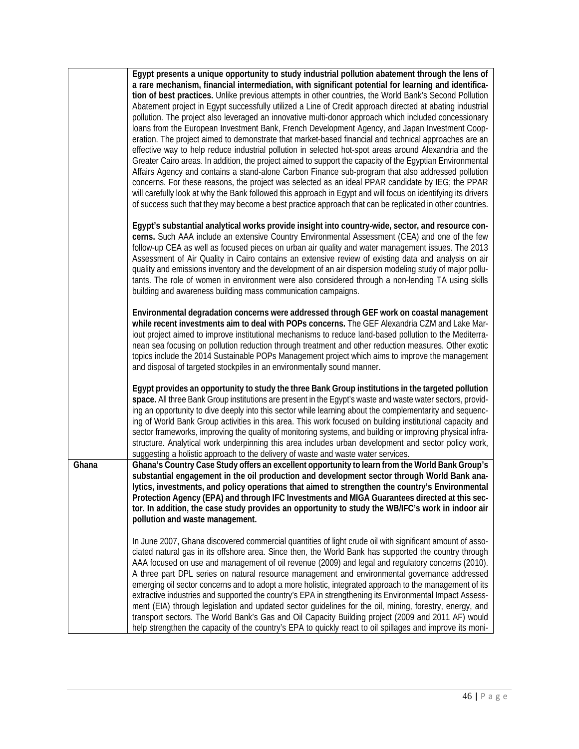|       | Egypt presents a unique opportunity to study industrial pollution abatement through the lens of<br>a rare mechanism, financial intermediation, with significant potential for learning and identifica-<br>tion of best practices. Unlike previous attempts in other countries, the World Bank's Second Pollution<br>Abatement project in Egypt successfully utilized a Line of Credit approach directed at abating industrial<br>pollution. The project also leveraged an innovative multi-donor approach which included concessionary<br>loans from the European Investment Bank, French Development Agency, and Japan Investment Coop-<br>eration. The project aimed to demonstrate that market-based financial and technical approaches are an<br>effective way to help reduce industrial pollution in selected hot-spot areas around Alexandria and the<br>Greater Cairo areas. In addition, the project aimed to support the capacity of the Egyptian Environmental<br>Affairs Agency and contains a stand-alone Carbon Finance sub-program that also addressed pollution<br>concerns. For these reasons, the project was selected as an ideal PPAR candidate by IEG; the PPAR<br>will carefully look at why the Bank followed this approach in Egypt and will focus on identifying its drivers<br>of success such that they may become a best practice approach that can be replicated in other countries.<br>Egypt's substantial analytical works provide insight into country-wide, sector, and resource con-<br>cerns. Such AAA include an extensive Country Environmental Assessment (CEA) and one of the few<br>follow-up CEA as well as focused pieces on urban air quality and water management issues. The 2013 |
|-------|-------------------------------------------------------------------------------------------------------------------------------------------------------------------------------------------------------------------------------------------------------------------------------------------------------------------------------------------------------------------------------------------------------------------------------------------------------------------------------------------------------------------------------------------------------------------------------------------------------------------------------------------------------------------------------------------------------------------------------------------------------------------------------------------------------------------------------------------------------------------------------------------------------------------------------------------------------------------------------------------------------------------------------------------------------------------------------------------------------------------------------------------------------------------------------------------------------------------------------------------------------------------------------------------------------------------------------------------------------------------------------------------------------------------------------------------------------------------------------------------------------------------------------------------------------------------------------------------------------------------------------------------------------------------------------------------------------------------------------|
|       | Assessment of Air Quality in Cairo contains an extensive review of existing data and analysis on air<br>quality and emissions inventory and the development of an air dispersion modeling study of major pollu-<br>tants. The role of women in environment were also considered through a non-lending TA using skills<br>building and awareness building mass communication campaigns.                                                                                                                                                                                                                                                                                                                                                                                                                                                                                                                                                                                                                                                                                                                                                                                                                                                                                                                                                                                                                                                                                                                                                                                                                                                                                                                                        |
|       | Environmental degradation concerns were addressed through GEF work on coastal management<br>while recent investments aim to deal with POPs concerns. The GEF Alexandria CZM and Lake Mar-<br>iout project aimed to improve institutional mechanisms to reduce land-based pollution to the Mediterra-<br>nean sea focusing on pollution reduction through treatment and other reduction measures. Other exotic<br>topics include the 2014 Sustainable POPs Management project which aims to improve the management<br>and disposal of targeted stockpiles in an environmentally sound manner.                                                                                                                                                                                                                                                                                                                                                                                                                                                                                                                                                                                                                                                                                                                                                                                                                                                                                                                                                                                                                                                                                                                                  |
|       | Egypt provides an opportunity to study the three Bank Group institutions in the targeted pollution<br>space. All three Bank Group institutions are present in the Egypt's waste and waste water sectors, provid-<br>ing an opportunity to dive deeply into this sector while learning about the complementarity and sequenc-<br>ing of World Bank Group activities in this area. This work focused on building institutional capacity and<br>sector frameworks, improving the quality of monitoring systems, and building or improving physical infra-<br>structure. Analytical work underpinning this area includes urban development and sector policy work,<br>suggesting a holistic approach to the delivery of waste and waste water services.                                                                                                                                                                                                                                                                                                                                                                                                                                                                                                                                                                                                                                                                                                                                                                                                                                                                                                                                                                           |
| Ghana | Ghana's Country Case Study offers an excellent opportunity to learn from the World Bank Group's<br>substantial engagement in the oil production and development sector through World Bank ana-<br>lytics, investments, and policy operations that aimed to strengthen the country's Environmental<br>Protection Agency (EPA) and through IFC Investments and MIGA Guarantees directed at this sec-<br>tor. In addition, the case study provides an opportunity to study the WB/IFC's work in indoor air<br>pollution and waste management.                                                                                                                                                                                                                                                                                                                                                                                                                                                                                                                                                                                                                                                                                                                                                                                                                                                                                                                                                                                                                                                                                                                                                                                    |
|       | In June 2007, Ghana discovered commercial quantities of light crude oil with significant amount of asso-<br>ciated natural gas in its offshore area. Since then, the World Bank has supported the country through<br>AAA focused on use and management of oil revenue (2009) and legal and regulatory concerns (2010).<br>A three part DPL series on natural resource management and environmental governance addressed<br>emerging oil sector concerns and to adopt a more holistic, integrated approach to the management of its<br>extractive industries and supported the country's EPA in strengthening its Environmental Impact Assess-<br>ment (EIA) through legislation and updated sector guidelines for the oil, mining, forestry, energy, and<br>transport sectors. The World Bank's Gas and Oil Capacity Building project (2009 and 2011 AF) would<br>help strengthen the capacity of the country's EPA to quickly react to oil spillages and improve its moni-                                                                                                                                                                                                                                                                                                                                                                                                                                                                                                                                                                                                                                                                                                                                                   |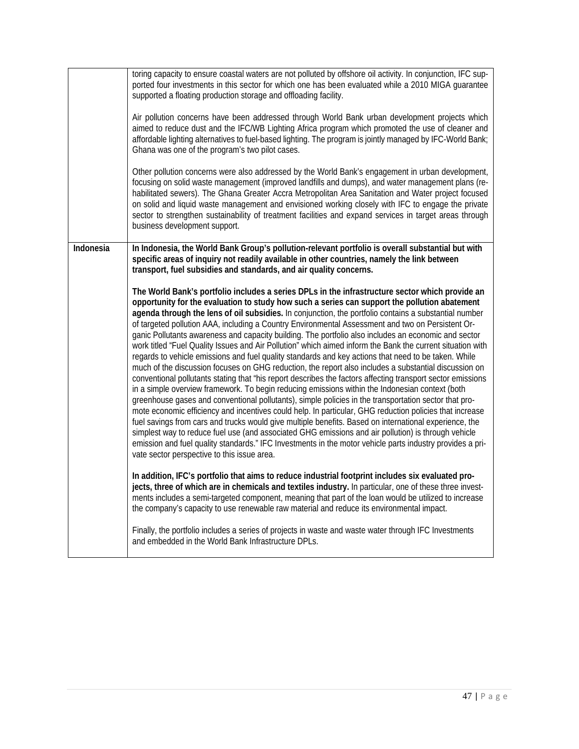|           | toring capacity to ensure coastal waters are not polluted by offshore oil activity. In conjunction, IFC sup-<br>ported four investments in this sector for which one has been evaluated while a 2010 MIGA quarantee<br>supported a floating production storage and offloading facility.<br>Air pollution concerns have been addressed through World Bank urban development projects which<br>aimed to reduce dust and the IFC/WB Lighting Africa program which promoted the use of cleaner and<br>affordable lighting alternatives to fuel-based lighting. The program is jointly managed by IFC-World Bank;<br>Ghana was one of the program's two pilot cases.<br>Other pollution concerns were also addressed by the World Bank's engagement in urban development,<br>focusing on solid waste management (improved landfills and dumps), and water management plans (re-<br>habilitated sewers). The Ghana Greater Accra Metropolitan Area Sanitation and Water project focused<br>on solid and liquid waste management and envisioned working closely with IFC to engage the private<br>sector to strengthen sustainability of treatment facilities and expand services in target areas through<br>business development support.                                                                                                                                                                                                                                                                                                                                                                                                                                      |
|-----------|--------------------------------------------------------------------------------------------------------------------------------------------------------------------------------------------------------------------------------------------------------------------------------------------------------------------------------------------------------------------------------------------------------------------------------------------------------------------------------------------------------------------------------------------------------------------------------------------------------------------------------------------------------------------------------------------------------------------------------------------------------------------------------------------------------------------------------------------------------------------------------------------------------------------------------------------------------------------------------------------------------------------------------------------------------------------------------------------------------------------------------------------------------------------------------------------------------------------------------------------------------------------------------------------------------------------------------------------------------------------------------------------------------------------------------------------------------------------------------------------------------------------------------------------------------------------------------------------------------------------------------------------------------------------------|
|           |                                                                                                                                                                                                                                                                                                                                                                                                                                                                                                                                                                                                                                                                                                                                                                                                                                                                                                                                                                                                                                                                                                                                                                                                                                                                                                                                                                                                                                                                                                                                                                                                                                                                          |
| Indonesia | In Indonesia, the World Bank Group's pollution-relevant portfolio is overall substantial but with<br>specific areas of inquiry not readily available in other countries, namely the link between<br>transport, fuel subsidies and standards, and air quality concerns.                                                                                                                                                                                                                                                                                                                                                                                                                                                                                                                                                                                                                                                                                                                                                                                                                                                                                                                                                                                                                                                                                                                                                                                                                                                                                                                                                                                                   |
|           | The World Bank's portfolio includes a series DPLs in the infrastructure sector which provide an<br>opportunity for the evaluation to study how such a series can support the pollution abatement<br>agenda through the lens of oil subsidies. In conjunction, the portfolio contains a substantial number<br>of targeted pollution AAA, including a Country Environmental Assessment and two on Persistent Or-<br>ganic Pollutants awareness and capacity building. The portfolio also includes an economic and sector<br>work titled "Fuel Quality Issues and Air Pollution" which aimed inform the Bank the current situation with<br>regards to vehicle emissions and fuel quality standards and key actions that need to be taken. While<br>much of the discussion focuses on GHG reduction, the report also includes a substantial discussion on<br>conventional pollutants stating that "his report describes the factors affecting transport sector emissions<br>in a simple overview framework. To begin reducing emissions within the Indonesian context (both<br>greenhouse gases and conventional pollutants), simple policies in the transportation sector that pro-<br>mote economic efficiency and incentives could help. In particular, GHG reduction policies that increase<br>fuel savings from cars and trucks would give multiple benefits. Based on international experience, the<br>simplest way to reduce fuel use (and associated GHG emissions and air pollution) is through vehicle<br>emission and fuel quality standards." IFC Investments in the motor vehicle parts industry provides a pri-<br>vate sector perspective to this issue area. |
|           | In addition, IFC's portfolio that aims to reduce industrial footprint includes six evaluated pro-<br>jects, three of which are in chemicals and textiles industry. In particular, one of these three invest-<br>ments includes a semi-targeted component, meaning that part of the loan would be utilized to increase<br>the company's capacity to use renewable raw material and reduce its environmental impact.                                                                                                                                                                                                                                                                                                                                                                                                                                                                                                                                                                                                                                                                                                                                                                                                                                                                                                                                                                                                                                                                                                                                                                                                                                                       |
|           | Finally, the portfolio includes a series of projects in waste and waste water through IFC Investments<br>and embedded in the World Bank Infrastructure DPLs.                                                                                                                                                                                                                                                                                                                                                                                                                                                                                                                                                                                                                                                                                                                                                                                                                                                                                                                                                                                                                                                                                                                                                                                                                                                                                                                                                                                                                                                                                                             |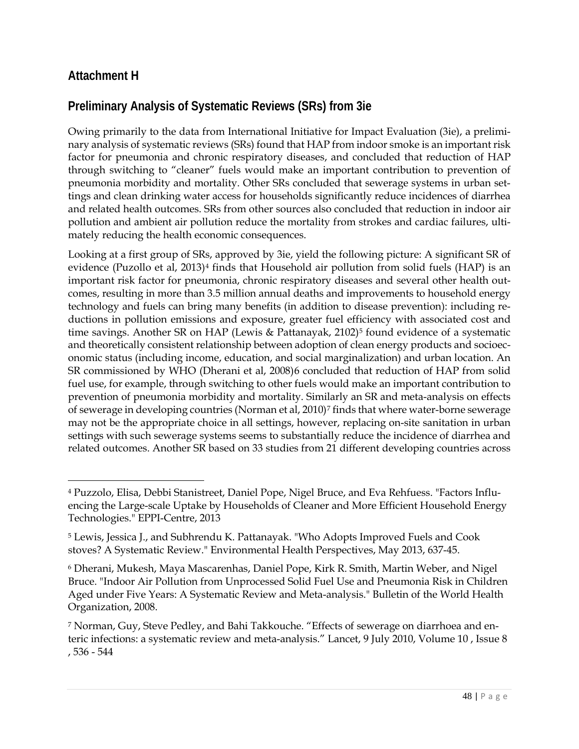### **Attachment H**

 $\overline{a}$ 

## **Preliminary Analysis of Systematic Reviews (SRs) from 3ie**

Owing primarily to the data from International Initiative for Impact Evaluation (3ie), a preliminary analysis of systematic reviews (SRs) found that HAP from indoor smoke is an important risk factor for pneumonia and chronic respiratory diseases, and concluded that reduction of HAP through switching to "cleaner" fuels would make an important contribution to prevention of pneumonia morbidity and mortality. Other SRs concluded that sewerage systems in urban settings and clean drinking water access for households significantly reduce incidences of diarrhea and related health outcomes. SRs from other sources also concluded that reduction in indoor air pollution and ambient air pollution reduce the mortality from strokes and cardiac failures, ultimately reducing the health economic consequences.

Looking at a first group of SRs, approved by 3ie, yield the following picture: A significant SR of evidence (Puzollo et al, 2013)<sup>4</sup> finds that Household air pollution from solid fuels (HAP) is an important risk factor for pneumonia, chronic respiratory diseases and several other health outcomes, resulting in more than 3.5 million annual deaths and improvements to household energy technology and fuels can bring many benefits (in addition to disease prevention): including reductions in pollution emissions and exposure, greater fuel efficiency with associated cost and time savings. Another SR on HAP (Lewis & Pattanayak, 2102)<sup>[5](#page-47-1)</sup> found evidence of a systematic and theoretically consistent relationship between adoption of clean energy products and socioeconomic status (including income, education, and social marginalization) and urban location. An SR commissioned by WHO (Dherani et al, 2008)[6](#page-47-2) concluded that reduction of HAP from solid fuel use, for example, through switching to other fuels would make an important contribution to prevention of pneumonia morbidity and mortality. Similarly an SR and meta-analysis on effects of sewerage in developing countries (Norman et al, 2010)[7](#page-47-3) finds that where water-borne sewerage may not be the appropriate choice in all settings, however, replacing on-site sanitation in urban settings with such sewerage systems seems to substantially reduce the incidence of diarrhea and related outcomes. Another SR based on 33 studies from 21 different developing countries across

<span id="page-47-0"></span><sup>4</sup> Puzzolo, Elisa, Debbi Stanistreet, Daniel Pope, Nigel Bruce, and Eva Rehfuess. "Factors Influencing the Large-scale Uptake by Households of Cleaner and More Efficient Household Energy Technologies." EPPI-Centre, 2013

<span id="page-47-1"></span><sup>5</sup> Lewis, Jessica J., and Subhrendu K. Pattanayak. "Who Adopts Improved Fuels and Cook stoves? A Systematic Review." Environmental Health Perspectives, May 2013, 637-45.

<span id="page-47-2"></span><sup>6</sup> Dherani, Mukesh, Maya Mascarenhas, Daniel Pope, Kirk R. Smith, Martin Weber, and Nigel Bruce. "Indoor Air Pollution from Unprocessed Solid Fuel Use and Pneumonia Risk in Children Aged under Five Years: A Systematic Review and Meta-analysis." Bulletin of the World Health Organization, 2008.

<span id="page-47-3"></span><sup>7</sup> Norman, Guy, Steve Pedley, and Bahi Takkouche. "Effects of sewerage on diarrhoea and enteric infections: a systematic review and meta-analysis." Lancet, 9 July 2010, Volume 10 , Issue 8 , 536 - 544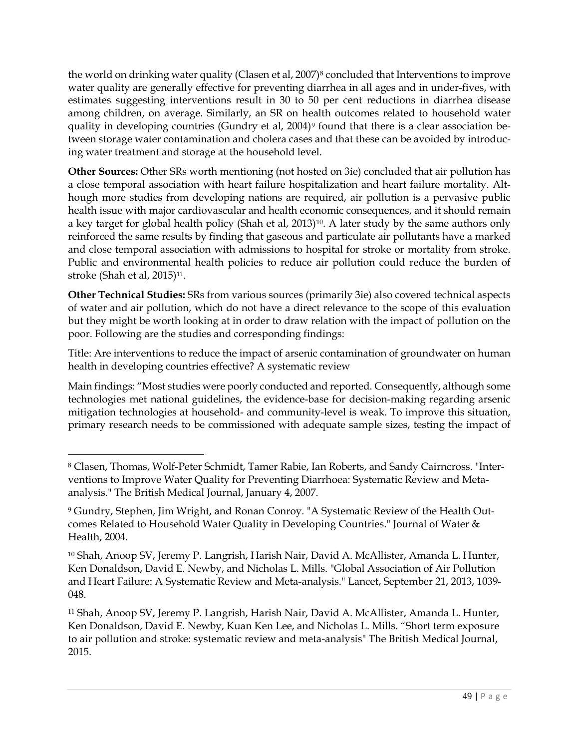the world on drinking water quality (Clasen et al, 2007)<sup>[8](#page-48-0)</sup> concluded that Interventions to improve water quality are generally effective for preventing diarrhea in all ages and in under-fives, with estimates suggesting interventions result in 30 to 50 per cent reductions in diarrhea disease among children, on average. Similarly, an SR on health outcomes related to household water quality in developing countries (Gundry et al, 2004)<sup>[9](#page-48-1)</sup> found that there is a clear association between storage water contamination and cholera cases and that these can be avoided by introducing water treatment and storage at the household level.

**Other Sources:** Other SRs worth mentioning (not hosted on 3ie) concluded that air pollution has a close temporal association with heart failure hospitalization and heart failure mortality. Although more studies from developing nations are required, air pollution is a pervasive public health issue with major cardiovascular and health economic consequences, and it should remain a key target for global health policy (Shah et al, 2013)<sup>10</sup>. A later study by the same authors only reinforced the same results by finding that gaseous and particulate air pollutants have a marked and close temporal association with admissions to hospital for stroke or mortality from stroke. Public and environmental health policies to reduce air pollution could reduce the burden of stroke (Shah et al, 2015)<sup>[11](#page-48-3)</sup>.

**Other Technical Studies:** SRs from various sources (primarily 3ie) also covered technical aspects of water and air pollution, which do not have a direct relevance to the scope of this evaluation but they might be worth looking at in order to draw relation with the impact of pollution on the poor. Following are the studies and corresponding findings:

Title: Are interventions to reduce the impact of arsenic contamination of groundwater on human health in developing countries effective? A systematic review

Main findings: "Most studies were poorly conducted and reported. Consequently, although some technologies met national guidelines, the evidence-base for decision-making regarding arsenic mitigation technologies at household- and community-level is weak. To improve this situation, primary research needs to be commissioned with adequate sample sizes, testing the impact of

 $\overline{a}$ 

<span id="page-48-2"></span><sup>10</sup> Shah, Anoop SV, Jeremy P. Langrish, Harish Nair, David A. McAllister, Amanda L. Hunter, Ken Donaldson, David E. Newby, and Nicholas L. Mills. "Global Association of Air Pollution and Heart Failure: A Systematic Review and Meta-analysis." Lancet, September 21, 2013, 1039- 048.

<span id="page-48-3"></span><sup>11</sup> Shah, Anoop SV, Jeremy P. Langrish, Harish Nair, David A. McAllister, Amanda L. Hunter, Ken Donaldson, David E. Newby, Kuan Ken Lee, and Nicholas L. Mills. "Short term exposure to air pollution and stroke: systematic review and meta-analysis" The British Medical Journal, 2015.

<span id="page-48-0"></span><sup>8</sup> Clasen, Thomas, Wolf-Peter Schmidt, Tamer Rabie, Ian Roberts, and Sandy Cairncross. "Interventions to Improve Water Quality for Preventing Diarrhoea: Systematic Review and Metaanalysis." The British Medical Journal, January 4, 2007.

<span id="page-48-1"></span><sup>9</sup> Gundry, Stephen, Jim Wright, and Ronan Conroy. "A Systematic Review of the Health Outcomes Related to Household Water Quality in Developing Countries." Journal of Water & Health, 2004.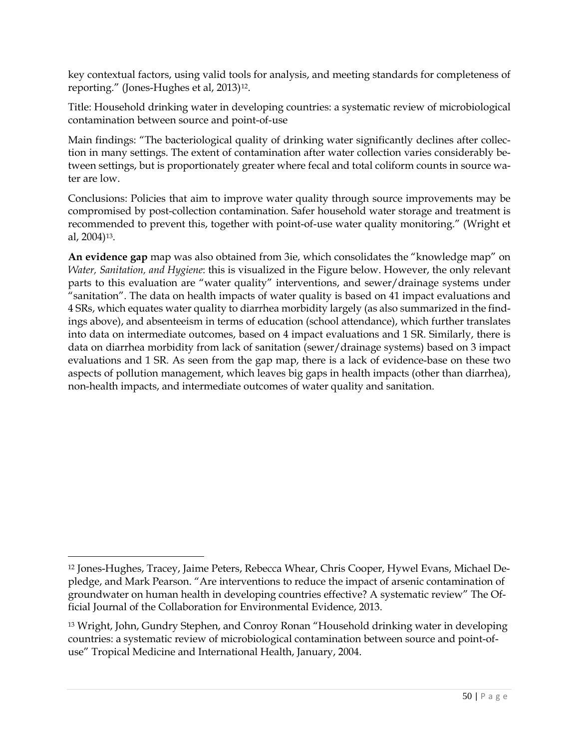key contextual factors, using valid tools for analysis, and meeting standards for completeness of reporting." (Jones-Hughes et al, 2013)[12](#page-49-0).

Title: Household drinking water in developing countries: a systematic review of microbiological contamination between source and point-of-use

Main findings: "The bacteriological quality of drinking water significantly declines after collection in many settings. The extent of contamination after water collection varies considerably between settings, but is proportionately greater where fecal and total coliform counts in source water are low.

Conclusions: Policies that aim to improve water quality through source improvements may be compromised by post-collection contamination. Safer household water storage and treatment is recommended to prevent this, together with point-of-use water quality monitoring." (Wright et al, 2004)[13](#page-49-1).

**An evidence gap** map was also obtained from 3ie, which consolidates the "knowledge map" on *Water, Sanitation, and Hygiene*: this is visualized in the Figure below. However, the only relevant parts to this evaluation are "water quality" interventions, and sewer/drainage systems under "sanitation". The data on health impacts of water quality is based on 41 impact evaluations and 4 SRs, which equates water quality to diarrhea morbidity largely (as also summarized in the findings above), and absenteeism in terms of education (school attendance), which further translates into data on intermediate outcomes, based on 4 impact evaluations and 1 SR. Similarly, there is data on diarrhea morbidity from lack of sanitation (sewer/drainage systems) based on 3 impact evaluations and 1 SR. As seen from the gap map, there is a lack of evidence-base on these two aspects of pollution management, which leaves big gaps in health impacts (other than diarrhea), non-health impacts, and intermediate outcomes of water quality and sanitation.

<span id="page-49-0"></span> $\overline{a}$ <sup>12</sup> Jones-Hughes, Tracey, Jaime Peters, Rebecca Whear, Chris Cooper, Hywel Evans, Michael Depledge, and Mark Pearson. "Are interventions to reduce the impact of arsenic contamination of groundwater on human health in developing countries effective? A systematic review" The Official Journal of the Collaboration for Environmental Evidence, 2013.

<span id="page-49-1"></span><sup>13</sup> Wright, John, Gundry Stephen, and Conroy Ronan "Household drinking water in developing countries: a systematic review of microbiological contamination between source and point-ofuse" Tropical Medicine and International Health, January, 2004.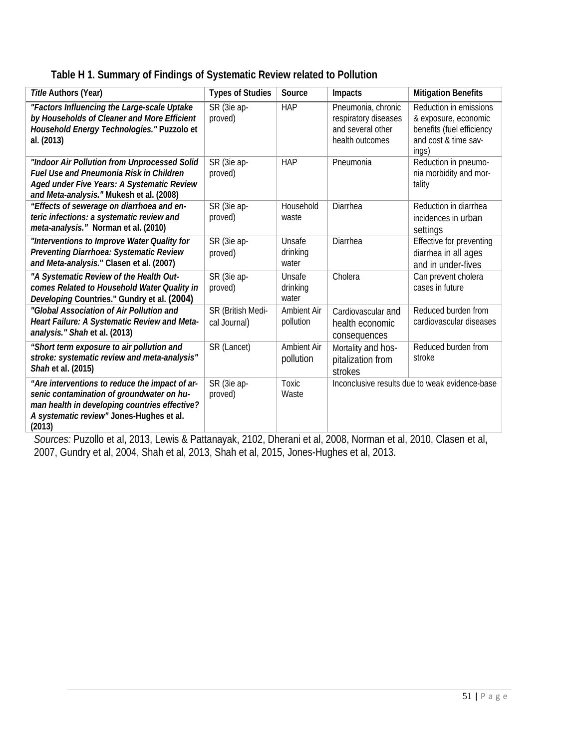| Title Authors (Year)                                                                                                                                                                               | <b>Types of Studies</b>           | Source                      | Impacts                                                                            | <b>Mitigation Benefits</b>                                                                                   |
|----------------------------------------------------------------------------------------------------------------------------------------------------------------------------------------------------|-----------------------------------|-----------------------------|------------------------------------------------------------------------------------|--------------------------------------------------------------------------------------------------------------|
| "Factors Influencing the Large-scale Uptake<br>by Households of Cleaner and More Efficient<br>Household Energy Technologies." Puzzolo et<br>al. (2013)                                             | SR (3ie ap-<br>proved)            | <b>HAP</b>                  | Pneumonia, chronic<br>respiratory diseases<br>and several other<br>health outcomes | Reduction in emissions<br>& exposure, economic<br>benefits (fuel efficiency<br>and cost & time sav-<br>ings) |
| "Indoor Air Pollution from Unprocessed Solid<br><b>Fuel Use and Pneumonia Risk in Children</b><br>Aged under Five Years: A Systematic Review<br>and Meta-analysis." Mukesh et al. (2008)           | SR (3ie ap-<br>proved)            | <b>HAP</b>                  | Pneumonia                                                                          | Reduction in pneumo-<br>nia morbidity and mor-<br>tality                                                     |
| "Effects of sewerage on diarrhoea and en-<br>teric infections: a systematic review and<br>meta-analysis." Norman et al. (2010)                                                                     | SR (3ie ap-<br>proved)            | Household<br>waste          | Diarrhea                                                                           | Reduction in diarrhea<br>incidences in urban<br>settings                                                     |
| "Interventions to Improve Water Quality for<br>Preventing Diarrhoea: Systematic Review<br>and Meta-analysis." Clasen et al. (2007)                                                                 | SR (3ie ap-<br>proved)            | Unsafe<br>drinking<br>water | Diarrhea                                                                           | Effective for preventing<br>diarrhea in all ages<br>and in under-fives                                       |
| "A Systematic Review of the Health Out-<br>comes Related to Household Water Quality in<br>Developing Countries." Gundry et al. (2004)                                                              | SR (3ie ap-<br>proved)            | Unsafe<br>drinking<br>water | Cholera                                                                            | Can prevent cholera<br>cases in future                                                                       |
| "Global Association of Air Pollution and<br>Heart Failure: A Systematic Review and Meta-<br>analysis." Shah et al. (2013)                                                                          | SR (British Medi-<br>cal Journal) | Ambient Air<br>pollution    | Cardiovascular and<br>health economic<br>consequences                              | Reduced burden from<br>cardiovascular diseases                                                               |
| "Short term exposure to air pollution and<br>stroke: systematic review and meta-analysis"<br>Shah et al. (2015)                                                                                    | SR (Lancet)                       | Ambient Air<br>pollution    | Mortality and hos-<br>pitalization from<br>strokes                                 | Reduced burden from<br>stroke                                                                                |
| "Are interventions to reduce the impact of ar-<br>senic contamination of groundwater on hu-<br>man health in developing countries effective?<br>A systematic review" Jones-Hughes et al.<br>(2013) | SR (3ie ap-<br>proved)            | Toxic<br>Waste              | Inconclusive results due to weak evidence-base                                     |                                                                                                              |

*Sources:* Puzollo et al, 2013, Lewis & Pattanayak, 2102, Dherani et al, 2008, Norman et al, 2010, Clasen et al, 2007, Gundry et al, 2004, Shah et al, 2013, Shah et al, 2015, Jones-Hughes et al, 2013.